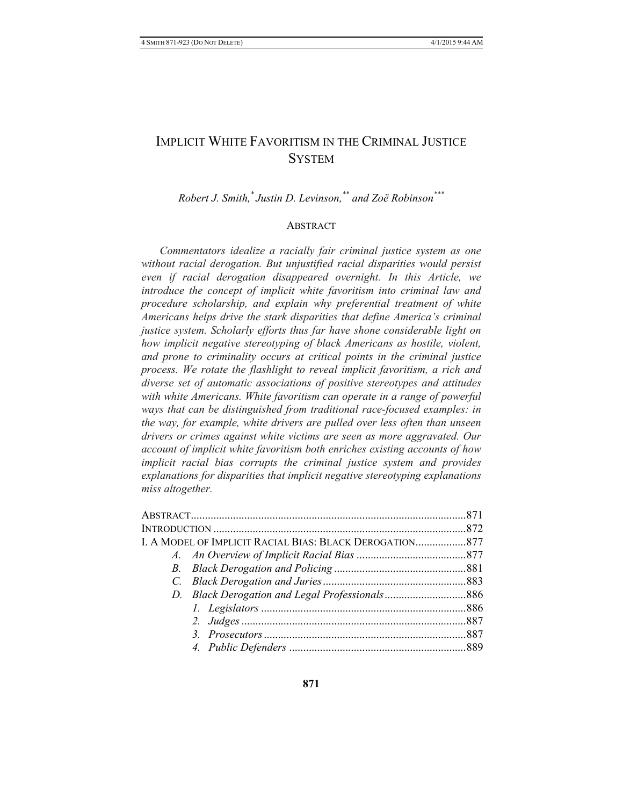# IMPLICIT WHITE FAVORITISM IN THE CRIMINAL JUSTICE **SYSTEM**

*Robert J. Smith,\* Justin D. Levinson,\*\* and Zoë Robinson\*\*\**

### **ABSTRACT**

*Commentators idealize a racially fair criminal justice system as one without racial derogation. But unjustified racial disparities would persist even if racial derogation disappeared overnight. In this Article, we introduce the concept of implicit white favoritism into criminal law and procedure scholarship, and explain why preferential treatment of white Americans helps drive the stark disparities that define America's criminal justice system. Scholarly efforts thus far have shone considerable light on how implicit negative stereotyping of black Americans as hostile, violent, and prone to criminality occurs at critical points in the criminal justice process. We rotate the flashlight to reveal implicit favoritism, a rich and diverse set of automatic associations of positive stereotypes and attitudes with white Americans. White favoritism can operate in a range of powerful ways that can be distinguished from traditional race-focused examples: in the way, for example, white drivers are pulled over less often than unseen drivers or crimes against white victims are seen as more aggravated. Our account of implicit white favoritism both enriches existing accounts of how implicit racial bias corrupts the criminal justice system and provides explanations for disparities that implicit negative stereotyping explanations miss altogether.*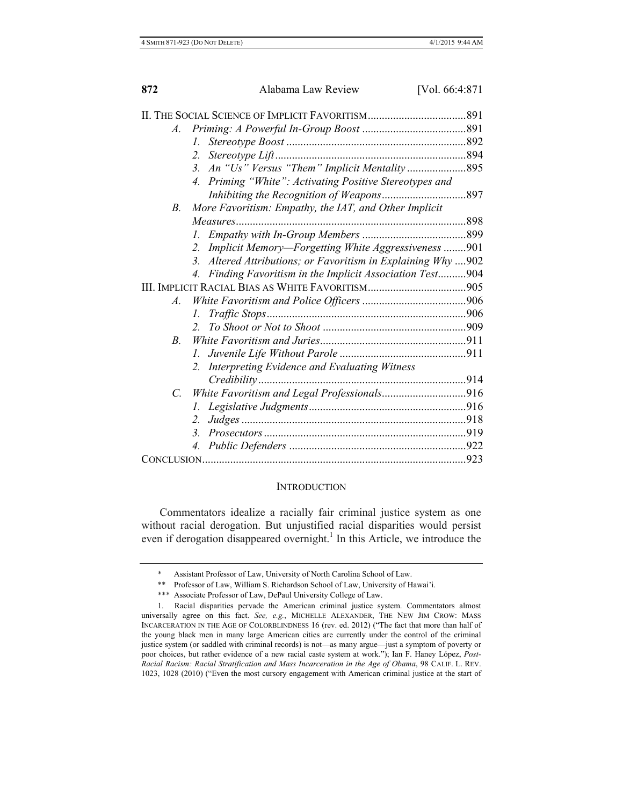| A.                 |                                                                                 |  |
|--------------------|---------------------------------------------------------------------------------|--|
|                    | L.                                                                              |  |
|                    | 2.                                                                              |  |
|                    |                                                                                 |  |
|                    | 4. Priming "White": Activating Positive Stereotypes and                         |  |
|                    |                                                                                 |  |
| В.                 | More Favoritism: Empathy, the IAT, and Other Implicit                           |  |
|                    |                                                                                 |  |
|                    |                                                                                 |  |
|                    | Implicit Memory-Forgetting White Aggressiveness 901<br>2.                       |  |
|                    | Altered Attributions; or Favoritism in Explaining Why  902<br>3 <sub>1</sub>    |  |
|                    | Finding Favoritism in the Implicit Association Test904<br>$\mathcal{A}_{\cdot}$ |  |
|                    |                                                                                 |  |
| $\boldsymbol{A}$ . |                                                                                 |  |
|                    | L.                                                                              |  |
|                    | $2^{\circ}$                                                                     |  |
| $\overline{B}$     |                                                                                 |  |
|                    |                                                                                 |  |
|                    | 2. Interpreting Evidence and Evaluating Witness                                 |  |
|                    |                                                                                 |  |
| C.                 | White Favoritism and Legal Professionals916                                     |  |
|                    | I.                                                                              |  |
|                    | 2.                                                                              |  |
|                    | 3 <sub>1</sub>                                                                  |  |
|                    | 4.                                                                              |  |
|                    |                                                                                 |  |
|                    |                                                                                 |  |

#### **INTRODUCTION**

Commentators idealize a racially fair criminal justice system as one without racial derogation. But unjustified racial disparities would persist even if derogation disappeared overnight.<sup>1</sup> In this Article, we introduce the

Assistant Professor of Law, University of North Carolina School of Law.

<sup>\*\*</sup> Professor of Law, William S. Richardson School of Law, University of Hawai'i.

<sup>\*\*\*</sup> Associate Professor of Law, DePaul University College of Law.

<sup>1.</sup> Racial disparities pervade the American criminal justice system. Commentators almost universally agree on this fact. *See, e.g.*, MICHELLE ALEXANDER, THE NEW JIM CROW: MASS INCARCERATION IN THE AGE OF COLORBLINDNESS 16 (rev. ed. 2012) ("The fact that more than half of the young black men in many large American cities are currently under the control of the criminal justice system (or saddled with criminal records) is not—as many argue—just a symptom of poverty or poor choices, but rather evidence of a new racial caste system at work."); Ian F. Haney López, *Post-Racial Racism: Racial Stratification and Mass Incarceration in the Age of Obama*, 98 CALIF. L. REV. 1023, 1028 (2010) ("Even the most cursory engagement with American criminal justice at the start of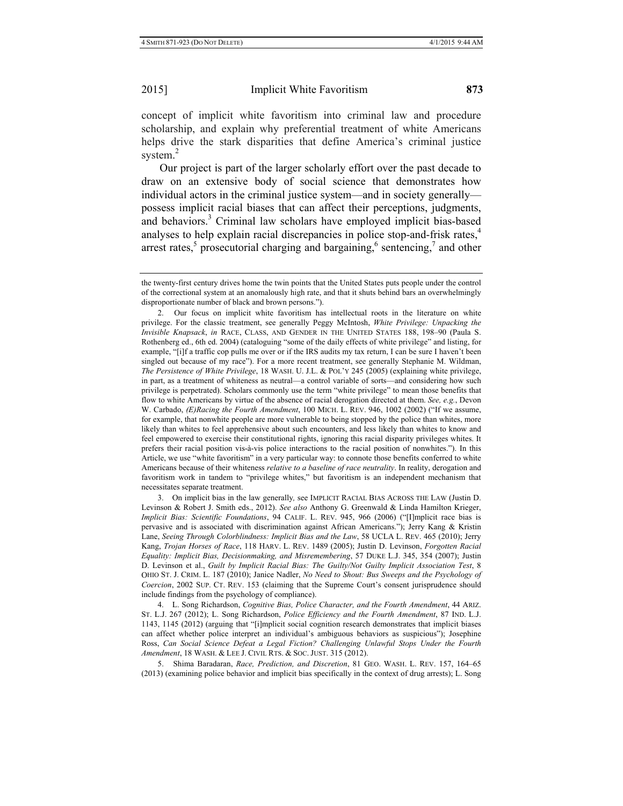concept of implicit white favoritism into criminal law and procedure scholarship, and explain why preferential treatment of white Americans helps drive the stark disparities that define America's criminal justice system. 2

Our project is part of the larger scholarly effort over the past decade to draw on an extensive body of social science that demonstrates how individual actors in the criminal justice system—and in society generally possess implicit racial biases that can affect their perceptions, judgments, and behaviors.<sup>3</sup> Criminal law scholars have employed implicit bias-based analyses to help explain racial discrepancies in police stop-and-frisk rates.<sup>4</sup> arrest rates,<sup>5</sup> prosecutorial charging and bargaining,<sup>6</sup> sentencing,<sup>7</sup> and other

3. On implicit bias in the law generally*,* see IMPLICIT RACIAL BIAS ACROSS THE LAW (Justin D. Levinson & Robert J. Smith eds., 2012). *See also* Anthony G. Greenwald & Linda Hamilton Krieger, *Implicit Bias: Scientific Foundations*, 94 CALIF. L. REV. 945, 966 (2006) ("[I]mplicit race bias is pervasive and is associated with discrimination against African Americans."); Jerry Kang & Kristin Lane, *Seeing Through Colorblindness: Implicit Bias and the Law*, 58 UCLA L. REV. 465 (2010); Jerry Kang, *Trojan Horses of Race*, 118 HARV. L. REV. 1489 (2005); Justin D. Levinson, *Forgotten Racial Equality: Implicit Bias, Decisionmaking, and Misremembering*, 57 DUKE L.J. 345, 354 (2007); Justin D. Levinson et al., *Guilt by Implicit Racial Bias: The Guilty/Not Guilty Implicit Association Test*, 8 OHIO ST. J. CRIM. L. 187 (2010); Janice Nadler, *No Need to Shout: Bus Sweeps and the Psychology of Coercion*, 2002 SUP. CT. REV. 153 (claiming that the Supreme Court's consent jurisprudence should include findings from the psychology of compliance).

4. L. Song Richardson, *Cognitive Bias, Police Character, and the Fourth Amendment*, 44 ARIZ. ST. L.J. 267 (2012); L. Song Richardson, *Police Efficiency and the Fourth Amendment*, 87 IND. L.J. 1143, 1145 (2012) (arguing that "[i]mplicit social cognition research demonstrates that implicit biases can affect whether police interpret an individual's ambiguous behaviors as suspicious"); Josephine Ross, *Can Social Science Defeat a Legal Fiction? Challenging Unlawful Stops Under the Fourth Amendment*, 18 WASH. & LEE J. CIVIL RTS. & SOC. JUST. 315 (2012).

5. Shima Baradaran, *Race, Prediction, and Discretion*, 81 GEO. WASH. L. REV. 157, 164–65 (2013) (examining police behavior and implicit bias specifically in the context of drug arrests); L. Song

the twenty-first century drives home the twin points that the United States puts people under the control of the correctional system at an anomalously high rate, and that it shuts behind bars an overwhelmingly disproportionate number of black and brown persons.").

<sup>2.</sup> Our focus on implicit white favoritism has intellectual roots in the literature on white privilege. For the classic treatment, see generally Peggy McIntosh, *White Privilege: Unpacking the Invisible Knapsack*, *in* RACE, CLASS, AND GENDER IN THE UNITED STATES 188, 198–90 (Paula S. Rothenberg ed., 6th ed. 2004) (cataloguing "some of the daily effects of white privilege" and listing, for example, "[i]f a traffic cop pulls me over or if the IRS audits my tax return, I can be sure I haven't been singled out because of my race"). For a more recent treatment, see generally Stephanie M. Wildman, *The Persistence of White Privilege*, 18 WASH. U. J.L. & POL'Y 245 (2005) (explaining white privilege, in part, as a treatment of whiteness as neutral—a control variable of sorts—and considering how such privilege is perpetrated). Scholars commonly use the term "white privilege" to mean those benefits that flow to white Americans by virtue of the absence of racial derogation directed at them. *See, e.g.*, Devon W. Carbado, *(E)Racing the Fourth Amendment*, 100 MICH. L. REV. 946, 1002 (2002) ("If we assume, for example, that nonwhite people are more vulnerable to being stopped by the police than whites, more likely than whites to feel apprehensive about such encounters, and less likely than whites to know and feel empowered to exercise their constitutional rights, ignoring this racial disparity privileges whites. It prefers their racial position vis-à-vis police interactions to the racial position of nonwhites."). In this Article, we use "white favoritism" in a very particular way: to connote those benefits conferred to white Americans because of their whiteness *relative to a baseline of race neutrality*. In reality, derogation and favoritism work in tandem to "privilege whites," but favoritism is an independent mechanism that necessitates separate treatment.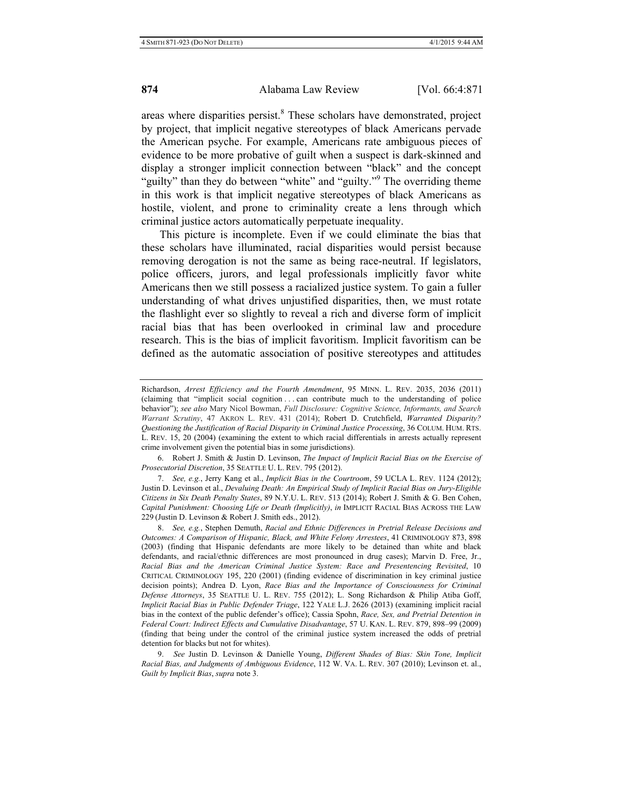areas where disparities persist.<sup>8</sup> These scholars have demonstrated, project by project, that implicit negative stereotypes of black Americans pervade the American psyche. For example, Americans rate ambiguous pieces of evidence to be more probative of guilt when a suspect is dark-skinned and display a stronger implicit connection between "black" and the concept "guilty" than they do between "white" and "guilty." The overriding theme in this work is that implicit negative stereotypes of black Americans as hostile, violent, and prone to criminality create a lens through which criminal justice actors automatically perpetuate inequality.

This picture is incomplete. Even if we could eliminate the bias that these scholars have illuminated, racial disparities would persist because removing derogation is not the same as being race-neutral. If legislators, police officers, jurors, and legal professionals implicitly favor white Americans then we still possess a racialized justice system. To gain a fuller understanding of what drives unjustified disparities, then, we must rotate the flashlight ever so slightly to reveal a rich and diverse form of implicit racial bias that has been overlooked in criminal law and procedure research. This is the bias of implicit favoritism. Implicit favoritism can be defined as the automatic association of positive stereotypes and attitudes

7. *See, e.g.*, Jerry Kang et al., *Implicit Bias in the Courtroom*, 59 UCLA L. REV. 1124 (2012); Justin D. Levinson et al., *Devaluing Death: An Empirical Study of Implicit Racial Bias on Jury-Eligible Citizens in Six Death Penalty States*, 89 N.Y.U. L. REV. 513 (2014); Robert J. Smith & G. Ben Cohen, *Capital Punishment: Choosing Life or Death (Implicitly)*, *in* IMPLICIT RACIAL BIAS ACROSS THE LAW 229 (Justin D. Levinson & Robert J. Smith eds., 2012).

8. *See, e.g.*, Stephen Demuth, *Racial and Ethnic Differences in Pretrial Release Decisions and Outcomes: A Comparison of Hispanic, Black, and White Felony Arrestees*, 41 CRIMINOLOGY 873, 898 (2003) (finding that Hispanic defendants are more likely to be detained than white and black defendants, and racial/ethnic differences are most pronounced in drug cases); Marvin D. Free, Jr., *Racial Bias and the American Criminal Justice System: Race and Presentencing Revisited*, 10 CRITICAL CRIMINOLOGY 195, 220 (2001) (finding evidence of discrimination in key criminal justice decision points); Andrea D. Lyon, *Race Bias and the Importance of Consciousness for Criminal Defense Attorneys*, 35 SEATTLE U. L. REV. 755 (2012); L. Song Richardson & Philip Atiba Goff, *Implicit Racial Bias in Public Defender Triage*, 122 YALE L.J. 2626 (2013) (examining implicit racial bias in the context of the public defender's office); Cassia Spohn, *Race, Sex, and Pretrial Detention in Federal Court: Indirect Effects and Cumulative Disadvantage*, 57 U. KAN. L. REV. 879, 898–99 (2009) (finding that being under the control of the criminal justice system increased the odds of pretrial detention for blacks but not for whites).

9. *See* Justin D. Levinson & Danielle Young, *Different Shades of Bias: Skin Tone, Implicit Racial Bias, and Judgments of Ambiguous Evidence*, 112 W. VA. L. REV. 307 (2010); Levinson et. al., *Guilt by Implicit Bias*, *supra* note 3.

Richardson, *Arrest Efficiency and the Fourth Amendment*, 95 MINN. L. REV. 2035, 2036 (2011) (claiming that "implicit social cognition . . . can contribute much to the understanding of police behavior"); *see also* Mary Nicol Bowman, *Full Disclosure: Cognitive Science, Informants, and Search Warrant Scrutiny*, 47 AKRON L. REV. 431 (2014); Robert D. Crutchfield, *Warranted Disparity? Questioning the Justification of Racial Disparity in Criminal Justice Processing*, 36 COLUM. HUM. RTS. L. REV. 15, 20 (2004) (examining the extent to which racial differentials in arrests actually represent crime involvement given the potential bias in some jurisdictions).

<sup>6.</sup> Robert J. Smith & Justin D. Levinson, *The Impact of Implicit Racial Bias on the Exercise of Prosecutorial Discretion*, 35 SEATTLE U. L. REV. 795 (2012).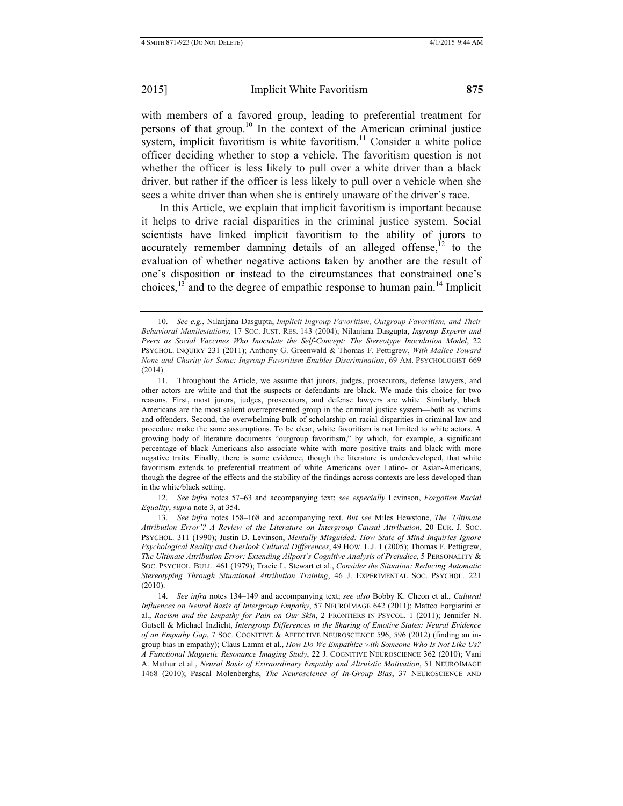with members of a favored group, leading to preferential treatment for persons of that group.<sup>10</sup> In the context of the American criminal justice system, implicit favoritism is white favoritism.<sup>11</sup> Consider a white police officer deciding whether to stop a vehicle. The favoritism question is not whether the officer is less likely to pull over a white driver than a black driver, but rather if the officer is less likely to pull over a vehicle when she sees a white driver than when she is entirely unaware of the driver's race.

In this Article, we explain that implicit favoritism is important because it helps to drive racial disparities in the criminal justice system. Social scientists have linked implicit favoritism to the ability of jurors to accurately remember damning details of an alleged offense, $^{12}$  to the evaluation of whether negative actions taken by another are the result of one's disposition or instead to the circumstances that constrained one's choices,  $13$  and to the degree of empathic response to human pain.<sup>14</sup> Implicit

12. *See infra* notes 57–63 and accompanying text; *see especially* Levinson, *Forgotten Racial Equality*, *supra* note 3, at 354.

13. *See infra* notes 158–168 and accompanying text. *But see* Miles Hewstone, *The 'Ultimate Attribution Error'? A Review of the Literature on Intergroup Causal Attribution*, 20 EUR. J. SOC. PSYCHOL. 311 (1990); Justin D. Levinson, *Mentally Misguided: How State of Mind Inquiries Ignore Psychological Reality and Overlook Cultural Differences*, 49 HOW. L.J. 1 (2005); Thomas F. Pettigrew, *The Ultimate Attribution Error: Extending Allport's Cognitive Analysis of Prejudice*, 5 PERSONALITY & SOC. PSYCHOL. BULL. 461 (1979); Tracie L. Stewart et al., *Consider the Situation: Reducing Automatic Stereotyping Through Situational Attribution Training*, 46 J. EXPERIMENTAL SOC. PSYCHOL. 221 (2010).

14. *See infra* notes 134–149 and accompanying text; *see also* Bobby K. Cheon et al., *Cultural Influences on Neural Basis of Intergroup Empathy*, 57 NEUROIMAGE 642 (2011); Matteo Forgiarini et al., *Racism and the Empathy for Pain on Our Skin*, 2 FRONTIERS IN PSYCOL. 1 (2011); Jennifer N. Gutsell & Michael Inzlicht, *Intergroup Differences in the Sharing of Emotive States: Neural Evidence of an Empathy Gap*, 7 SOC. COGNITIVE & AFFECTIVE NEUROSCIENCE 596, 596 (2012) (finding an ingroup bias in empathy); Claus Lamm et al., *How Do We Empathize with Someone Who Is Not Like Us? A Functional Magnetic Resonance Imaging Study*, 22 J. COGNITIVE NEUROSCIENCE 362 (2010); Vani A. Mathur et al., *Neural Basis of Extraordinary Empathy and Altruistic Motivation*, 51 NEUROIMAGE 1468 (2010); Pascal Molenberghs, *The Neuroscience of In-Group Bias*, 37 NEUROSCIENCE AND

<sup>10.</sup> *See e.g.*, Nilanjana Dasgupta, *Implicit Ingroup Favoritism, Outgroup Favoritism, and Their Behavioral Manifestations*, 17 SOC. JUST. RES. 143 (2004); Nilanjana Dasgupta, *Ingroup Experts and Peers as Social Vaccines Who Inoculate the Self-Concept: The Stereotype Inoculation Model*, 22 PSYCHOL. INQUIRY 231 (2011); Anthony G. Greenwald & Thomas F. Pettigrew, *With Malice Toward None and Charity for Some: Ingroup Favoritism Enables Discrimination*, 69 AM. PSYCHOLOGIST 669 (2014).

<sup>11.</sup> Throughout the Article, we assume that jurors, judges, prosecutors, defense lawyers, and other actors are white and that the suspects or defendants are black. We made this choice for two reasons. First, most jurors, judges, prosecutors, and defense lawyers are white. Similarly, black Americans are the most salient overrepresented group in the criminal justice system—both as victims and offenders. Second, the overwhelming bulk of scholarship on racial disparities in criminal law and procedure make the same assumptions. To be clear, white favoritism is not limited to white actors. A growing body of literature documents "outgroup favoritism," by which, for example, a significant percentage of black Americans also associate white with more positive traits and black with more negative traits. Finally, there is some evidence, though the literature is underdeveloped, that white favoritism extends to preferential treatment of white Americans over Latino- or Asian-Americans, though the degree of the effects and the stability of the findings across contexts are less developed than in the white/black setting.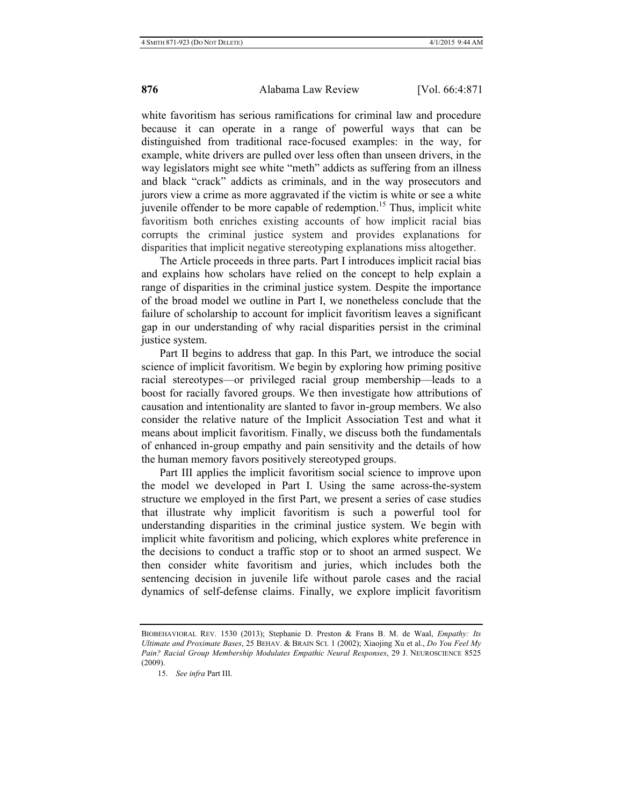white favoritism has serious ramifications for criminal law and procedure because it can operate in a range of powerful ways that can be distinguished from traditional race-focused examples: in the way, for example, white drivers are pulled over less often than unseen drivers, in the way legislators might see white "meth" addicts as suffering from an illness and black "crack" addicts as criminals, and in the way prosecutors and jurors view a crime as more aggravated if the victim is white or see a white juvenile offender to be more capable of redemption.<sup>15</sup> Thus, implicit white favoritism both enriches existing accounts of how implicit racial bias corrupts the criminal justice system and provides explanations for disparities that implicit negative stereotyping explanations miss altogether.

The Article proceeds in three parts. Part I introduces implicit racial bias and explains how scholars have relied on the concept to help explain a range of disparities in the criminal justice system. Despite the importance of the broad model we outline in Part I, we nonetheless conclude that the failure of scholarship to account for implicit favoritism leaves a significant gap in our understanding of why racial disparities persist in the criminal justice system.

Part II begins to address that gap. In this Part, we introduce the social science of implicit favoritism. We begin by exploring how priming positive racial stereotypes—or privileged racial group membership—leads to a boost for racially favored groups. We then investigate how attributions of causation and intentionality are slanted to favor in-group members. We also consider the relative nature of the Implicit Association Test and what it means about implicit favoritism. Finally, we discuss both the fundamentals of enhanced in-group empathy and pain sensitivity and the details of how the human memory favors positively stereotyped groups.

Part III applies the implicit favoritism social science to improve upon the model we developed in Part I. Using the same across-the-system structure we employed in the first Part, we present a series of case studies that illustrate why implicit favoritism is such a powerful tool for understanding disparities in the criminal justice system. We begin with implicit white favoritism and policing, which explores white preference in the decisions to conduct a traffic stop or to shoot an armed suspect. We then consider white favoritism and juries, which includes both the sentencing decision in juvenile life without parole cases and the racial dynamics of self-defense claims. Finally, we explore implicit favoritism

BIOBEHAVIORAL REV. 1530 (2013); Stephanie D. Preston & Frans B. M. de Waal, *Empathy: Its Ultimate and Proximate Bases*, 25 BEHAV. & BRAIN SCI. 1 (2002); Xiaojing Xu et al., *Do You Feel My Pain? Racial Group Membership Modulates Empathic Neural Responses*, 29 J. NEUROSCIENCE 8525 (2009).

<sup>15.</sup> *See infra* Part III.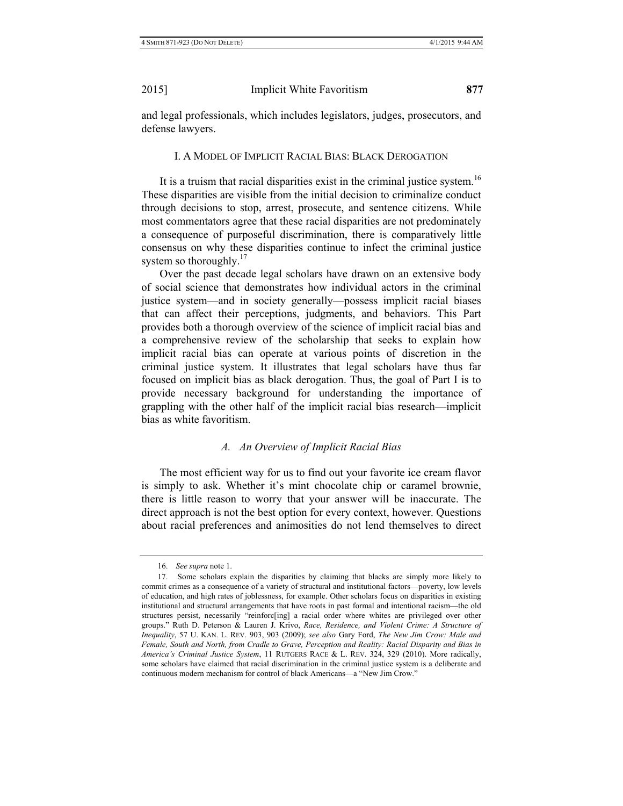# I. A MODEL OF IMPLICIT RACIAL BIAS: BLACK DEROGATION

It is a truism that racial disparities exist in the criminal justice system.<sup>16</sup> These disparities are visible from the initial decision to criminalize conduct through decisions to stop, arrest, prosecute, and sentence citizens. While most commentators agree that these racial disparities are not predominately a consequence of purposeful discrimination, there is comparatively little consensus on why these disparities continue to infect the criminal justice system so thoroughly. $17$ 

Over the past decade legal scholars have drawn on an extensive body of social science that demonstrates how individual actors in the criminal justice system—and in society generally—possess implicit racial biases that can affect their perceptions, judgments, and behaviors. This Part provides both a thorough overview of the science of implicit racial bias and a comprehensive review of the scholarship that seeks to explain how implicit racial bias can operate at various points of discretion in the criminal justice system. It illustrates that legal scholars have thus far focused on implicit bias as black derogation. Thus, the goal of Part I is to provide necessary background for understanding the importance of grappling with the other half of the implicit racial bias research—implicit bias as white favoritism.

## *A. An Overview of Implicit Racial Bias*

The most efficient way for us to find out your favorite ice cream flavor is simply to ask. Whether it's mint chocolate chip or caramel brownie, there is little reason to worry that your answer will be inaccurate. The direct approach is not the best option for every context, however. Questions about racial preferences and animosities do not lend themselves to direct

<sup>16.</sup> *See supra* note 1.

<sup>17.</sup> Some scholars explain the disparities by claiming that blacks are simply more likely to commit crimes as a consequence of a variety of structural and institutional factors—poverty, low levels of education, and high rates of joblessness, for example. Other scholars focus on disparities in existing institutional and structural arrangements that have roots in past formal and intentional racism—the old structures persist, necessarily "reinforc[ing] a racial order where whites are privileged over other groups." Ruth D. Peterson & Lauren J. Krivo, *Race, Residence, and Violent Crime: A Structure of Inequality*, 57 U. KAN. L. REV. 903, 903 (2009); *see also* Gary Ford, *The New Jim Crow: Male and Female, South and North, from Cradle to Grave, Perception and Reality: Racial Disparity and Bias in America's Criminal Justice System*, 11 RUTGERS RACE & L. REV. 324, 329 (2010). More radically, some scholars have claimed that racial discrimination in the criminal justice system is a deliberate and continuous modern mechanism for control of black Americans—a "New Jim Crow."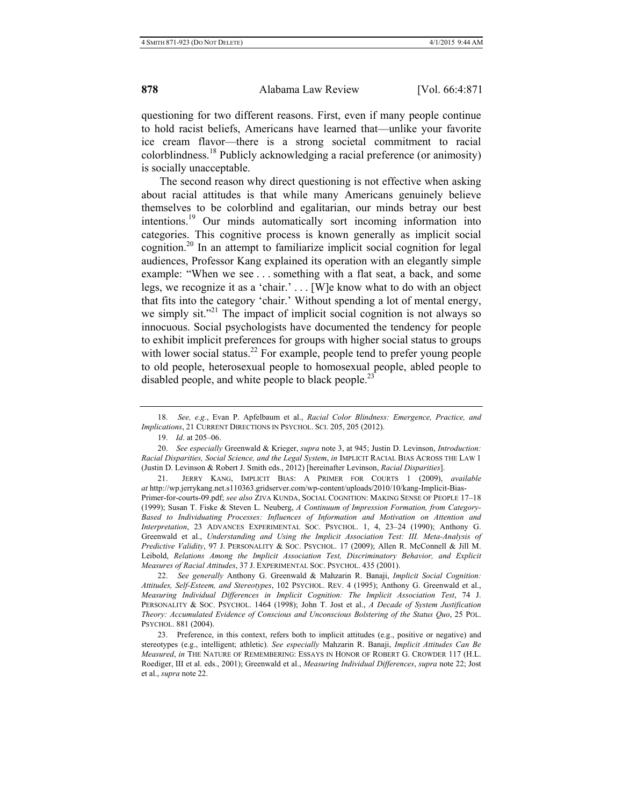questioning for two different reasons. First, even if many people continue to hold racist beliefs, Americans have learned that—unlike your favorite ice cream flavor—there is a strong societal commitment to racial colorblindness.18 Publicly acknowledging a racial preference (or animosity) is socially unacceptable.

The second reason why direct questioning is not effective when asking about racial attitudes is that while many Americans genuinely believe themselves to be colorblind and egalitarian, our minds betray our best intentions.19 Our minds automatically sort incoming information into categories. This cognitive process is known generally as implicit social cognition.<sup>20</sup> In an attempt to familiarize implicit social cognition for legal audiences, Professor Kang explained its operation with an elegantly simple example: "When we see . . . something with a flat seat, a back, and some legs, we recognize it as a 'chair.' . . . [W]e know what to do with an object that fits into the category 'chair.' Without spending a lot of mental energy, we simply sit."<sup>21</sup> The impact of implicit social cognition is not always so innocuous. Social psychologists have documented the tendency for people to exhibit implicit preferences for groups with higher social status to groups with lower social status.<sup>22</sup> For example, people tend to prefer young people to old people, heterosexual people to homosexual people, abled people to disabled people, and white people to black people.<sup>23</sup>

22. *See generally* Anthony G. Greenwald & Mahzarin R. Banaji, *Implicit Social Cognition: Attitudes, Self-Esteem, and Stereotypes*, 102 PSYCHOL. REV. 4 (1995); Anthony G. Greenwald et al., *Measuring Individual Differences in Implicit Cognition: The Implicit Association Test*, 74 J. PERSONALITY & SOC. PSYCHOL. 1464 (1998); John T. Jost et al., *A Decade of System Justification Theory: Accumulated Evidence of Conscious and Unconscious Bolstering of the Status Quo*, 25 POL. PSYCHOL. 881 (2004).

<sup>18.</sup> *See, e.g.*, Evan P. Apfelbaum et al., *Racial Color Blindness: Emergence, Practice, and Implications*, 21 CURRENT DIRECTIONS IN PSYCHOL. SCI. 205, 205 (2012).

<sup>19.</sup> *Id*. at 205–06.

<sup>20.</sup> *See especially* Greenwald & Krieger, *supra* note 3, at 945; Justin D. Levinson, *Introduction: Racial Disparities, Social Science, and the Legal System*, *in* IMPLICIT RACIAL BIAS ACROSS THE LAW 1 (Justin D. Levinson & Robert J. Smith eds., 2012) [hereinafter Levinson, *Racial Disparities*].

<sup>21.</sup> JERRY KANG, IMPLICIT BIAS: A PRIMER FOR COURTS 1 (2009), *available at* http://wp.jerrykang.net.s110363.gridserver.com/wp-content/uploads/2010/10/kang-Implicit-Bias-Primer-for-courts-09.pdf; *see also* ZIVA KUNDA, SOCIAL COGNITION: MAKING SENSE OF PEOPLE 17–18 (1999); Susan T. Fiske & Steven L. Neuberg, *A Continuum of Impression Formation, from Category-Based to Individuating Processes: Influences of Information and Motivation on Attention and Interpretation*, 23 ADVANCES EXPERIMENTAL SOC. PSYCHOL. 1, 4, 23–24 (1990); Anthony G. Greenwald et al., *Understanding and Using the Implicit Association Test: III. Meta-Analysis of Predictive Validity*, 97 J. PERSONALITY & SOC. PSYCHOL. 17 (2009); Allen R. McConnell & Jill M. Leibold, *Relations Among the Implicit Association Test, Discriminatory Behavior, and Explicit Measures of Racial Attitudes*, 37 J. EXPERIMENTAL SOC. PSYCHOL. 435 (2001).

<sup>23.</sup> Preference, in this context, refers both to implicit attitudes (e.g., positive or negative) and stereotypes (e.g., intelligent; athletic). *See especially* Mahzarin R. Banaji, *Implicit Attitudes Can Be Measured*, *in* THE NATURE OF REMEMBERING: ESSAYS IN HONOR OF ROBERT G. CROWDER 117 (H.L. Roediger, III et al. eds., 2001); Greenwald et al., *Measuring Individual Differences*, *supra* note 22; Jost et al., *supra* note 22.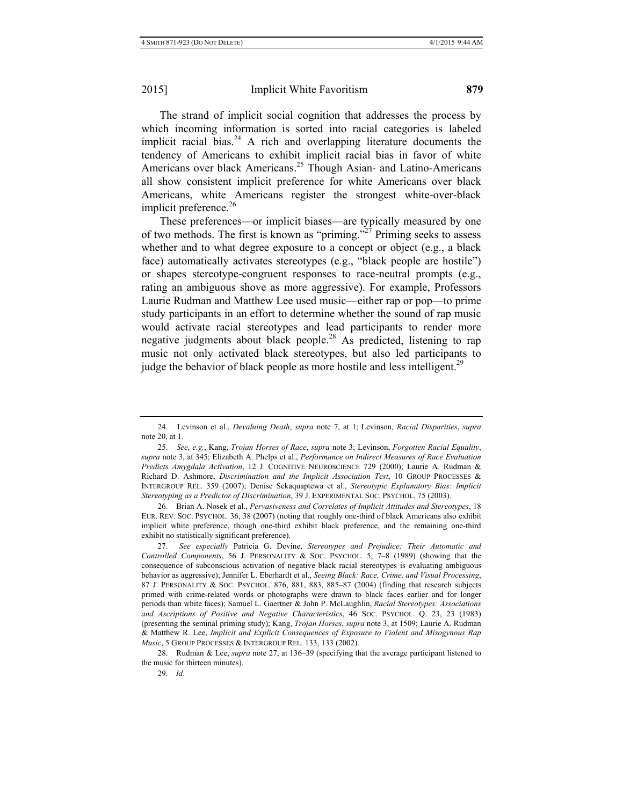The strand of implicit social cognition that addresses the process by which incoming information is sorted into racial categories is labeled implicit racial bias.<sup>24</sup> A rich and overlapping literature documents the tendency of Americans to exhibit implicit racial bias in favor of white Americans over black Americans.<sup>25</sup> Though Asian- and Latino-Americans all show consistent implicit preference for white Americans over black Americans, white Americans register the strongest white-over-black implicit preference. $26$ 

These preferences—or implicit biases—are typically measured by one of two methods. The first is known as "priming."<sup>27</sup> Priming seeks to assess whether and to what degree exposure to a concept or object (e.g., a black face) automatically activates stereotypes (e.g., "black people are hostile") or shapes stereotype-congruent responses to race-neutral prompts (e.g., rating an ambiguous shove as more aggressive). For example, Professors Laurie Rudman and Matthew Lee used music—either rap or pop—to prime study participants in an effort to determine whether the sound of rap music would activate racial stereotypes and lead participants to render more negative judgments about black people.<sup>28</sup> As predicted, listening to rap music not only activated black stereotypes, but also led participants to judge the behavior of black people as more hostile and less intelligent.<sup>29</sup>

26. Brian A. Nosek et al., *Pervasiveness and Correlates of Implicit Attitudes and Stereotypes*, 18 EUR. REV. SOC. PSYCHOL. 36, 38 (2007) (noting that roughly one-third of black Americans also exhibit implicit white preference, though one-third exhibit black preference, and the remaining one-third exhibit no statistically significant preference).

27. *See especially* Patricia G. Devine, *Stereotypes and Prejudice: Their Automatic and Controlled Components*, 56 J. PERSONALITY & SOC. PSYCHOL. 5, 7–8 (1989) (showing that the consequence of subconscious activation of negative black racial stereotypes is evaluating ambiguous behavior as aggressive); Jennifer L. Eberhardt et al., *Seeing Black: Race, Crime, and Visual Processing*, 87 J. PERSONALITY & SOC. PSYCHOL. 876, 881, 883, 885–87 (2004) (finding that research subjects primed with crime-related words or photographs were drawn to black faces earlier and for longer periods than white faces); Samuel L. Gaertner & John P. McLaughlin, *Racial Stereotypes: Associations and Ascriptions of Positive and Negative Characteristics*, 46 SOC. PSYCHOL. Q. 23, 23 (1983) (presenting the seminal priming study); Kang, *Trojan Horses*, *supra* note 3, at 1509; Laurie A. Rudman & Matthew R. Lee, *Implicit and Explicit Consequences of Exposure to Violent and Misogynous Rap Music*, 5 GROUP PROCESSES & INTERGROUP REL. 133, 133 (2002).

28. Rudman & Lee, *supra* note 27, at 136–39 (specifying that the average participant listened to the music for thirteen minutes).

<sup>24.</sup> Levinson et al., *Devaluing Death*, *supra* note 7, at 1; Levinson, *Racial Disparities*, *supra* note 20, at 1.

<sup>25.</sup> *See, e.g.*, Kang, *Trojan Horses of Race*, *supra* note 3; Levinson, *Forgotten Racial Equality*, *supra* note 3, at 345; Elizabeth A. Phelps et al., *Performance on Indirect Measures of Race Evaluation Predicts Amygdala Activation*, 12 J. COGNITIVE NEUROSCIENCE 729 (2000); Laurie A. Rudman & Richard D. Ashmore, *Discrimination and the Implicit Association Test*, 10 GROUP PROCESSES & INTERGROUP REL. 359 (2007); Denise Sekaquaptewa et al., *Stereotypic Explanatory Bias: Implicit Stereotyping as a Predictor of Discrimination*, 39 J. EXPERIMENTAL SOC. PSYCHOL. 75 (2003).

<sup>29.</sup> *Id*.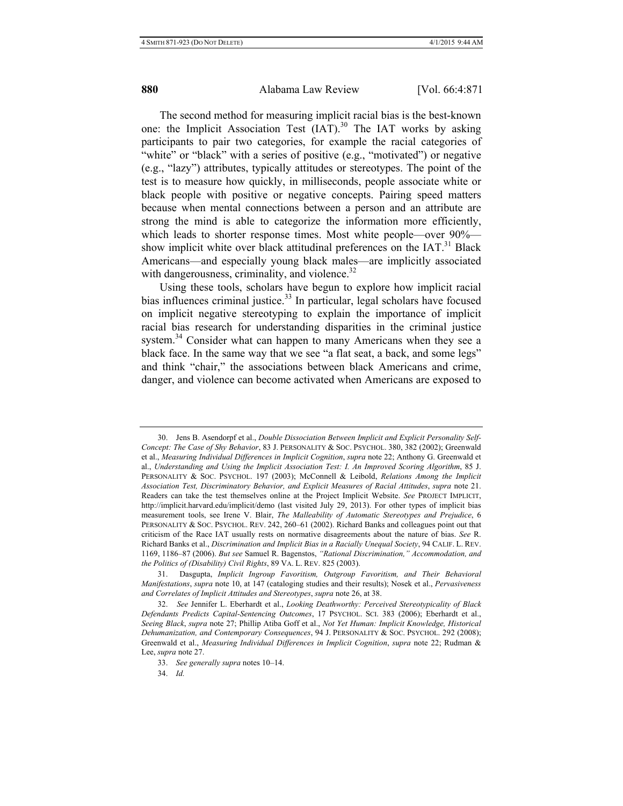The second method for measuring implicit racial bias is the best-known one: the Implicit Association Test (IAT).<sup>30</sup> The IAT works by asking participants to pair two categories, for example the racial categories of "white" or "black" with a series of positive (e.g., "motivated") or negative (e.g., "lazy") attributes, typically attitudes or stereotypes. The point of the test is to measure how quickly, in milliseconds, people associate white or black people with positive or negative concepts. Pairing speed matters because when mental connections between a person and an attribute are strong the mind is able to categorize the information more efficiently, which leads to shorter response times. Most white people—over 90% show implicit white over black attitudinal preferences on the  $IAT$ <sup>31</sup> Black Americans—and especially young black males—are implicitly associated with dangerousness, criminality, and violence.<sup>32</sup>

Using these tools, scholars have begun to explore how implicit racial bias influences criminal justice.<sup>33</sup> In particular, legal scholars have focused on implicit negative stereotyping to explain the importance of implicit racial bias research for understanding disparities in the criminal justice system.<sup>34</sup> Consider what can happen to many Americans when they see a black face. In the same way that we see "a flat seat, a back, and some legs" and think "chair," the associations between black Americans and crime, danger, and violence can become activated when Americans are exposed to

<sup>30.</sup> Jens B. Asendorpf et al., *Double Dissociation Between Implicit and Explicit Personality Self-Concept: The Case of Shy Behavior*, 83 J. PERSONALITY & SOC. PSYCHOL. 380, 382 (2002); Greenwald et al., *Measuring Individual Differences in Implicit Cognition*, *supra* note 22; Anthony G. Greenwald et al., *Understanding and Using the Implicit Association Test: I. An Improved Scoring Algorithm*, 85 J. PERSONALITY & SOC. PSYCHOL. 197 (2003); McConnell & Leibold, *Relations Among the Implicit Association Test, Discriminatory Behavior, and Explicit Measures of Racial Attitudes*, *supra* note 21. Readers can take the test themselves online at the Project Implicit Website. *See* PROJECT IMPLICIT, http://implicit.harvard.edu/implicit/demo (last visited July 29, 2013). For other types of implicit bias measurement tools, see Irene V. Blair, *The Malleability of Automatic Stereotypes and Prejudice*, 6 PERSONALITY & SOC. PSYCHOL. REV. 242, 260–61 (2002). Richard Banks and colleagues point out that criticism of the Race IAT usually rests on normative disagreements about the nature of bias. *See* R. Richard Banks et al., *Discrimination and Implicit Bias in a Racially Unequal Society*, 94 CALIF. L. REV. 1169, 1186–87 (2006). *But see* Samuel R. Bagenstos, *"Rational Discrimination," Accommodation, and the Politics of (Disability) Civil Rights*, 89 VA. L. REV. 825 (2003).

<sup>31.</sup> Dasgupta, *Implicit Ingroup Favoritism, Outgroup Favoritism, and Their Behavioral Manifestations*, *supra* note 10, at 147 (cataloging studies and their results); Nosek et al., *Pervasiveness and Correlates of Implicit Attitudes and Stereotypes*, *supra* note 26, at 38.

<sup>32.</sup> *See* Jennifer L. Eberhardt et al., *Looking Deathworthy: Perceived Stereotypicality of Black Defendants Predicts Capital-Sentencing Outcomes*, 17 PSYCHOL. SCI. 383 (2006); Eberhardt et al., *Seeing Black*, *supra* note 27; Phillip Atiba Goff et al., *Not Yet Human: Implicit Knowledge, Historical Dehumanization, and Contemporary Consequences*, 94 J. PERSONALITY & SOC. PSYCHOL. 292 (2008); Greenwald et al., *Measuring Individual Differences in Implicit Cognition*, *supra* note 22; Rudman & Lee, *supra* note 27.

<sup>33.</sup> *See generally supra* notes 10–14.

<sup>34.</sup> *Id.*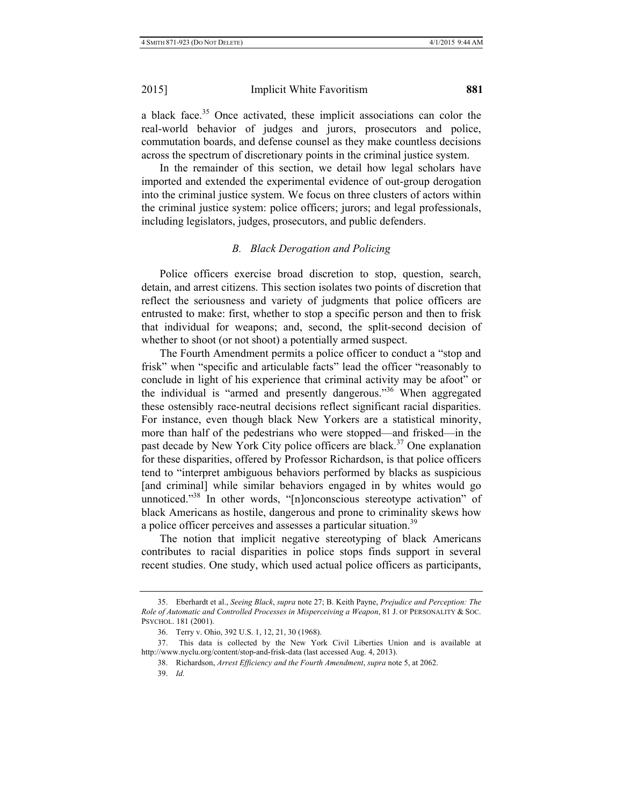a black face.<sup>35</sup> Once activated, these implicit associations can color the real-world behavior of judges and jurors, prosecutors and police, commutation boards, and defense counsel as they make countless decisions across the spectrum of discretionary points in the criminal justice system.

In the remainder of this section, we detail how legal scholars have imported and extended the experimental evidence of out-group derogation into the criminal justice system. We focus on three clusters of actors within the criminal justice system: police officers; jurors; and legal professionals, including legislators, judges, prosecutors, and public defenders.

# *B. Black Derogation and Policing*

Police officers exercise broad discretion to stop, question, search, detain, and arrest citizens. This section isolates two points of discretion that reflect the seriousness and variety of judgments that police officers are entrusted to make: first, whether to stop a specific person and then to frisk that individual for weapons; and, second, the split-second decision of whether to shoot (or not shoot) a potentially armed suspect.

The Fourth Amendment permits a police officer to conduct a "stop and frisk" when "specific and articulable facts" lead the officer "reasonably to conclude in light of his experience that criminal activity may be afoot" or the individual is "armed and presently dangerous."<sup>36</sup> When aggregated these ostensibly race-neutral decisions reflect significant racial disparities. For instance, even though black New Yorkers are a statistical minority, more than half of the pedestrians who were stopped—and frisked—in the past decade by New York City police officers are black.<sup>37</sup> One explanation for these disparities, offered by Professor Richardson, is that police officers tend to "interpret ambiguous behaviors performed by blacks as suspicious [and criminal] while similar behaviors engaged in by whites would go unnoticed."<sup>38</sup> In other words, "[n]onconscious stereotype activation" of black Americans as hostile, dangerous and prone to criminality skews how a police officer perceives and assesses a particular situation.<sup>39</sup>

The notion that implicit negative stereotyping of black Americans contributes to racial disparities in police stops finds support in several recent studies. One study, which used actual police officers as participants,

<sup>35.</sup> Eberhardt et al., *Seeing Black*, *supra* note 27; B. Keith Payne, *Prejudice and Perception: The Role of Automatic and Controlled Processes in Misperceiving a Weapon*, 81 J. OF PERSONALITY & SOC. PSYCHOL. 181 (2001).

<sup>36.</sup> Terry v. Ohio, 392 U.S. 1, 12, 21, 30 (1968).

<sup>37.</sup> This data is collected by the New York Civil Liberties Union and is available at http://www.nyclu.org/content/stop-and-frisk-data (last accessed Aug. 4, 2013).

<sup>38.</sup> Richardson, *Arrest Efficiency and the Fourth Amendment*, *supra* note 5, at 2062.

<sup>39.</sup> *Id.*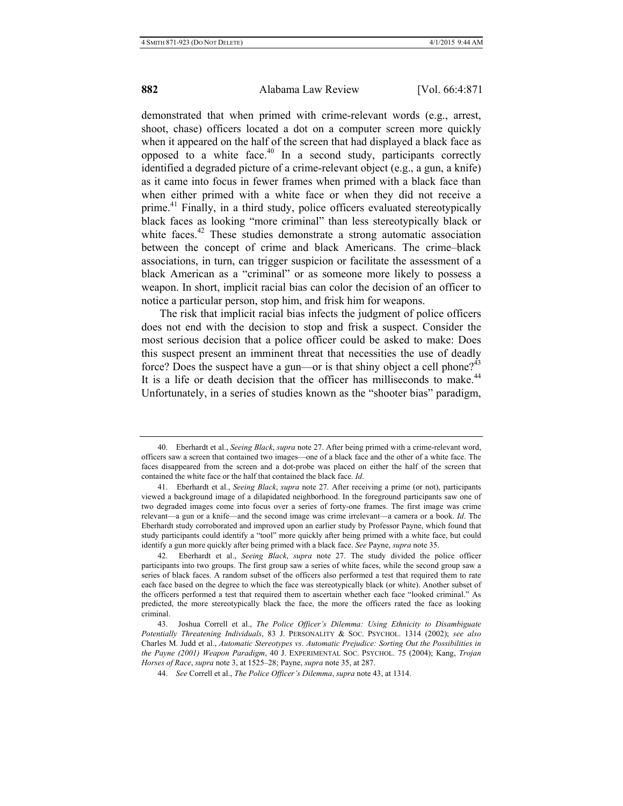demonstrated that when primed with crime-relevant words (e.g., arrest, shoot, chase) officers located a dot on a computer screen more quickly when it appeared on the half of the screen that had displayed a black face as opposed to a white face. $40$  In a second study, participants correctly identified a degraded picture of a crime-relevant object (e.g., a gun, a knife) as it came into focus in fewer frames when primed with a black face than when either primed with a white face or when they did not receive a prime.<sup>41</sup> Finally, in a third study, police officers evaluated stereotypically black faces as looking "more criminal" than less stereotypically black or white faces.<sup>42</sup> These studies demonstrate a strong automatic association between the concept of crime and black Americans. The crime–black associations, in turn, can trigger suspicion or facilitate the assessment of a black American as a "criminal" or as someone more likely to possess a weapon. In short, implicit racial bias can color the decision of an officer to notice a particular person, stop him, and frisk him for weapons.

The risk that implicit racial bias infects the judgment of police officers does not end with the decision to stop and frisk a suspect. Consider the most serious decision that a police officer could be asked to make: Does this suspect present an imminent threat that necessities the use of deadly force? Does the suspect have a gun—or is that shiny object a cell phone?<sup>43</sup> It is a life or death decision that the officer has milliseconds to make. $44$ Unfortunately, in a series of studies known as the "shooter bias" paradigm,

<sup>40.</sup> Eberhardt et al., *Seeing Black*, *supra* note 27. After being primed with a crime-relevant word, officers saw a screen that contained two images—one of a black face and the other of a white face. The faces disappeared from the screen and a dot-probe was placed on either the half of the screen that contained the white face or the half that contained the black face. *Id*.

<sup>41.</sup> Eberhardt et al., *Seeing Black*, *supra* note 27*.* After receiving a prime (or not), participants viewed a background image of a dilapidated neighborhood. In the foreground participants saw one of two degraded images come into focus over a series of forty-one frames. The first image was crime relevant—a gun or a knife—and the second image was crime irrelevant—a camera or a book. *Id*. The Eberhardt study corroborated and improved upon an earlier study by Professor Payne, which found that study participants could identify a "tool" more quickly after being primed with a white face, but could identify a gun more quickly after being primed with a black face. *See* Payne, *supra* note 35.

<sup>42.</sup> Eberhardt et al., *Seeing Black*, *supra* note 27. The study divided the police officer participants into two groups. The first group saw a series of white faces, while the second group saw a series of black faces. A random subset of the officers also performed a test that required them to rate each face based on the degree to which the face was stereotypically black (or white). Another subset of the officers performed a test that required them to ascertain whether each face "looked criminal." As predicted, the more stereotypically black the face, the more the officers rated the face as looking criminal.

<sup>43.</sup> Joshua Correll et al., *The Police Officer's Dilemma: Using Ethnicity to Disambiguate Potentially Threatening Individuals*, 83 J. PERSONALITY & SOC. PSYCHOL. 1314 (2002); *see also*  Charles M. Judd et al., *Automatic Stereotypes vs. Automatic Prejudice: Sorting Out the Possibilities in the Payne (2001) Weapon Paradigm*, 40 J. EXPERIMENTAL SOC. PSYCHOL. 75 (2004); Kang, *Trojan Horses of Race*, *supra* note 3, at 1525–28; Payne, *supra* note 35, at 287.

<sup>44.</sup> *See* Correll et al., *The Police Officer's Dilemma*, *supra* note 43, at 1314.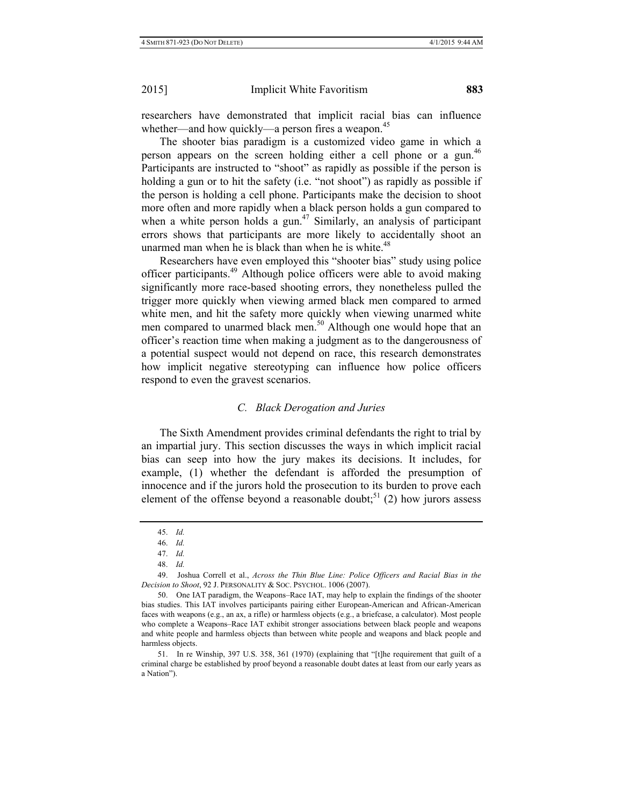researchers have demonstrated that implicit racial bias can influence whether—and how quickly—a person fires a weapon.<sup>45</sup>

The shooter bias paradigm is a customized video game in which a person appears on the screen holding either a cell phone or a gun.<sup>46</sup> Participants are instructed to "shoot" as rapidly as possible if the person is holding a gun or to hit the safety (i.e. "not shoot") as rapidly as possible if the person is holding a cell phone. Participants make the decision to shoot more often and more rapidly when a black person holds a gun compared to when a white person holds a gun.<sup>47</sup> Similarly, an analysis of participant errors shows that participants are more likely to accidentally shoot an unarmed man when he is black than when he is white. $48$ 

Researchers have even employed this "shooter bias" study using police officer participants.49 Although police officers were able to avoid making significantly more race-based shooting errors, they nonetheless pulled the trigger more quickly when viewing armed black men compared to armed white men, and hit the safety more quickly when viewing unarmed white men compared to unarmed black men.<sup>50</sup> Although one would hope that an officer's reaction time when making a judgment as to the dangerousness of a potential suspect would not depend on race, this research demonstrates how implicit negative stereotyping can influence how police officers respond to even the gravest scenarios.

## *C. Black Derogation and Juries*

The Sixth Amendment provides criminal defendants the right to trial by an impartial jury. This section discusses the ways in which implicit racial bias can seep into how the jury makes its decisions. It includes, for example, (1) whether the defendant is afforded the presumption of innocence and if the jurors hold the prosecution to its burden to prove each element of the offense beyond a reasonable doubt;<sup>51</sup> (2) how jurors assess

<sup>45.</sup> *Id.* 

<sup>46.</sup> *Id.* 

<sup>47.</sup> *Id.*

<sup>48.</sup> *Id.* 

<sup>49.</sup> Joshua Correll et al., *Across the Thin Blue Line: Police Officers and Racial Bias in the Decision to Shoot*, 92 J. PERSONALITY & SOC. PSYCHOL. 1006 (2007).

<sup>50.</sup> One IAT paradigm, the Weapons–Race IAT, may help to explain the findings of the shooter bias studies. This IAT involves participants pairing either European-American and African-American faces with weapons (e.g., an ax, a rifle) or harmless objects (e.g., a briefcase, a calculator). Most people who complete a Weapons–Race IAT exhibit stronger associations between black people and weapons and white people and harmless objects than between white people and weapons and black people and harmless objects.

<sup>51.</sup> In re Winship, 397 U.S. 358, 361 (1970) (explaining that "[t]he requirement that guilt of a criminal charge be established by proof beyond a reasonable doubt dates at least from our early years as a Nation").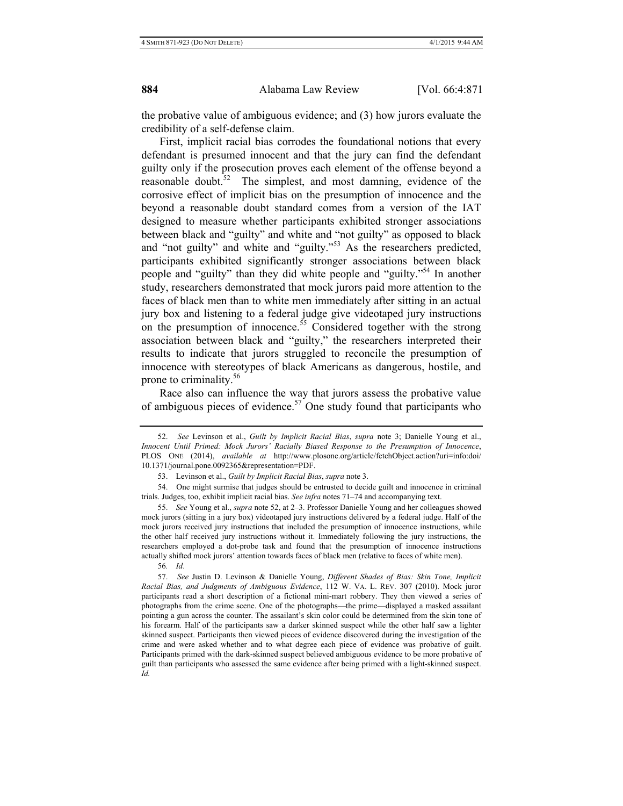the probative value of ambiguous evidence; and (3) how jurors evaluate the credibility of a self-defense claim.

First, implicit racial bias corrodes the foundational notions that every defendant is presumed innocent and that the jury can find the defendant guilty only if the prosecution proves each element of the offense beyond a reasonable doubt. $52$  The simplest, and most damning, evidence of the corrosive effect of implicit bias on the presumption of innocence and the beyond a reasonable doubt standard comes from a version of the IAT designed to measure whether participants exhibited stronger associations between black and "guilty" and white and "not guilty" as opposed to black and "not guilty" and white and "guilty."53 As the researchers predicted, participants exhibited significantly stronger associations between black people and "guilty" than they did white people and "guilty."54 In another study, researchers demonstrated that mock jurors paid more attention to the faces of black men than to white men immediately after sitting in an actual jury box and listening to a federal judge give videotaped jury instructions on the presumption of innocence.<sup>55</sup> Considered together with the strong association between black and "guilty," the researchers interpreted their results to indicate that jurors struggled to reconcile the presumption of innocence with stereotypes of black Americans as dangerous, hostile, and prone to criminality.<sup>56</sup>

Race also can influence the way that jurors assess the probative value of ambiguous pieces of evidence.<sup>57</sup> One study found that participants who

55. *See* Young et al., *supra* note 52, at 2–3. Professor Danielle Young and her colleagues showed mock jurors (sitting in a jury box) videotaped jury instructions delivered by a federal judge. Half of the mock jurors received jury instructions that included the presumption of innocence instructions, while the other half received jury instructions without it. Immediately following the jury instructions, the researchers employed a dot-probe task and found that the presumption of innocence instructions actually shifted mock jurors' attention towards faces of black men (relative to faces of white men).

56*. Id*.

57. *See* Justin D. Levinson & Danielle Young, *Different Shades of Bias: Skin Tone, Implicit Racial Bias, and Judgments of Ambiguous Evidence*, 112 W. VA. L. REV. 307 (2010). Mock juror participants read a short description of a fictional mini-mart robbery. They then viewed a series of photographs from the crime scene. One of the photographs—the prime—displayed a masked assailant pointing a gun across the counter. The assailant's skin color could be determined from the skin tone of his forearm. Half of the participants saw a darker skinned suspect while the other half saw a lighter skinned suspect. Participants then viewed pieces of evidence discovered during the investigation of the crime and were asked whether and to what degree each piece of evidence was probative of guilt. Participants primed with the dark-skinned suspect believed ambiguous evidence to be more probative of guilt than participants who assessed the same evidence after being primed with a light-skinned suspect. *Id.*

<sup>52.</sup> *See* Levinson et al., *Guilt by Implicit Racial Bias*, *supra* note 3; Danielle Young et al., *Innocent Until Primed: Mock Jurors' Racially Biased Response to the Presumption of Innocence*, PLOS ONE (2014), *available at* http://www.plosone.org/article/fetchObject.action?uri=info:doi/ 10.1371/journal.pone.0092365&representation=PDF.

<sup>53.</sup> Levinson et al., *Guilt by Implicit Racial Bias*, *supra* note 3.

<sup>54.</sup> One might surmise that judges should be entrusted to decide guilt and innocence in criminal trials. Judges, too, exhibit implicit racial bias. *See infra* notes 71–74 and accompanying text.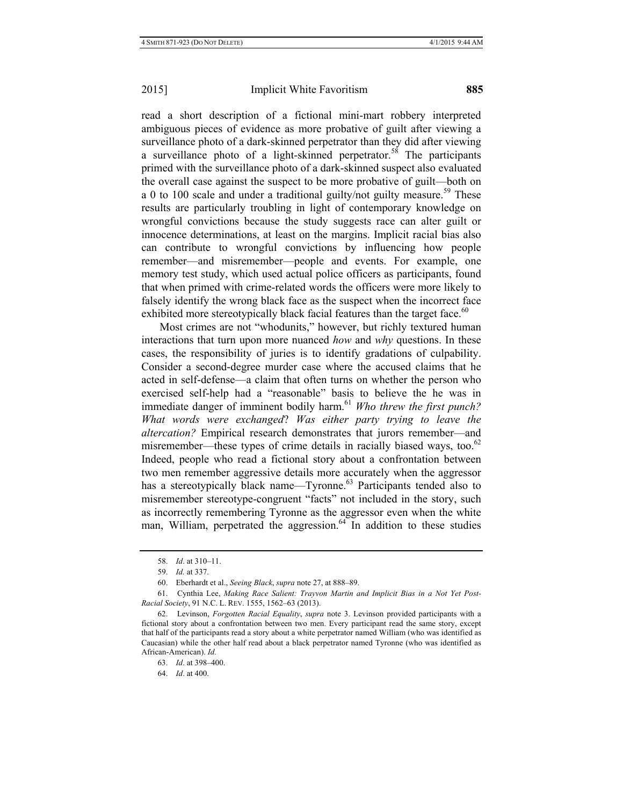read a short description of a fictional mini-mart robbery interpreted ambiguous pieces of evidence as more probative of guilt after viewing a surveillance photo of a dark-skinned perpetrator than they did after viewing a surveillance photo of a light-skinned perpetrator.<sup>58</sup> The participants primed with the surveillance photo of a dark-skinned suspect also evaluated the overall case against the suspect to be more probative of guilt—both on a 0 to 100 scale and under a traditional guilty/not guilty measure.<sup>59</sup> These results are particularly troubling in light of contemporary knowledge on wrongful convictions because the study suggests race can alter guilt or innocence determinations, at least on the margins. Implicit racial bias also can contribute to wrongful convictions by influencing how people remember—and misremember—people and events. For example, one memory test study, which used actual police officers as participants, found that when primed with crime-related words the officers were more likely to falsely identify the wrong black face as the suspect when the incorrect face exhibited more stereotypically black facial features than the target face.<sup>60</sup>

Most crimes are not "whodunits," however, but richly textured human interactions that turn upon more nuanced *how* and *why* questions. In these cases, the responsibility of juries is to identify gradations of culpability. Consider a second-degree murder case where the accused claims that he acted in self-defense—a claim that often turns on whether the person who exercised self-help had a "reasonable" basis to believe the he was in immediate danger of imminent bodily harm.<sup>61</sup> Who threw the first punch? *What words were exchanged*? *Was either party trying to leave the altercation?* Empirical research demonstrates that jurors remember—and misremember—these types of crime details in racially biased ways, too. $62$ Indeed, people who read a fictional story about a confrontation between two men remember aggressive details more accurately when the aggressor has a stereotypically black name—Tyronne.<sup>63</sup> Participants tended also to misremember stereotype-congruent "facts" not included in the story, such as incorrectly remembering Tyronne as the aggressor even when the white man, William, perpetrated the aggression.<sup>64</sup> In addition to these studies

<sup>58.</sup> *Id*. at 310–11.

<sup>59.</sup> *Id.* at 337.

<sup>60.</sup> Eberhardt et al., *Seeing Black*, *supra* note 27, at 888–89.

<sup>61.</sup> Cynthia Lee, *Making Race Salient: Trayvon Martin and Implicit Bias in a Not Yet Post-Racial Society*, 91 N.C. L. REV. 1555, 1562–63 (2013).

<sup>62.</sup> Levinson, *Forgotten Racial Equality*, *supra* note 3. Levinson provided participants with a fictional story about a confrontation between two men. Every participant read the same story, except that half of the participants read a story about a white perpetrator named William (who was identified as Caucasian) while the other half read about a black perpetrator named Tyronne (who was identified as African-American). *Id.*

<sup>63.</sup> *Id*. at 398–400.

<sup>64.</sup> *Id*. at 400.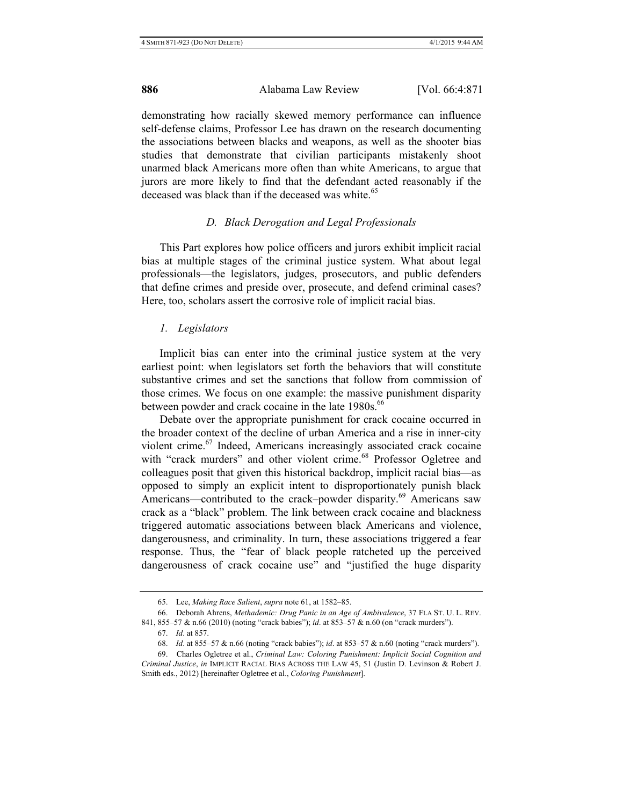demonstrating how racially skewed memory performance can influence self-defense claims, Professor Lee has drawn on the research documenting the associations between blacks and weapons, as well as the shooter bias studies that demonstrate that civilian participants mistakenly shoot unarmed black Americans more often than white Americans, to argue that jurors are more likely to find that the defendant acted reasonably if the deceased was black than if the deceased was white.<sup>65</sup>

#### *D. Black Derogation and Legal Professionals*

This Part explores how police officers and jurors exhibit implicit racial bias at multiple stages of the criminal justice system. What about legal professionals—the legislators, judges, prosecutors, and public defenders that define crimes and preside over, prosecute, and defend criminal cases? Here, too, scholars assert the corrosive role of implicit racial bias.

#### *1. Legislators*

Implicit bias can enter into the criminal justice system at the very earliest point: when legislators set forth the behaviors that will constitute substantive crimes and set the sanctions that follow from commission of those crimes. We focus on one example: the massive punishment disparity between powder and crack cocaine in the late  $1980s$ .<sup>66</sup>

Debate over the appropriate punishment for crack cocaine occurred in the broader context of the decline of urban America and a rise in inner-city violent crime.<sup>67</sup> Indeed, Americans increasingly associated crack cocaine with "crack murders" and other violent crime.<sup>68</sup> Professor Ogletree and colleagues posit that given this historical backdrop, implicit racial bias—as opposed to simply an explicit intent to disproportionately punish black Americans—contributed to the crack–powder disparity.<sup>69</sup> Americans saw crack as a "black" problem. The link between crack cocaine and blackness triggered automatic associations between black Americans and violence, dangerousness, and criminality. In turn, these associations triggered a fear response. Thus, the "fear of black people ratcheted up the perceived dangerousness of crack cocaine use" and "justified the huge disparity

<sup>65.</sup> Lee, *Making Race Salient*, *supra* note 61, at 1582–85.

<sup>66.</sup> Deborah Ahrens, *Methademic: Drug Panic in an Age of Ambivalence*, 37 FLA ST. U. L. REV. 841, 855–57 & n.66 (2010) (noting "crack babies"); *id*. at 853–57 & n.60 (on "crack murders").

<sup>67.</sup> *Id*. at 857.

<sup>68.</sup> *Id*. at 855–57 & n.66 (noting "crack babies"); *id*. at 853–57 & n.60 (noting "crack murders").

<sup>69.</sup> Charles Ogletree et al., *Criminal Law: Coloring Punishment: Implicit Social Cognition and Criminal Justice*, *in* IMPLICIT RACIAL BIAS ACROSS THE LAW 45, 51 (Justin D. Levinson & Robert J. Smith eds., 2012) [hereinafter Ogletree et al., *Coloring Punishment*].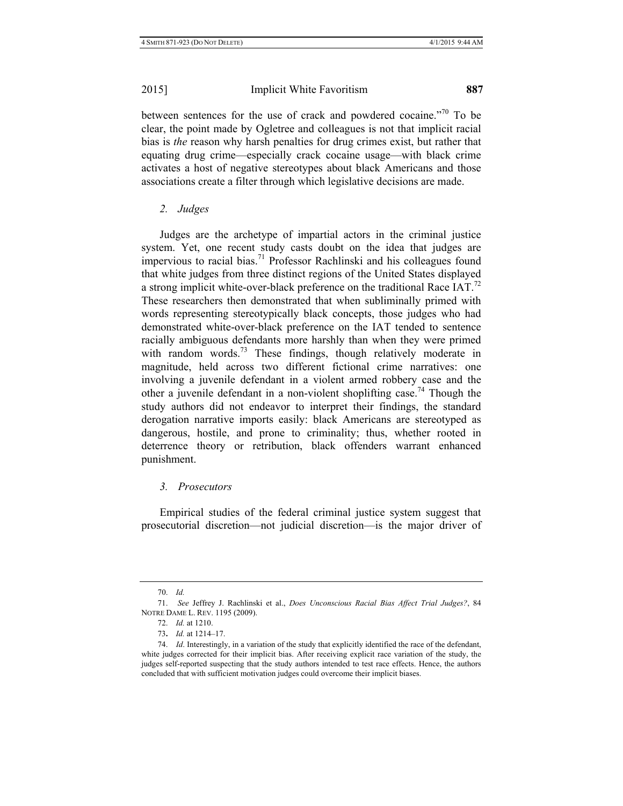between sentences for the use of crack and powdered cocaine."<sup>70</sup> To be clear, the point made by Ogletree and colleagues is not that implicit racial bias is *the* reason why harsh penalties for drug crimes exist, but rather that equating drug crime—especially crack cocaine usage—with black crime activates a host of negative stereotypes about black Americans and those associations create a filter through which legislative decisions are made.

# *2. Judges*

Judges are the archetype of impartial actors in the criminal justice system. Yet, one recent study casts doubt on the idea that judges are impervious to racial bias.<sup>71</sup> Professor Rachlinski and his colleagues found that white judges from three distinct regions of the United States displayed a strong implicit white-over-black preference on the traditional Race IAT.<sup>72</sup> These researchers then demonstrated that when subliminally primed with words representing stereotypically black concepts, those judges who had demonstrated white-over-black preference on the IAT tended to sentence racially ambiguous defendants more harshly than when they were primed with random words.<sup>73</sup> These findings, though relatively moderate in magnitude, held across two different fictional crime narratives: one involving a juvenile defendant in a violent armed robbery case and the other a juvenile defendant in a non-violent shoplifting case.<sup>74</sup> Though the study authors did not endeavor to interpret their findings, the standard derogation narrative imports easily: black Americans are stereotyped as dangerous, hostile, and prone to criminality; thus, whether rooted in deterrence theory or retribution, black offenders warrant enhanced punishment.

# *3. Prosecutors*

Empirical studies of the federal criminal justice system suggest that prosecutorial discretion—not judicial discretion—is the major driver of

<sup>70.</sup> *Id.*

<sup>71.</sup> *See* Jeffrey J. Rachlinski et al., *Does Unconscious Racial Bias Affect Trial Judges?*, 84 NOTRE DAME L. REV. 1195 (2009).

<sup>72.</sup> *Id.* at 1210.

<sup>73</sup>**.** *Id.* at 1214–17.

<sup>74.</sup> *Id*. Interestingly, in a variation of the study that explicitly identified the race of the defendant, white judges corrected for their implicit bias. After receiving explicit race variation of the study, the judges self-reported suspecting that the study authors intended to test race effects. Hence, the authors concluded that with sufficient motivation judges could overcome their implicit biases.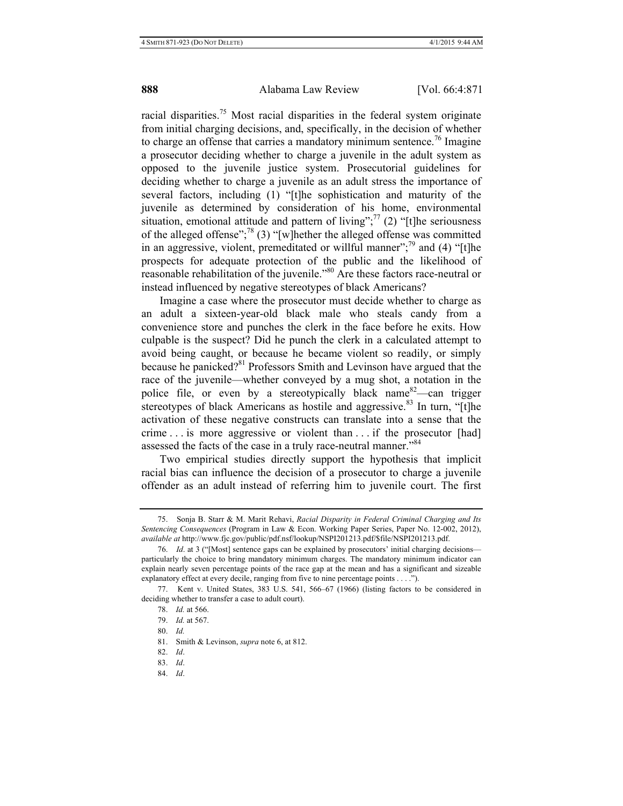racial disparities.<sup>75</sup> Most racial disparities in the federal system originate from initial charging decisions, and, specifically, in the decision of whether to charge an offense that carries a mandatory minimum sentence.<sup>76</sup> Imagine a prosecutor deciding whether to charge a juvenile in the adult system as opposed to the juvenile justice system. Prosecutorial guidelines for deciding whether to charge a juvenile as an adult stress the importance of several factors, including (1) "[t]he sophistication and maturity of the juvenile as determined by consideration of his home, environmental situation, emotional attitude and pattern of living";  $^{77}$  (2) "[t]he seriousness of the alleged offense";78 (3) "[w]hether the alleged offense was committed in an aggressive, violent, premeditated or willful manner";<sup>79</sup> and (4) "[t]he prospects for adequate protection of the public and the likelihood of reasonable rehabilitation of the juvenile."80 Are these factors race-neutral or instead influenced by negative stereotypes of black Americans?

Imagine a case where the prosecutor must decide whether to charge as an adult a sixteen-year-old black male who steals candy from a convenience store and punches the clerk in the face before he exits. How culpable is the suspect? Did he punch the clerk in a calculated attempt to avoid being caught, or because he became violent so readily, or simply because he panicked?<sup>81</sup> Professors Smith and Levinson have argued that the race of the juvenile—whether conveyed by a mug shot, a notation in the police file, or even by a stereotypically black name  $82$ —can trigger stereotypes of black Americans as hostile and aggressive.<sup>83</sup> In turn, "[t]he activation of these negative constructs can translate into a sense that the crime . . . is more aggressive or violent than . . . if the prosecutor [had] assessed the facts of the case in a truly race-neutral manner.<sup>84</sup>

Two empirical studies directly support the hypothesis that implicit racial bias can influence the decision of a prosecutor to charge a juvenile offender as an adult instead of referring him to juvenile court. The first

80. *Id.*

82. *Id*.

84. *Id*.

<sup>75.</sup> Sonja B. Starr & M. Marit Rehavi, *Racial Disparity in Federal Criminal Charging and Its Sentencing Consequences* (Program in Law & Econ. Working Paper Series, Paper No. 12-002, 2012), *available at* http://www.fjc.gov/public/pdf.nsf/lookup/NSPI201213.pdf/\$file/NSPI201213.pdf.

<sup>76.</sup> *Id.* at 3 ("[Most] sentence gaps can be explained by prosecutors' initial charging decisions particularly the choice to bring mandatory minimum charges. The mandatory minimum indicator can explain nearly seven percentage points of the race gap at the mean and has a significant and sizeable explanatory effect at every decile, ranging from five to nine percentage points . . . .").

<sup>77.</sup> Kent v. United States, 383 U.S. 541, 566–67 (1966) (listing factors to be considered in deciding whether to transfer a case to adult court).

<sup>78.</sup> *Id.* at 566.

<sup>79.</sup> *Id.* at 567.

<sup>81.</sup> Smith & Levinson, *supra* note 6, at 812.

<sup>83.</sup> *Id*.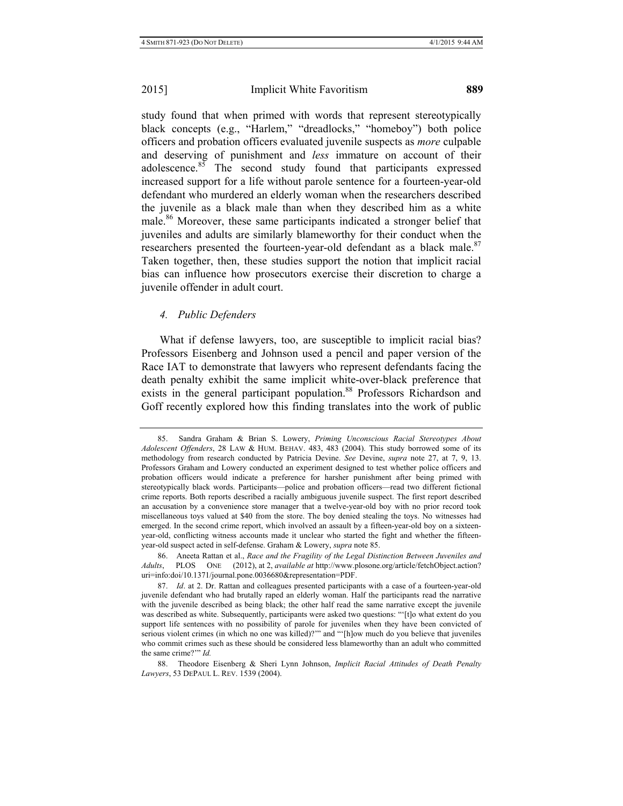study found that when primed with words that represent stereotypically black concepts (e.g., "Harlem," "dreadlocks," "homeboy") both police officers and probation officers evaluated juvenile suspects as *more* culpable and deserving of punishment and *less* immature on account of their adolescence.<sup>85</sup> The second study found that participants expressed increased support for a life without parole sentence for a fourteen-year-old defendant who murdered an elderly woman when the researchers described the juvenile as a black male than when they described him as a white male.86 Moreover, these same participants indicated a stronger belief that juveniles and adults are similarly blameworthy for their conduct when the researchers presented the fourteen-year-old defendant as a black male.<sup>87</sup> Taken together, then, these studies support the notion that implicit racial bias can influence how prosecutors exercise their discretion to charge a juvenile offender in adult court.

## *4. Public Defenders*

What if defense lawyers, too, are susceptible to implicit racial bias? Professors Eisenberg and Johnson used a pencil and paper version of the Race IAT to demonstrate that lawyers who represent defendants facing the death penalty exhibit the same implicit white-over-black preference that exists in the general participant population.<sup>88</sup> Professors Richardson and Goff recently explored how this finding translates into the work of public

88. Theodore Eisenberg & Sheri Lynn Johnson, *Implicit Racial Attitudes of Death Penalty Lawyers*, 53 DEPAUL L. REV. 1539 (2004).

<sup>85.</sup> Sandra Graham & Brian S. Lowery, *Priming Unconscious Racial Stereotypes About Adolescent Offenders*, 28 LAW & HUM. BEHAV. 483, 483 (2004). This study borrowed some of its methodology from research conducted by Patricia Devine. *See* Devine, *supra* note 27, at 7, 9, 13. Professors Graham and Lowery conducted an experiment designed to test whether police officers and probation officers would indicate a preference for harsher punishment after being primed with stereotypically black words. Participants—police and probation officers—read two different fictional crime reports. Both reports described a racially ambiguous juvenile suspect. The first report described an accusation by a convenience store manager that a twelve-year-old boy with no prior record took miscellaneous toys valued at \$40 from the store. The boy denied stealing the toys. No witnesses had emerged. In the second crime report, which involved an assault by a fifteen-year-old boy on a sixteenyear-old, conflicting witness accounts made it unclear who started the fight and whether the fifteenyear-old suspect acted in self-defense. Graham & Lowery, *supra* note 85.

<sup>86.</sup> Aneeta Rattan et al., *Race and the Fragility of the Legal Distinction Between Juveniles and Adults*, PLOS ONE (2012), at 2, *available at* http://www.plosone.org/article/fetchObject.action? uri=info:doi/10.1371/journal.pone.0036680&representation=PDF.

<sup>87.</sup> *Id*. at 2. Dr. Rattan and colleagues presented participants with a case of a fourteen-year-old juvenile defendant who had brutally raped an elderly woman. Half the participants read the narrative with the juvenile described as being black; the other half read the same narrative except the juvenile was described as white. Subsequently, participants were asked two questions: "'[t]o what extent do you support life sentences with no possibility of parole for juveniles when they have been convicted of serious violent crimes (in which no one was killed)?"" and "'[h]ow much do you believe that juveniles who commit crimes such as these should be considered less blameworthy than an adult who committed the same crime?'" *Id.*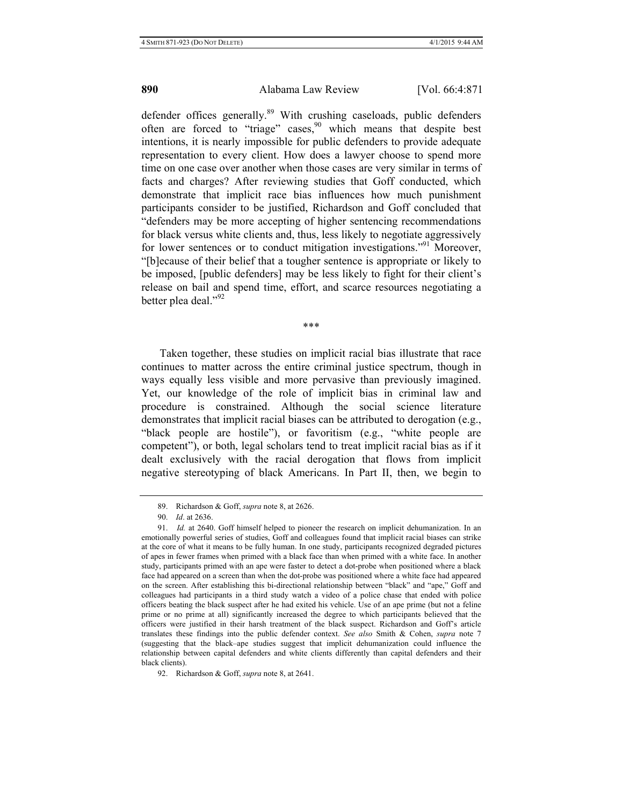defender offices generally.<sup>89</sup> With crushing caseloads, public defenders often are forced to "triage" cases,  $90$  which means that despite best intentions, it is nearly impossible for public defenders to provide adequate representation to every client. How does a lawyer choose to spend more time on one case over another when those cases are very similar in terms of facts and charges? After reviewing studies that Goff conducted, which demonstrate that implicit race bias influences how much punishment participants consider to be justified, Richardson and Goff concluded that "defenders may be more accepting of higher sentencing recommendations for black versus white clients and, thus, less likely to negotiate aggressively for lower sentences or to conduct mitigation investigations."<sup>91</sup> Moreover, "[b]ecause of their belief that a tougher sentence is appropriate or likely to be imposed, [public defenders] may be less likely to fight for their client's release on bail and spend time, effort, and scarce resources negotiating a better plea deal."92

\*\*\*

Taken together, these studies on implicit racial bias illustrate that race continues to matter across the entire criminal justice spectrum, though in ways equally less visible and more pervasive than previously imagined. Yet, our knowledge of the role of implicit bias in criminal law and procedure is constrained. Although the social science literature demonstrates that implicit racial biases can be attributed to derogation (e.g., "black people are hostile"), or favoritism (e.g., "white people are competent"), or both, legal scholars tend to treat implicit racial bias as if it dealt exclusively with the racial derogation that flows from implicit negative stereotyping of black Americans. In Part II, then, we begin to

<sup>89.</sup> Richardson & Goff, *supra* note 8, at 2626.

<sup>90.</sup> *Id*. at 2636.

<sup>91.</sup> *Id.* at 2640. Goff himself helped to pioneer the research on implicit dehumanization. In an emotionally powerful series of studies, Goff and colleagues found that implicit racial biases can strike at the core of what it means to be fully human. In one study, participants recognized degraded pictures of apes in fewer frames when primed with a black face than when primed with a white face. In another study, participants primed with an ape were faster to detect a dot-probe when positioned where a black face had appeared on a screen than when the dot-probe was positioned where a white face had appeared on the screen. After establishing this bi-directional relationship between "black" and "ape," Goff and colleagues had participants in a third study watch a video of a police chase that ended with police officers beating the black suspect after he had exited his vehicle. Use of an ape prime (but not a feline prime or no prime at all) significantly increased the degree to which participants believed that the officers were justified in their harsh treatment of the black suspect. Richardson and Goff's article translates these findings into the public defender context. *See also* Smith & Cohen, *supra* note 7 (suggesting that the black–ape studies suggest that implicit dehumanization could influence the relationship between capital defenders and white clients differently than capital defenders and their black clients).

<sup>92.</sup> Richardson & Goff, *supra* note 8, at 2641.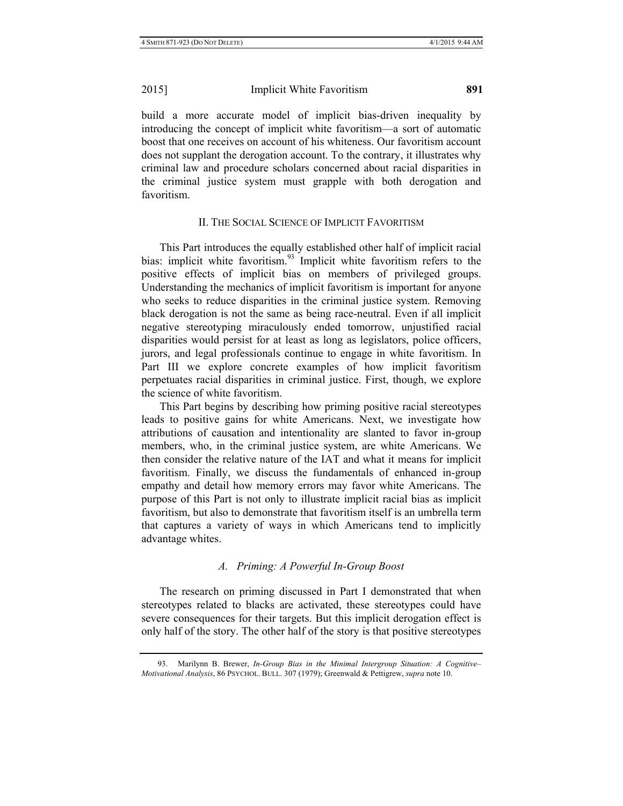build a more accurate model of implicit bias-driven inequality by introducing the concept of implicit white favoritism—a sort of automatic boost that one receives on account of his whiteness. Our favoritism account does not supplant the derogation account. To the contrary, it illustrates why criminal law and procedure scholars concerned about racial disparities in the criminal justice system must grapple with both derogation and favoritism.

# II. THE SOCIAL SCIENCE OF IMPLICIT FAVORITISM

This Part introduces the equally established other half of implicit racial bias: implicit white favoritism.<sup>93</sup> Implicit white favoritism refers to the positive effects of implicit bias on members of privileged groups. Understanding the mechanics of implicit favoritism is important for anyone who seeks to reduce disparities in the criminal justice system. Removing black derogation is not the same as being race-neutral. Even if all implicit negative stereotyping miraculously ended tomorrow, unjustified racial disparities would persist for at least as long as legislators, police officers, jurors, and legal professionals continue to engage in white favoritism. In Part III we explore concrete examples of how implicit favoritism perpetuates racial disparities in criminal justice. First, though, we explore the science of white favoritism.

This Part begins by describing how priming positive racial stereotypes leads to positive gains for white Americans. Next, we investigate how attributions of causation and intentionality are slanted to favor in-group members, who, in the criminal justice system, are white Americans. We then consider the relative nature of the IAT and what it means for implicit favoritism. Finally, we discuss the fundamentals of enhanced in-group empathy and detail how memory errors may favor white Americans. The purpose of this Part is not only to illustrate implicit racial bias as implicit favoritism, but also to demonstrate that favoritism itself is an umbrella term that captures a variety of ways in which Americans tend to implicitly advantage whites.

# *A. Priming: A Powerful In-Group Boost*

The research on priming discussed in Part I demonstrated that when stereotypes related to blacks are activated, these stereotypes could have severe consequences for their targets. But this implicit derogation effect is only half of the story. The other half of the story is that positive stereotypes

<sup>93.</sup> Marilynn B. Brewer, *In-Group Bias in the Minimal Intergroup Situation: A Cognitive– Motivational Analysis*, 86 PSYCHOL. BULL. 307 (1979); Greenwald & Pettigrew, *supra* note 10.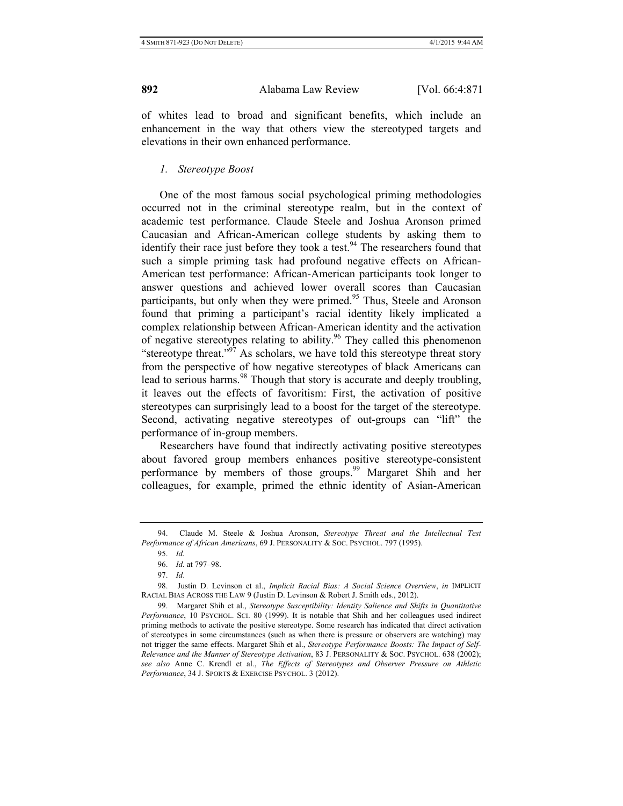of whites lead to broad and significant benefits, which include an enhancement in the way that others view the stereotyped targets and elevations in their own enhanced performance.

## *1. Stereotype Boost*

One of the most famous social psychological priming methodologies occurred not in the criminal stereotype realm, but in the context of academic test performance. Claude Steele and Joshua Aronson primed Caucasian and African-American college students by asking them to identify their race just before they took a test.<sup>94</sup> The researchers found that such a simple priming task had profound negative effects on African-American test performance: African-American participants took longer to answer questions and achieved lower overall scores than Caucasian participants, but only when they were primed.<sup>95</sup> Thus, Steele and Aronson found that priming a participant's racial identity likely implicated a complex relationship between African-American identity and the activation of negative stereotypes relating to ability.96 They called this phenomenon "stereotype threat."<sup>97</sup> As scholars, we have told this stereotype threat story from the perspective of how negative stereotypes of black Americans can lead to serious harms.<sup>98</sup> Though that story is accurate and deeply troubling, it leaves out the effects of favoritism: First, the activation of positive stereotypes can surprisingly lead to a boost for the target of the stereotype. Second, activating negative stereotypes of out-groups can "lift" the performance of in-group members.

Researchers have found that indirectly activating positive stereotypes about favored group members enhances positive stereotype-consistent performance by members of those groups.<sup>99</sup> Margaret Shih and her colleagues, for example, primed the ethnic identity of Asian-American

<sup>94.</sup> Claude M. Steele & Joshua Aronson, *Stereotype Threat and the Intellectual Test Performance of African Americans*, 69 J. PERSONALITY & SOC. PSYCHOL. 797 (1995).

<sup>95.</sup> *Id.*

<sup>96.</sup> *Id.* at 797–98.

<sup>97.</sup> *Id*.

<sup>98.</sup> Justin D. Levinson et al., *Implicit Racial Bias: A Social Science Overview*, *in* IMPLICIT RACIAL BIAS ACROSS THE LAW 9 (Justin D. Levinson & Robert J. Smith eds., 2012).

<sup>99.</sup> Margaret Shih et al., *Stereotype Susceptibility: Identity Salience and Shifts in Quantitative Performance*, 10 PSYCHOL. SCI. 80 (1999). It is notable that Shih and her colleagues used indirect priming methods to activate the positive stereotype. Some research has indicated that direct activation of stereotypes in some circumstances (such as when there is pressure or observers are watching) may not trigger the same effects. Margaret Shih et al., *Stereotype Performance Boosts: The Impact of Self-Relevance and the Manner of Stereotype Activation*, 83 J. PERSONALITY & SOC. PSYCHOL. 638 (2002); *see also* Anne C. Krendl et al., *The Effects of Stereotypes and Observer Pressure on Athletic Performance*, 34 J. SPORTS & EXERCISE PSYCHOL. 3 (2012).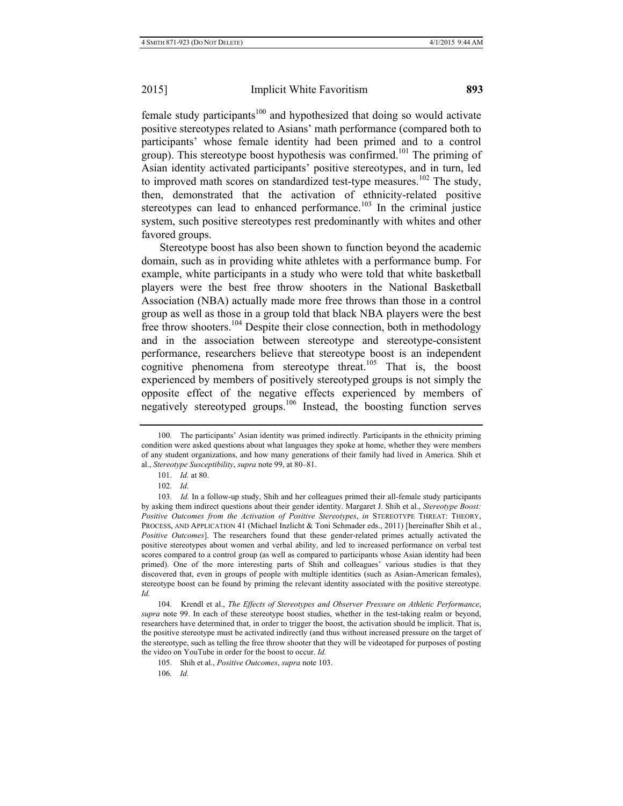female study participants<sup>100</sup> and hypothesized that doing so would activate positive stereotypes related to Asians' math performance (compared both to participants' whose female identity had been primed and to a control group). This stereotype boost hypothesis was confirmed.<sup>101</sup> The priming of Asian identity activated participants' positive stereotypes, and in turn, led to improved math scores on standardized test-type measures.<sup>102</sup> The study, then, demonstrated that the activation of ethnicity-related positive stereotypes can lead to enhanced performance.<sup>103</sup> In the criminal justice system, such positive stereotypes rest predominantly with whites and other favored groups.

Stereotype boost has also been shown to function beyond the academic domain, such as in providing white athletes with a performance bump. For example, white participants in a study who were told that white basketball players were the best free throw shooters in the National Basketball Association (NBA) actually made more free throws than those in a control group as well as those in a group told that black NBA players were the best free throw shooters.<sup>104</sup> Despite their close connection, both in methodology and in the association between stereotype and stereotype-consistent performance, researchers believe that stereotype boost is an independent cognitive phenomena from stereotype threat.<sup>105</sup> That is, the boost experienced by members of positively stereotyped groups is not simply the opposite effect of the negative effects experienced by members of negatively stereotyped groups.106 Instead, the boosting function serves

101. *Id.* at 80.

102. *Id*.

103. *Id.* In a follow-up study, Shih and her colleagues primed their all-female study participants by asking them indirect questions about their gender identity. Margaret J. Shih et al., *Stereotype Boost: Positive Outcomes from the Activation of Positive Stereotypes*, *in* STEREOTYPE THREAT: THEORY, PROCESS, AND APPLICATION 41 (Michael Inzlicht & Toni Schmader eds., 2011) [hereinafter Shih et al., *Positive Outcomes*]. The researchers found that these gender-related primes actually activated the positive stereotypes about women and verbal ability, and led to increased performance on verbal test scores compared to a control group (as well as compared to participants whose Asian identity had been primed). One of the more interesting parts of Shih and colleagues' various studies is that they discovered that, even in groups of people with multiple identities (such as Asian-American females), stereotype boost can be found by priming the relevant identity associated with the positive stereotype. *Id.*

104. Krendl et al., *The Effects of Stereotypes and Observer Pressure on Athletic Performance*, *supra* note 99. In each of these stereotype boost studies, whether in the test-taking realm or beyond, researchers have determined that, in order to trigger the boost, the activation should be implicit. That is, the positive stereotype must be activated indirectly (and thus without increased pressure on the target of the stereotype, such as telling the free throw shooter that they will be videotaped for purposes of posting the video on YouTube in order for the boost to occur. *Id.*

105. Shih et al., *Positive Outcomes*, *supra* note 103. 106. *Id.*

<sup>100.</sup> The participants' Asian identity was primed indirectly. Participants in the ethnicity priming condition were asked questions about what languages they spoke at home, whether they were members of any student organizations, and how many generations of their family had lived in America. Shih et al., *Stereotype Susceptibility*, *supra* note 99, at 80–81.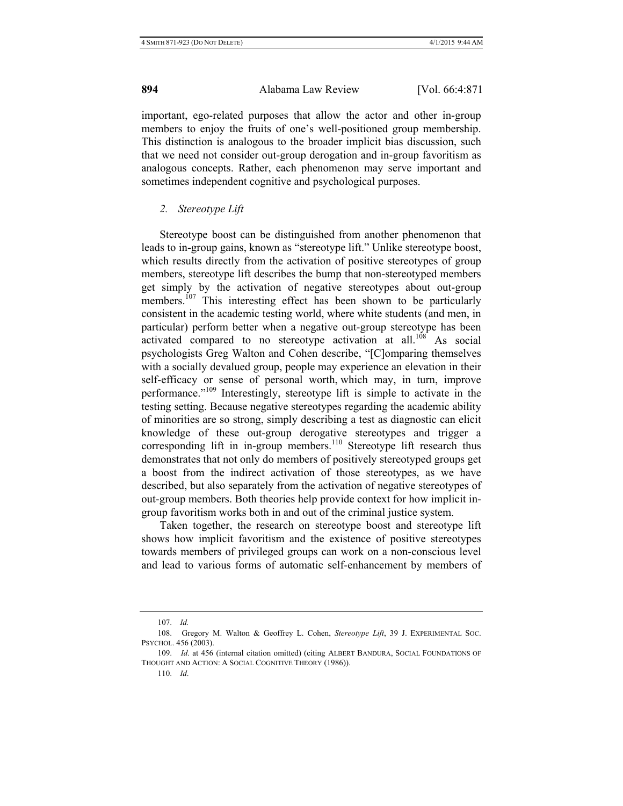important, ego-related purposes that allow the actor and other in-group members to enjoy the fruits of one's well-positioned group membership. This distinction is analogous to the broader implicit bias discussion, such that we need not consider out-group derogation and in-group favoritism as analogous concepts. Rather, each phenomenon may serve important and sometimes independent cognitive and psychological purposes.

### *2. Stereotype Lift*

Stereotype boost can be distinguished from another phenomenon that leads to in-group gains, known as "stereotype lift." Unlike stereotype boost, which results directly from the activation of positive stereotypes of group members, stereotype lift describes the bump that non-stereotyped members get simply by the activation of negative stereotypes about out-group members.<sup>107</sup> This interesting effect has been shown to be particularly consistent in the academic testing world, where white students (and men, in particular) perform better when a negative out-group stereotype has been activated compared to no stereotype activation at all.<sup>108</sup> As social psychologists Greg Walton and Cohen describe, "[C]omparing themselves with a socially devalued group, people may experience an elevation in their self-efficacy or sense of personal worth, which may, in turn, improve performance."109 Interestingly, stereotype lift is simple to activate in the testing setting. Because negative stereotypes regarding the academic ability of minorities are so strong, simply describing a test as diagnostic can elicit knowledge of these out-group derogative stereotypes and trigger a corresponding lift in in-group members.<sup>110</sup> Stereotype lift research thus demonstrates that not only do members of positively stereotyped groups get a boost from the indirect activation of those stereotypes, as we have described, but also separately from the activation of negative stereotypes of out-group members. Both theories help provide context for how implicit ingroup favoritism works both in and out of the criminal justice system.

Taken together, the research on stereotype boost and stereotype lift shows how implicit favoritism and the existence of positive stereotypes towards members of privileged groups can work on a non-conscious level and lead to various forms of automatic self-enhancement by members of

110. *Id*.

<sup>107.</sup> *Id.* 

<sup>108.</sup> Gregory M. Walton & Geoffrey L. Cohen, *Stereotype Lift*, 39 J. EXPERIMENTAL SOC. PSYCHOL. 456 (2003).

<sup>109.</sup> *Id*. at 456 (internal citation omitted) (citing ALBERT BANDURA, SOCIAL FOUNDATIONS OF THOUGHT AND ACTION: A SOCIAL COGNITIVE THEORY (1986)).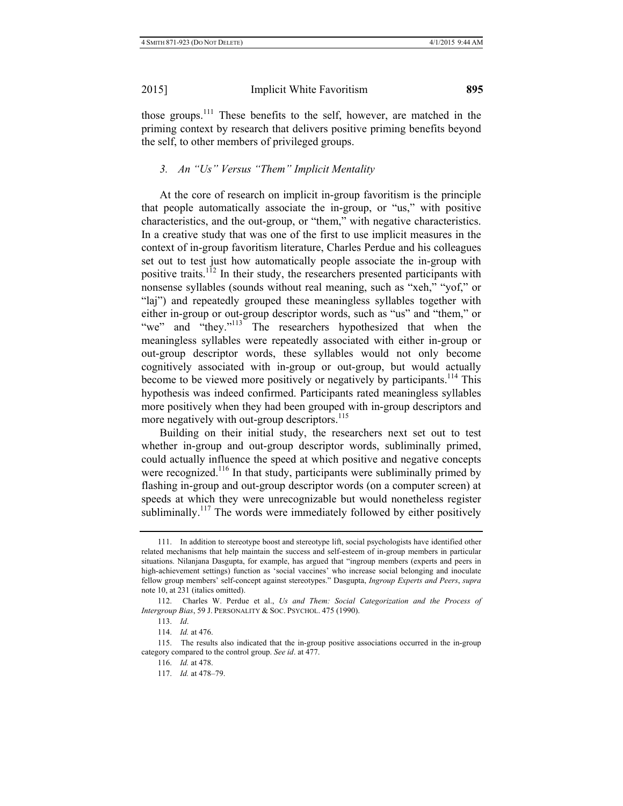those groups.111 These benefits to the self, however, are matched in the priming context by research that delivers positive priming benefits beyond the self, to other members of privileged groups.

# *3. An "Us" Versus "Them" Implicit Mentality*

At the core of research on implicit in-group favoritism is the principle that people automatically associate the in-group, or "us," with positive characteristics, and the out-group, or "them," with negative characteristics. In a creative study that was one of the first to use implicit measures in the context of in-group favoritism literature, Charles Perdue and his colleagues set out to test just how automatically people associate the in-group with positive traits.<sup>112</sup> In their study, the researchers presented participants with nonsense syllables (sounds without real meaning, such as "xeh," "yof," or "laj") and repeatedly grouped these meaningless syllables together with either in-group or out-group descriptor words, such as "us" and "them," or "we" and "they."<sup>113</sup> The researchers hypothesized that when the meaningless syllables were repeatedly associated with either in-group or out-group descriptor words, these syllables would not only become cognitively associated with in-group or out-group, but would actually become to be viewed more positively or negatively by participants.<sup>114</sup> This hypothesis was indeed confirmed. Participants rated meaningless syllables more positively when they had been grouped with in-group descriptors and more negatively with out-group descriptors.<sup>115</sup>

Building on their initial study, the researchers next set out to test whether in-group and out-group descriptor words, subliminally primed, could actually influence the speed at which positive and negative concepts were recognized.<sup>116</sup> In that study, participants were subliminally primed by flashing in-group and out-group descriptor words (on a computer screen) at speeds at which they were unrecognizable but would nonetheless register subliminally.<sup>117</sup> The words were immediately followed by either positively

<sup>111.</sup> In addition to stereotype boost and stereotype lift, social psychologists have identified other related mechanisms that help maintain the success and self-esteem of in-group members in particular situations. Nilanjana Dasgupta, for example, has argued that "ingroup members (experts and peers in high-achievement settings) function as 'social vaccines' who increase social belonging and inoculate fellow group members' self-concept against stereotypes." Dasgupta, *Ingroup Experts and Peers*, *supra* note 10, at 231 (italics omitted).

<sup>112.</sup> Charles W. Perdue et al., *Us and Them: Social Categorization and the Process of Intergroup Bias*, 59 J. PERSONALITY & SOC. PSYCHOL. 475 (1990).

<sup>113.</sup> *Id*.

<sup>114.</sup> *Id.* at 476.

<sup>115.</sup> The results also indicated that the in-group positive associations occurred in the in-group category compared to the control group. *See id*. at 477.

<sup>116.</sup> *Id.* at 478.

<sup>117.</sup> *Id.* at 478–79.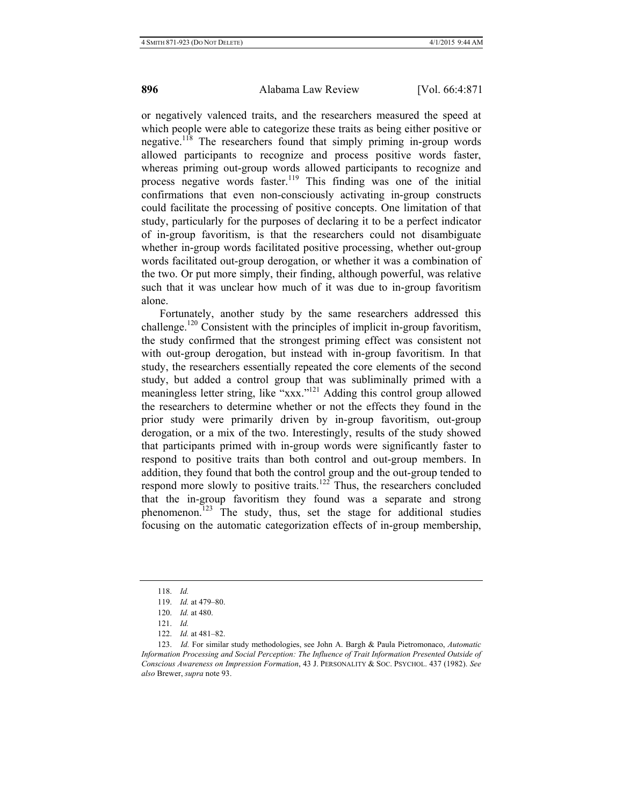or negatively valenced traits, and the researchers measured the speed at which people were able to categorize these traits as being either positive or negative.<sup>118</sup> The researchers found that simply priming in-group words allowed participants to recognize and process positive words faster, whereas priming out-group words allowed participants to recognize and process negative words faster.<sup>119</sup> This finding was one of the initial confirmations that even non-consciously activating in-group constructs could facilitate the processing of positive concepts. One limitation of that study, particularly for the purposes of declaring it to be a perfect indicator of in-group favoritism, is that the researchers could not disambiguate whether in-group words facilitated positive processing, whether out-group words facilitated out-group derogation, or whether it was a combination of the two. Or put more simply, their finding, although powerful, was relative such that it was unclear how much of it was due to in-group favoritism alone.

Fortunately, another study by the same researchers addressed this challenge.<sup>120</sup> Consistent with the principles of implicit in-group favoritism, the study confirmed that the strongest priming effect was consistent not with out-group derogation, but instead with in-group favoritism. In that study, the researchers essentially repeated the core elements of the second study, but added a control group that was subliminally primed with a meaningless letter string, like "xxx."<sup>121</sup> Adding this control group allowed the researchers to determine whether or not the effects they found in the prior study were primarily driven by in-group favoritism, out-group derogation, or a mix of the two. Interestingly, results of the study showed that participants primed with in-group words were significantly faster to respond to positive traits than both control and out-group members. In addition, they found that both the control group and the out-group tended to respond more slowly to positive traits.<sup>122</sup> Thus, the researchers concluded that the in-group favoritism they found was a separate and strong phenomenon.<sup>123</sup> The study, thus, set the stage for additional studies focusing on the automatic categorization effects of in-group membership,

<sup>118.</sup> *Id.*

<sup>119.</sup> *Id.* at 479–80.

<sup>120.</sup> *Id.* at 480.

<sup>121.</sup> *Id.*

<sup>122.</sup> *Id.* at 481–82.

<sup>123.</sup> *Id.* For similar study methodologies, see John A. Bargh & Paula Pietromonaco, *Automatic Information Processing and Social Perception: The Influence of Trait Information Presented Outside of Conscious Awareness on Impression Formation*, 43 J. PERSONALITY & SOC. PSYCHOL. 437 (1982). *See also* Brewer, *supra* note 93.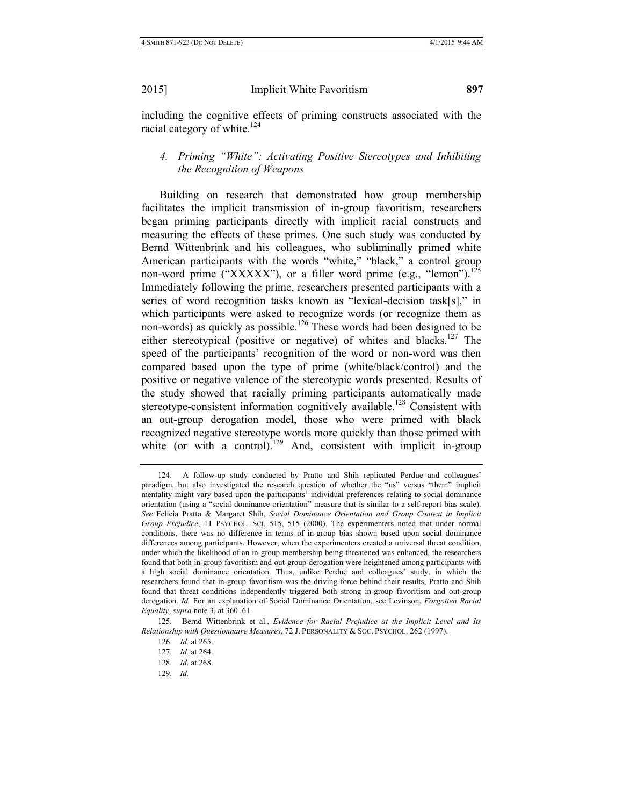including the cognitive effects of priming constructs associated with the racial category of white.<sup>124</sup>

# *4. Priming "White": Activating Positive Stereotypes and Inhibiting the Recognition of Weapons*

Building on research that demonstrated how group membership facilitates the implicit transmission of in-group favoritism, researchers began priming participants directly with implicit racial constructs and measuring the effects of these primes. One such study was conducted by Bernd Wittenbrink and his colleagues, who subliminally primed white American participants with the words "white," "black," a control group non-word prime ("XXXXX"), or a filler word prime (e.g., "lemon").<sup>125</sup> Immediately following the prime, researchers presented participants with a series of word recognition tasks known as "lexical-decision task[s]," in which participants were asked to recognize words (or recognize them as non-words) as quickly as possible.<sup>126</sup> These words had been designed to be either stereotypical (positive or negative) of whites and blacks.<sup>127</sup> The speed of the participants' recognition of the word or non-word was then compared based upon the type of prime (white/black/control) and the positive or negative valence of the stereotypic words presented. Results of the study showed that racially priming participants automatically made stereotype-consistent information cognitively available.<sup>128</sup> Consistent with an out-group derogation model, those who were primed with black recognized negative stereotype words more quickly than those primed with white (or with a control).<sup>129</sup> And, consistent with implicit in-group

<sup>124.</sup> A follow-up study conducted by Pratto and Shih replicated Perdue and colleagues' paradigm, but also investigated the research question of whether the "us" versus "them" implicit mentality might vary based upon the participants' individual preferences relating to social dominance orientation (using a "social dominance orientation" measure that is similar to a self-report bias scale). *See* Felicia Pratto & Margaret Shih, *Social Dominance Orientation and Group Context in Implicit Group Prejudice*, 11 PSYCHOL. SCI. 515, 515 (2000). The experimenters noted that under normal conditions, there was no difference in terms of in-group bias shown based upon social dominance differences among participants. However, when the experimenters created a universal threat condition, under which the likelihood of an in-group membership being threatened was enhanced, the researchers found that both in-group favoritism and out-group derogation were heightened among participants with a high social dominance orientation. Thus, unlike Perdue and colleagues' study, in which the researchers found that in-group favoritism was the driving force behind their results, Pratto and Shih found that threat conditions independently triggered both strong in-group favoritism and out-group derogation. *Id.* For an explanation of Social Dominance Orientation, see Levinson, *Forgotten Racial Equality*, *supra* note 3, at 360–61.

<sup>125.</sup> Bernd Wittenbrink et al., *Evidence for Racial Prejudice at the Implicit Level and Its Relationship with Questionnaire Measures*, 72 J. PERSONALITY & SOC. PSYCHOL. 262 (1997).

<sup>126.</sup> *Id.* at 265.

<sup>127.</sup> *Id.* at 264.

<sup>128.</sup> *Id*. at 268.

<sup>129.</sup> *Id.*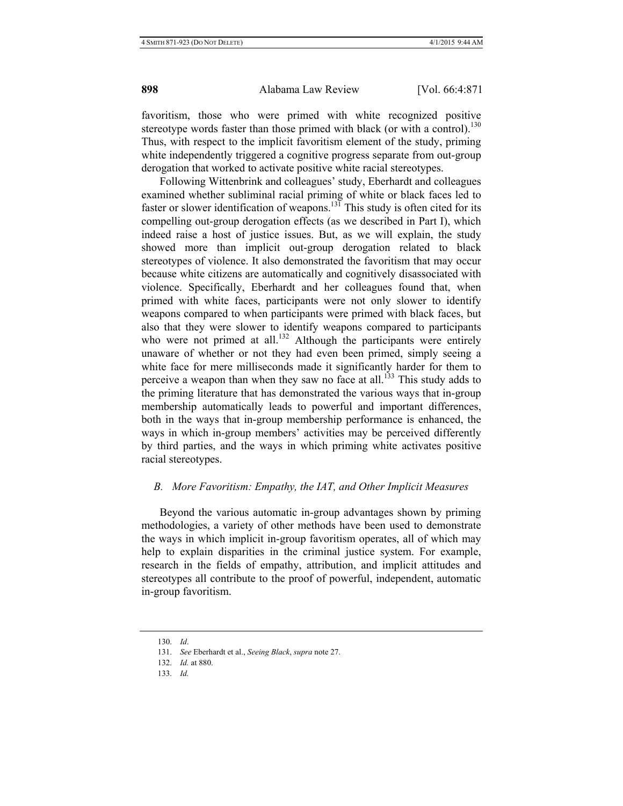favoritism, those who were primed with white recognized positive stereotype words faster than those primed with black (or with a control).<sup>130</sup> Thus, with respect to the implicit favoritism element of the study, priming white independently triggered a cognitive progress separate from out-group derogation that worked to activate positive white racial stereotypes.

Following Wittenbrink and colleagues' study, Eberhardt and colleagues examined whether subliminal racial priming of white or black faces led to faster or slower identification of weapons.<sup>131</sup> This study is often cited for its compelling out-group derogation effects (as we described in Part I), which indeed raise a host of justice issues. But, as we will explain, the study showed more than implicit out-group derogation related to black stereotypes of violence. It also demonstrated the favoritism that may occur because white citizens are automatically and cognitively disassociated with violence. Specifically, Eberhardt and her colleagues found that, when primed with white faces, participants were not only slower to identify weapons compared to when participants were primed with black faces, but also that they were slower to identify weapons compared to participants who were not primed at all.<sup>132</sup> Although the participants were entirely unaware of whether or not they had even been primed, simply seeing a white face for mere milliseconds made it significantly harder for them to perceive a weapon than when they saw no face at all.<sup>133</sup> This study adds to the priming literature that has demonstrated the various ways that in-group membership automatically leads to powerful and important differences, both in the ways that in-group membership performance is enhanced, the ways in which in-group members' activities may be perceived differently by third parties, and the ways in which priming white activates positive racial stereotypes.

#### *B. More Favoritism: Empathy, the IAT, and Other Implicit Measures*

Beyond the various automatic in-group advantages shown by priming methodologies, a variety of other methods have been used to demonstrate the ways in which implicit in-group favoritism operates, all of which may help to explain disparities in the criminal justice system. For example, research in the fields of empathy, attribution, and implicit attitudes and stereotypes all contribute to the proof of powerful, independent, automatic in-group favoritism.

<sup>130.</sup> *Id*.

<sup>131.</sup> *See* Eberhardt et al., *Seeing Black*, *supra* note 27.

<sup>132.</sup> *Id.* at 880.

<sup>133.</sup> *Id.*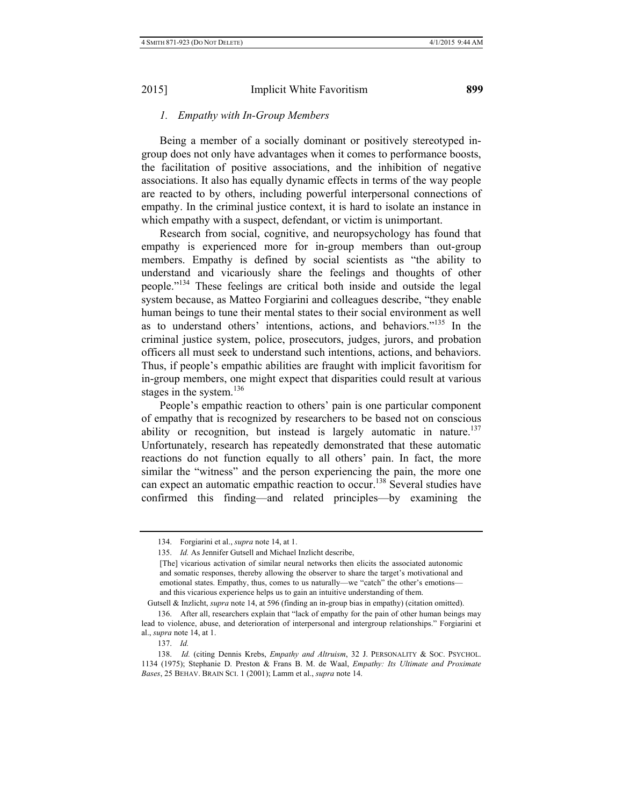## *1. Empathy with In-Group Members*

Being a member of a socially dominant or positively stereotyped ingroup does not only have advantages when it comes to performance boosts, the facilitation of positive associations, and the inhibition of negative associations. It also has equally dynamic effects in terms of the way people are reacted to by others, including powerful interpersonal connections of empathy. In the criminal justice context, it is hard to isolate an instance in which empathy with a suspect, defendant, or victim is unimportant.

Research from social, cognitive, and neuropsychology has found that empathy is experienced more for in-group members than out-group members. Empathy is defined by social scientists as "the ability to understand and vicariously share the feelings and thoughts of other people."134 These feelings are critical both inside and outside the legal system because, as Matteo Forgiarini and colleagues describe, "they enable human beings to tune their mental states to their social environment as well as to understand others' intentions, actions, and behaviors."135 In the criminal justice system, police, prosecutors, judges, jurors, and probation officers all must seek to understand such intentions, actions, and behaviors. Thus, if people's empathic abilities are fraught with implicit favoritism for in-group members, one might expect that disparities could result at various stages in the system.<sup>136</sup>

People's empathic reaction to others' pain is one particular component of empathy that is recognized by researchers to be based not on conscious ability or recognition, but instead is largely automatic in nature.<sup>137</sup> Unfortunately, research has repeatedly demonstrated that these automatic reactions do not function equally to all others' pain. In fact, the more similar the "witness" and the person experiencing the pain, the more one can expect an automatic empathic reaction to occur.<sup>138</sup> Several studies have confirmed this finding—and related principles—by examining the

Gutsell & Inzlicht, *supra* note 14, at 596 (finding an in-group bias in empathy) (citation omitted).

137. *Id.*

<sup>134.</sup> Forgiarini et al., *supra* note 14, at 1.

<sup>135.</sup> *Id.* As Jennifer Gutsell and Michael Inzlicht describe,

<sup>[</sup>The] vicarious activation of similar neural networks then elicits the associated autonomic and somatic responses, thereby allowing the observer to share the target's motivational and emotional states. Empathy, thus, comes to us naturally—we "catch" the other's emotions and this vicarious experience helps us to gain an intuitive understanding of them.

<sup>136.</sup> After all, researchers explain that "lack of empathy for the pain of other human beings may lead to violence, abuse, and deterioration of interpersonal and intergroup relationships." Forgiarini et al., *supra* note 14, at 1.

<sup>138.</sup> *Id.* (citing Dennis Krebs, *Empathy and Altruism*, 32 J. PERSONALITY & SOC. PSYCHOL. 1134 (1975); Stephanie D. Preston & Frans B. M. de Waal, *Empathy: Its Ultimate and Proximate Bases*, 25 BEHAV. BRAIN SCI. 1 (2001); Lamm et al., *supra* note 14.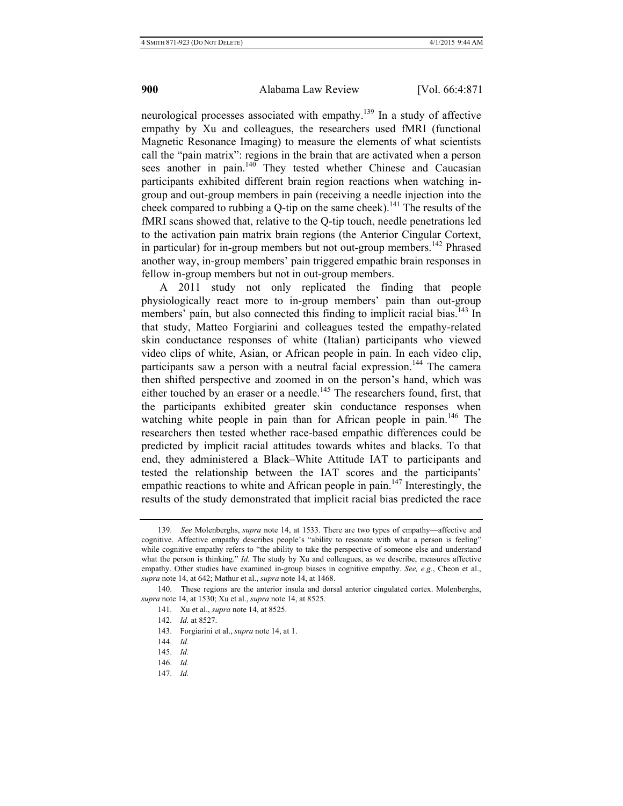neurological processes associated with empathy.139 In a study of affective empathy by Xu and colleagues, the researchers used fMRI (functional Magnetic Resonance Imaging) to measure the elements of what scientists call the "pain matrix": regions in the brain that are activated when a person sees another in pain.<sup>140</sup> They tested whether Chinese and Caucasian participants exhibited different brain region reactions when watching ingroup and out-group members in pain (receiving a needle injection into the cheek compared to rubbing a  $Q$ -tip on the same cheek).<sup>141</sup> The results of the fMRI scans showed that, relative to the Q-tip touch, needle penetrations led to the activation pain matrix brain regions (the Anterior Cingular Cortext, in particular) for in-group members but not out-group members.<sup>142</sup> Phrased another way, in-group members' pain triggered empathic brain responses in fellow in-group members but not in out-group members.

A 2011 study not only replicated the finding that people physiologically react more to in-group members' pain than out-group members' pain, but also connected this finding to implicit racial bias.<sup>143</sup> In that study, Matteo Forgiarini and colleagues tested the empathy-related skin conductance responses of white (Italian) participants who viewed video clips of white, Asian, or African people in pain. In each video clip, participants saw a person with a neutral facial expression.<sup>144</sup> The camera then shifted perspective and zoomed in on the person's hand, which was either touched by an eraser or a needle.<sup>145</sup> The researchers found, first, that the participants exhibited greater skin conductance responses when watching white people in pain than for African people in pain.<sup>146</sup> The researchers then tested whether race-based empathic differences could be predicted by implicit racial attitudes towards whites and blacks. To that end, they administered a Black–White Attitude IAT to participants and tested the relationship between the IAT scores and the participants' empathic reactions to white and African people in pain. $147$  Interestingly, the results of the study demonstrated that implicit racial bias predicted the race

147. *Id.*

<sup>139.</sup> *See* Molenberghs, *supra* note 14, at 1533. There are two types of empathy—affective and cognitive. Affective empathy describes people's "ability to resonate with what a person is feeling" while cognitive empathy refers to "the ability to take the perspective of someone else and understand what the person is thinking." *Id.* The study by Xu and colleagues, as we describe, measures affective empathy. Other studies have examined in-group biases in cognitive empathy. *See, e.g.*, Cheon et al., *supra* note 14, at 642; Mathur et al., *supra* note 14, at 1468.

<sup>140.</sup> These regions are the anterior insula and dorsal anterior cingulated cortex. Molenberghs, *supra* note 14, at 1530; Xu et al., *supra* note 14, at 8525.

<sup>141.</sup> Xu et al., *supra* note 14, at 8525.

<sup>142.</sup> *Id.* at 8527.

<sup>143.</sup> Forgiarini et al., *supra* note 14, at 1.

<sup>144.</sup> *Id.*

<sup>145.</sup> *Id.*

<sup>146.</sup> *Id.*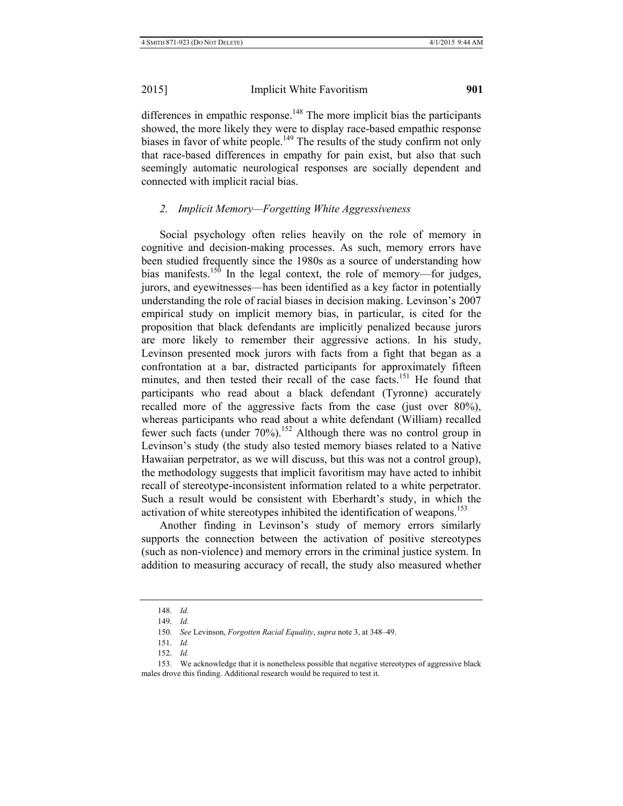differences in empathic response.<sup>148</sup> The more implicit bias the participants showed, the more likely they were to display race-based empathic response biases in favor of white people.<sup>149</sup> The results of the study confirm not only that race-based differences in empathy for pain exist, but also that such seemingly automatic neurological responses are socially dependent and connected with implicit racial bias.

# *2. Implicit Memory—Forgetting White Aggressiveness*

Social psychology often relies heavily on the role of memory in cognitive and decision-making processes. As such, memory errors have been studied frequently since the 1980s as a source of understanding how bias manifests.<sup>150</sup> In the legal context, the role of memory—for judges, jurors, and eyewitnesses—has been identified as a key factor in potentially understanding the role of racial biases in decision making. Levinson's 2007 empirical study on implicit memory bias, in particular, is cited for the proposition that black defendants are implicitly penalized because jurors are more likely to remember their aggressive actions. In his study, Levinson presented mock jurors with facts from a fight that began as a confrontation at a bar, distracted participants for approximately fifteen minutes, and then tested their recall of the case facts.<sup>151</sup> He found that participants who read about a black defendant (Tyronne) accurately recalled more of the aggressive facts from the case (just over 80%), whereas participants who read about a white defendant (William) recalled fewer such facts (under  $70\%$ ).<sup>152</sup> Although there was no control group in Levinson's study (the study also tested memory biases related to a Native Hawaiian perpetrator, as we will discuss, but this was not a control group), the methodology suggests that implicit favoritism may have acted to inhibit recall of stereotype-inconsistent information related to a white perpetrator. Such a result would be consistent with Eberhardt's study, in which the activation of white stereotypes inhibited the identification of weapons.<sup>153</sup>

Another finding in Levinson's study of memory errors similarly supports the connection between the activation of positive stereotypes (such as non-violence) and memory errors in the criminal justice system. In addition to measuring accuracy of recall, the study also measured whether

<sup>148.</sup> *Id.*

<sup>149.</sup> *Id.*

<sup>150.</sup> *See* Levinson, *Forgotten Racial Equality*, *supra* note 3, at 348–49.

<sup>151.</sup> *Id.*

<sup>152.</sup> *Id.*

<sup>153.</sup> We acknowledge that it is nonetheless possible that negative stereotypes of aggressive black males drove this finding. Additional research would be required to test it.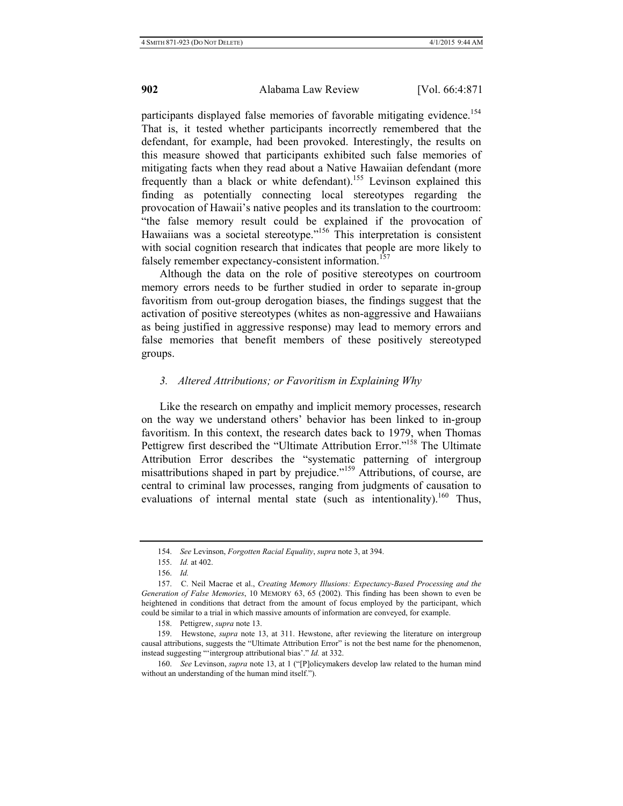participants displayed false memories of favorable mitigating evidence.<sup>154</sup> That is, it tested whether participants incorrectly remembered that the defendant, for example, had been provoked. Interestingly, the results on this measure showed that participants exhibited such false memories of mitigating facts when they read about a Native Hawaiian defendant (more frequently than a black or white defendant).<sup>155</sup> Levinson explained this finding as potentially connecting local stereotypes regarding the provocation of Hawaii's native peoples and its translation to the courtroom: "the false memory result could be explained if the provocation of Hawaiians was a societal stereotype."<sup>156</sup> This interpretation is consistent with social cognition research that indicates that people are more likely to falsely remember expectancy-consistent information.<sup>157</sup>

Although the data on the role of positive stereotypes on courtroom memory errors needs to be further studied in order to separate in-group favoritism from out-group derogation biases, the findings suggest that the activation of positive stereotypes (whites as non-aggressive and Hawaiians as being justified in aggressive response) may lead to memory errors and false memories that benefit members of these positively stereotyped groups.

#### *3. Altered Attributions; or Favoritism in Explaining Why*

Like the research on empathy and implicit memory processes, research on the way we understand others' behavior has been linked to in-group favoritism. In this context, the research dates back to 1979, when Thomas Pettigrew first described the "Ultimate Attribution Error."<sup>158</sup> The Ultimate Attribution Error describes the "systematic patterning of intergroup misattributions shaped in part by prejudice."159 Attributions, of course, are central to criminal law processes, ranging from judgments of causation to evaluations of internal mental state (such as intentionality).<sup>160</sup> Thus,

<sup>154.</sup> *See* Levinson, *Forgotten Racial Equality*, *supra* note 3, at 394.

<sup>155.</sup> *Id.* at 402.

<sup>156.</sup> *Id.*

<sup>157.</sup> C. Neil Macrae et al., *Creating Memory Illusions: Expectancy-Based Processing and the Generation of False Memories*, 10 MEMORY 63, 65 (2002). This finding has been shown to even be heightened in conditions that detract from the amount of focus employed by the participant, which could be similar to a trial in which massive amounts of information are conveyed, for example.

<sup>158.</sup> Pettigrew, *supra* note 13.

<sup>159.</sup> Hewstone, *supra* note 13, at 311. Hewstone, after reviewing the literature on intergroup causal attributions, suggests the "Ultimate Attribution Error" is not the best name for the phenomenon, instead suggesting "ʻintergroup attributional bias'." *Id.* at 332.

<sup>160.</sup> *See* Levinson, *supra* note 13, at 1 ("[P]olicymakers develop law related to the human mind without an understanding of the human mind itself.").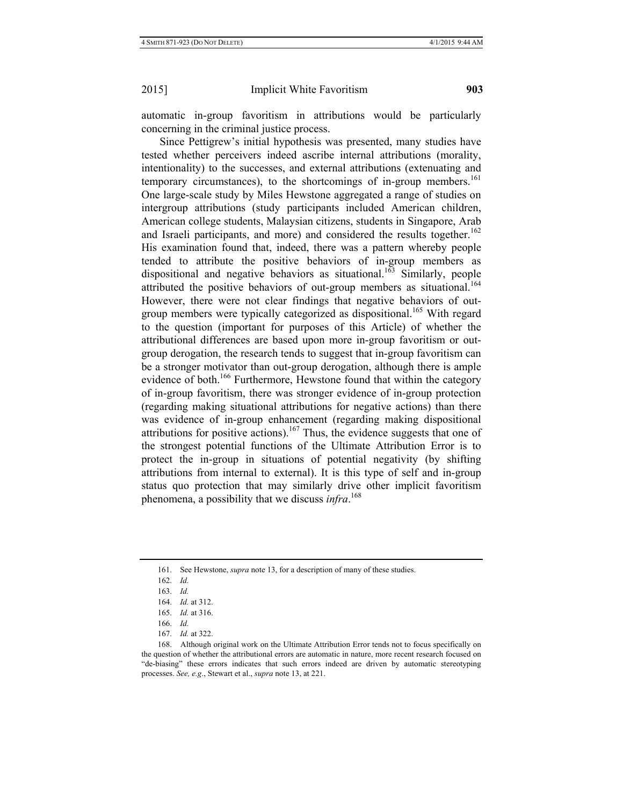automatic in-group favoritism in attributions would be particularly concerning in the criminal justice process.

Since Pettigrew's initial hypothesis was presented, many studies have tested whether perceivers indeed ascribe internal attributions (morality, intentionality) to the successes, and external attributions (extenuating and temporary circumstances), to the shortcomings of in-group members.<sup>161</sup> One large-scale study by Miles Hewstone aggregated a range of studies on intergroup attributions (study participants included American children, American college students, Malaysian citizens, students in Singapore, Arab and Israeli participants, and more) and considered the results together.<sup>162</sup> His examination found that, indeed, there was a pattern whereby people tended to attribute the positive behaviors of in-group members as dispositional and negative behaviors as situational.<sup>163</sup> Similarly, people attributed the positive behaviors of out-group members as situational.<sup>164</sup> However, there were not clear findings that negative behaviors of outgroup members were typically categorized as dispositional.<sup>165</sup> With regard to the question (important for purposes of this Article) of whether the attributional differences are based upon more in-group favoritism or outgroup derogation, the research tends to suggest that in-group favoritism can be a stronger motivator than out-group derogation, although there is ample evidence of both.<sup>166</sup> Furthermore, Hewstone found that within the category of in-group favoritism, there was stronger evidence of in-group protection (regarding making situational attributions for negative actions) than there was evidence of in-group enhancement (regarding making dispositional attributions for positive actions).<sup>167</sup> Thus, the evidence suggests that one of the strongest potential functions of the Ultimate Attribution Error is to protect the in-group in situations of potential negativity (by shifting attributions from internal to external). It is this type of self and in-group status quo protection that may similarly drive other implicit favoritism phenomena, a possibility that we discuss *infra*. 168

<sup>161.</sup> See Hewstone, *supra* note 13, for a description of many of these studies.

<sup>162.</sup> *Id.*

<sup>163.</sup> *Id.*

<sup>164.</sup> *Id.* at 312.

<sup>165.</sup> *Id.* at 316.

<sup>166.</sup> *Id.*

<sup>167.</sup> *Id.* at 322.

<sup>168.</sup> Although original work on the Ultimate Attribution Error tends not to focus specifically on the question of whether the attributional errors are automatic in nature, more recent research focused on "de-biasing" these errors indicates that such errors indeed are driven by automatic stereotyping processes. *See, e.g*., Stewart et al., *supra* note 13, at 221.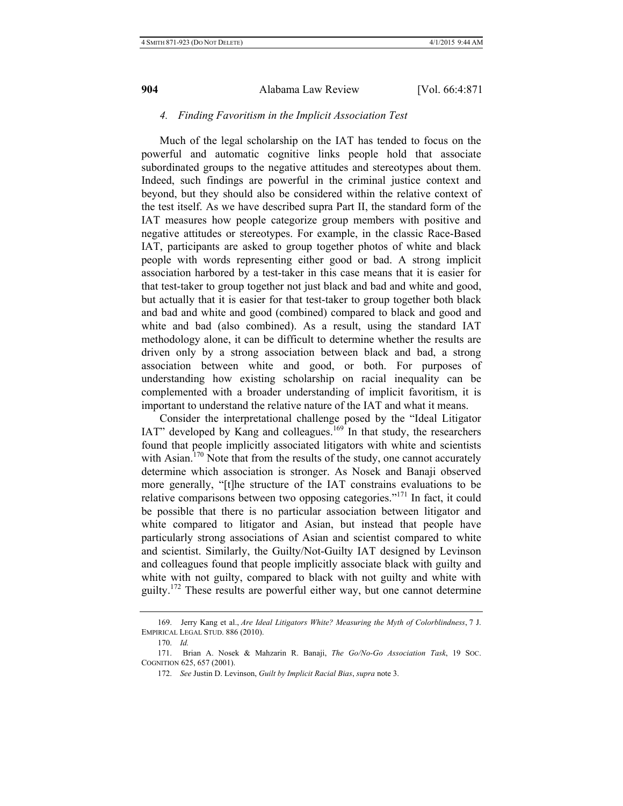## *4. Finding Favoritism in the Implicit Association Test*

Much of the legal scholarship on the IAT has tended to focus on the powerful and automatic cognitive links people hold that associate subordinated groups to the negative attitudes and stereotypes about them. Indeed, such findings are powerful in the criminal justice context and beyond, but they should also be considered within the relative context of the test itself. As we have described supra Part II, the standard form of the IAT measures how people categorize group members with positive and negative attitudes or stereotypes. For example, in the classic Race-Based IAT, participants are asked to group together photos of white and black people with words representing either good or bad. A strong implicit association harbored by a test-taker in this case means that it is easier for that test-taker to group together not just black and bad and white and good, but actually that it is easier for that test-taker to group together both black and bad and white and good (combined) compared to black and good and white and bad (also combined). As a result, using the standard IAT methodology alone, it can be difficult to determine whether the results are driven only by a strong association between black and bad, a strong association between white and good, or both. For purposes of understanding how existing scholarship on racial inequality can be complemented with a broader understanding of implicit favoritism, it is important to understand the relative nature of the IAT and what it means.

Consider the interpretational challenge posed by the "Ideal Litigator IAT" developed by Kang and colleagues.<sup>169</sup> In that study, the researchers found that people implicitly associated litigators with white and scientists with Asian.<sup>170</sup> Note that from the results of the study, one cannot accurately determine which association is stronger. As Nosek and Banaji observed more generally, "[t]he structure of the IAT constrains evaluations to be relative comparisons between two opposing categories."171 In fact, it could be possible that there is no particular association between litigator and white compared to litigator and Asian, but instead that people have particularly strong associations of Asian and scientist compared to white and scientist. Similarly, the Guilty/Not-Guilty IAT designed by Levinson and colleagues found that people implicitly associate black with guilty and white with not guilty, compared to black with not guilty and white with guilty.<sup>172</sup> These results are powerful either way, but one cannot determine

<sup>169.</sup> Jerry Kang et al., *Are Ideal Litigators White? Measuring the Myth of Colorblindness*, 7 J. EMPIRICAL LEGAL STUD. 886 (2010).

<sup>170.</sup> *Id.*

<sup>171.</sup> Brian A. Nosek & Mahzarin R. Banaji, *The Go/No-Go Association Task*, 19 SOC. COGNITION 625, 657 (2001).

<sup>172.</sup> *See* Justin D. Levinson, *Guilt by Implicit Racial Bias*, *supra* note 3.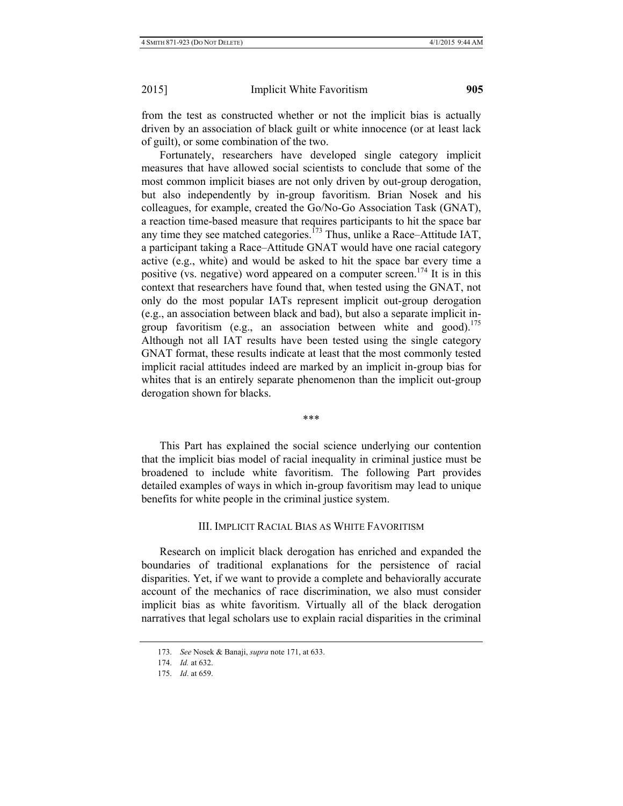from the test as constructed whether or not the implicit bias is actually driven by an association of black guilt or white innocence (or at least lack of guilt), or some combination of the two.

Fortunately, researchers have developed single category implicit measures that have allowed social scientists to conclude that some of the most common implicit biases are not only driven by out-group derogation, but also independently by in-group favoritism. Brian Nosek and his colleagues, for example, created the Go/No-Go Association Task (GNAT), a reaction time-based measure that requires participants to hit the space bar any time they see matched categories.<sup> $173$ </sup> Thus, unlike a Race–Attitude IAT, a participant taking a Race–Attitude GNAT would have one racial category active (e.g., white) and would be asked to hit the space bar every time a positive (vs. negative) word appeared on a computer screen.<sup>174</sup> It is in this context that researchers have found that, when tested using the GNAT, not only do the most popular IATs represent implicit out-group derogation (e.g., an association between black and bad), but also a separate implicit ingroup favoritism (e.g., an association between white and good).<sup>175</sup> Although not all IAT results have been tested using the single category GNAT format, these results indicate at least that the most commonly tested implicit racial attitudes indeed are marked by an implicit in-group bias for whites that is an entirely separate phenomenon than the implicit out-group derogation shown for blacks.

\*\*\*

This Part has explained the social science underlying our contention that the implicit bias model of racial inequality in criminal justice must be broadened to include white favoritism. The following Part provides detailed examples of ways in which in-group favoritism may lead to unique benefits for white people in the criminal justice system.

## III. IMPLICIT RACIAL BIAS AS WHITE FAVORITISM

Research on implicit black derogation has enriched and expanded the boundaries of traditional explanations for the persistence of racial disparities. Yet, if we want to provide a complete and behaviorally accurate account of the mechanics of race discrimination, we also must consider implicit bias as white favoritism. Virtually all of the black derogation narratives that legal scholars use to explain racial disparities in the criminal

<sup>173.</sup> *See* Nosek & Banaji, *supra* note 171, at 633.

<sup>174.</sup> *Id.* at 632.

<sup>175.</sup> *Id*. at 659.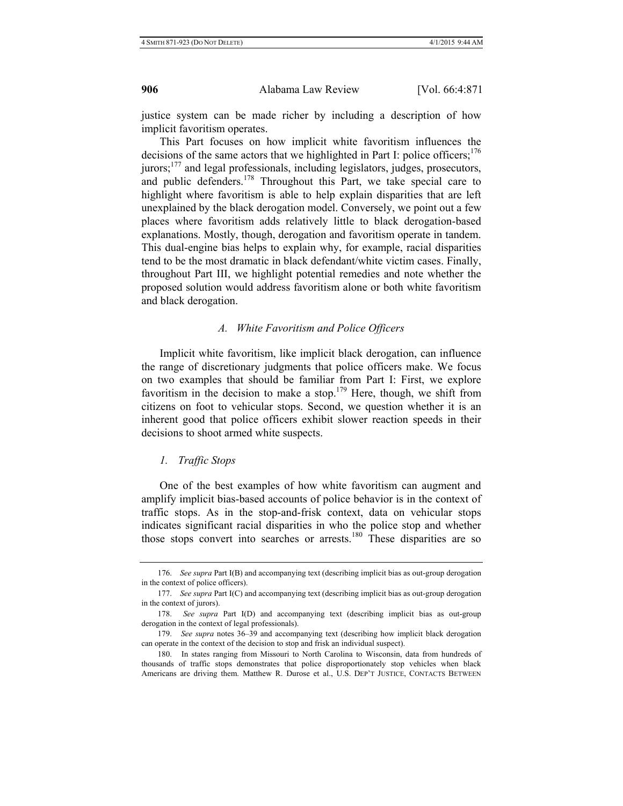justice system can be made richer by including a description of how implicit favoritism operates.

This Part focuses on how implicit white favoritism influences the decisions of the same actors that we highlighted in Part I: police officers; $176$ jurors;<sup>177</sup> and legal professionals, including legislators, judges, prosecutors, and public defenders.<sup>178</sup> Throughout this Part, we take special care to highlight where favoritism is able to help explain disparities that are left unexplained by the black derogation model. Conversely, we point out a few places where favoritism adds relatively little to black derogation-based explanations. Mostly, though, derogation and favoritism operate in tandem. This dual-engine bias helps to explain why, for example, racial disparities tend to be the most dramatic in black defendant/white victim cases. Finally, throughout Part III, we highlight potential remedies and note whether the proposed solution would address favoritism alone or both white favoritism and black derogation.

#### *A. White Favoritism and Police Officers*

Implicit white favoritism, like implicit black derogation, can influence the range of discretionary judgments that police officers make. We focus on two examples that should be familiar from Part I: First, we explore favoritism in the decision to make a stop.<sup>179</sup> Here, though, we shift from citizens on foot to vehicular stops. Second, we question whether it is an inherent good that police officers exhibit slower reaction speeds in their decisions to shoot armed white suspects.

#### *1. Traffic Stops*

One of the best examples of how white favoritism can augment and amplify implicit bias-based accounts of police behavior is in the context of traffic stops. As in the stop-and-frisk context, data on vehicular stops indicates significant racial disparities in who the police stop and whether those stops convert into searches or arrests.<sup>180</sup> These disparities are so

<sup>176.</sup> *See supra* Part I(B) and accompanying text (describing implicit bias as out-group derogation in the context of police officers).

<sup>177.</sup> *See supra* Part I(C) and accompanying text (describing implicit bias as out-group derogation in the context of jurors).

<sup>178.</sup> *See supra* Part I(D) and accompanying text (describing implicit bias as out-group derogation in the context of legal professionals).

<sup>179.</sup> *See supra* notes 36–39 and accompanying text (describing how implicit black derogation can operate in the context of the decision to stop and frisk an individual suspect).

<sup>180.</sup> In states ranging from Missouri to North Carolina to Wisconsin, data from hundreds of thousands of traffic stops demonstrates that police disproportionately stop vehicles when black Americans are driving them. Matthew R. Durose et al., U.S. DEP'T JUSTICE, CONTACTS BETWEEN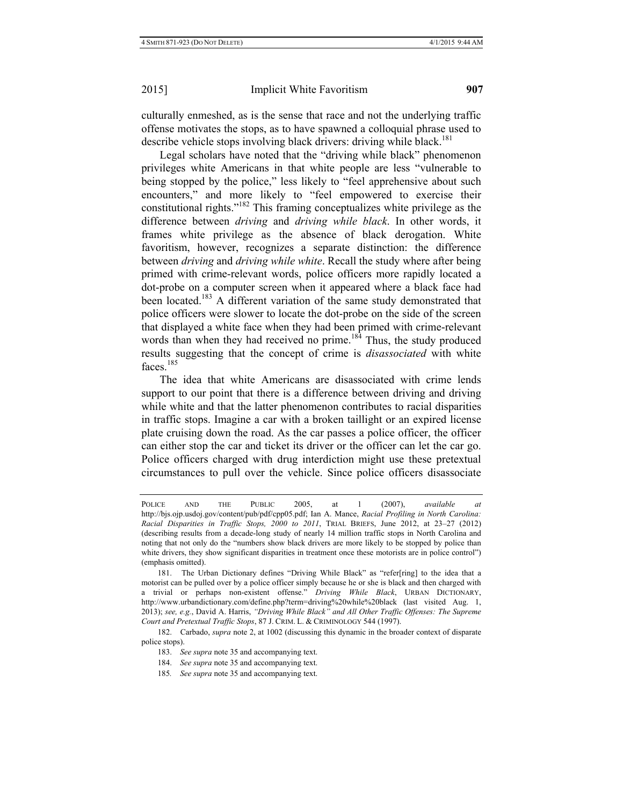culturally enmeshed, as is the sense that race and not the underlying traffic offense motivates the stops, as to have spawned a colloquial phrase used to describe vehicle stops involving black drivers: driving while black.<sup>181</sup>

Legal scholars have noted that the "driving while black" phenomenon privileges white Americans in that white people are less "vulnerable to being stopped by the police," less likely to "feel apprehensive about such encounters," and more likely to "feel empowered to exercise their constitutional rights."182 This framing conceptualizes white privilege as the difference between *driving* and *driving while black*. In other words, it frames white privilege as the absence of black derogation. White favoritism, however, recognizes a separate distinction: the difference between *driving* and *driving while white*. Recall the study where after being primed with crime-relevant words, police officers more rapidly located a dot-probe on a computer screen when it appeared where a black face had been located.<sup>183</sup> A different variation of the same study demonstrated that police officers were slower to locate the dot-probe on the side of the screen that displayed a white face when they had been primed with crime-relevant words than when they had received no prime.<sup>184</sup> Thus, the study produced results suggesting that the concept of crime is *disassociated* with white faces.<sup>185</sup>

The idea that white Americans are disassociated with crime lends support to our point that there is a difference between driving and driving while white and that the latter phenomenon contributes to racial disparities in traffic stops. Imagine a car with a broken taillight or an expired license plate cruising down the road. As the car passes a police officer, the officer can either stop the car and ticket its driver or the officer can let the car go. Police officers charged with drug interdiction might use these pretextual circumstances to pull over the vehicle. Since police officers disassociate

184. *See supra* note 35 and accompanying text.

POLICE AND THE PUBLIC 2005, at 1 (2007), *available at* http://bjs.ojp.usdoj.gov/content/pub/pdf/cpp05.pdf; Ian A. Mance, *Racial Profiling in North Carolina: Racial Disparities in Traffic Stops, 2000 to 2011*, TRIAL BRIEFS, June 2012, at 23–27 (2012) (describing results from a decade-long study of nearly 14 million traffic stops in North Carolina and noting that not only do the "numbers show black drivers are more likely to be stopped by police than white drivers, they show significant disparities in treatment once these motorists are in police control") (emphasis omitted).

<sup>181.</sup> The Urban Dictionary defines "Driving While Black" as "refer[ring] to the idea that a motorist can be pulled over by a police officer simply because he or she is black and then charged with a trivial or perhaps non-existent offense." *Driving While Black*, URBAN DICTIONARY, http://www.urbandictionary.com/define.php?term=driving%20while%20black (last visited Aug. 1, 2013); *see, e.g.*, David A. Harris, *"Driving While Black" and All Other Traffic Offenses: The Supreme Court and Pretextual Traffic Stops*, 87 J. CRIM. L. & CRIMINOLOGY 544 (1997).

<sup>182.</sup> Carbado, *supra* note 2, at 1002 (discussing this dynamic in the broader context of disparate police stops).

<sup>183.</sup> *See supra* note 35 and accompanying text.

<sup>185</sup>*. See supra* note 35 and accompanying text.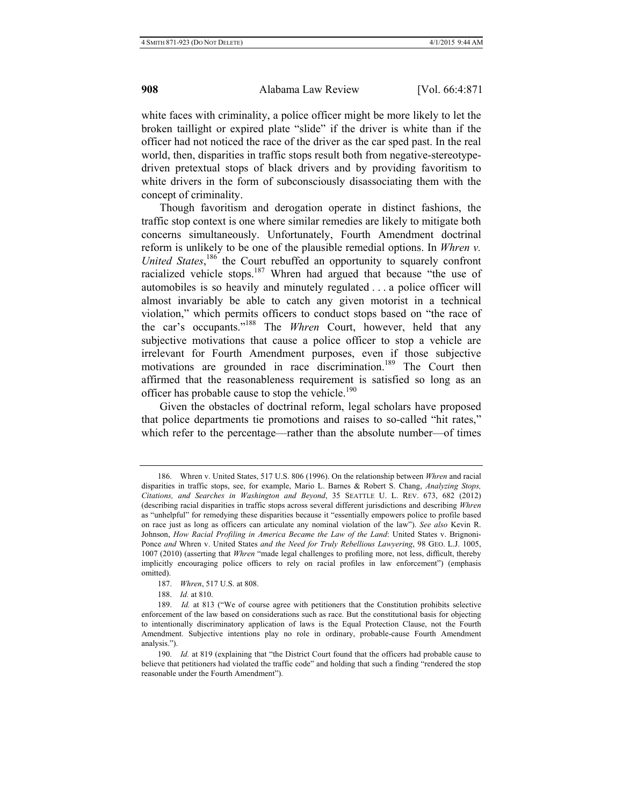white faces with criminality, a police officer might be more likely to let the broken taillight or expired plate "slide" if the driver is white than if the officer had not noticed the race of the driver as the car sped past. In the real world, then, disparities in traffic stops result both from negative-stereotypedriven pretextual stops of black drivers and by providing favoritism to white drivers in the form of subconsciously disassociating them with the concept of criminality.

Though favoritism and derogation operate in distinct fashions, the traffic stop context is one where similar remedies are likely to mitigate both concerns simultaneously. Unfortunately, Fourth Amendment doctrinal reform is unlikely to be one of the plausible remedial options. In *Whren v.*  United States,<sup>186</sup> the Court rebuffed an opportunity to squarely confront racialized vehicle stops.<sup>187</sup> Whren had argued that because "the use of automobiles is so heavily and minutely regulated . . . a police officer will almost invariably be able to catch any given motorist in a technical violation," which permits officers to conduct stops based on "the race of the car's occupants."188 The *Whren* Court, however, held that any subjective motivations that cause a police officer to stop a vehicle are irrelevant for Fourth Amendment purposes, even if those subjective motivations are grounded in race discrimination.<sup>189</sup> The Court then affirmed that the reasonableness requirement is satisfied so long as an officer has probable cause to stop the vehicle.<sup>190</sup>

Given the obstacles of doctrinal reform, legal scholars have proposed that police departments tie promotions and raises to so-called "hit rates," which refer to the percentage—rather than the absolute number—of times

<sup>186.</sup> Whren v. United States, 517 U.S. 806 (1996). On the relationship between *Whren* and racial disparities in traffic stops, see, for example, Mario L. Barnes & Robert S. Chang, *Analyzing Stops, Citations, and Searches in Washington and Beyond*, 35 SEATTLE U. L. REV. 673, 682 (2012) (describing racial disparities in traffic stops across several different jurisdictions and describing *Whren*  as "unhelpful" for remedying these disparities because it "essentially empowers police to profile based on race just as long as officers can articulate any nominal violation of the law"). *See also* Kevin R. Johnson, *How Racial Profiling in America Became the Law of the Land*: United States v. Brignoni-Ponce *and* Whren v. United States *and the Need for Truly Rebellious Lawyering*, 98 GEO. L.J. 1005, 1007 (2010) (asserting that *Whren* "made legal challenges to profiling more, not less, difficult, thereby implicitly encouraging police officers to rely on racial profiles in law enforcement") (emphasis omitted).

<sup>187.</sup> *Whren*, 517 U.S. at 808.

<sup>188.</sup> *Id.* at 810.

<sup>189.</sup> *Id.* at 813 ("We of course agree with petitioners that the Constitution prohibits selective enforcement of the law based on considerations such as race. But the constitutional basis for objecting to intentionally discriminatory application of laws is the Equal Protection Clause, not the Fourth Amendment. Subjective intentions play no role in ordinary, probable-cause Fourth Amendment analysis.").

<sup>190.</sup> *Id.* at 819 (explaining that "the District Court found that the officers had probable cause to believe that petitioners had violated the traffic code" and holding that such a finding "rendered the stop reasonable under the Fourth Amendment").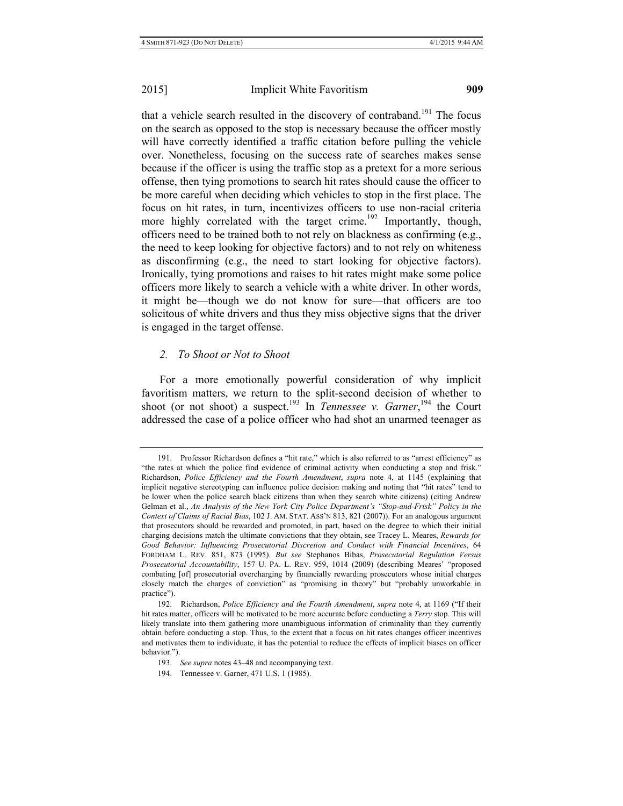that a vehicle search resulted in the discovery of contraband.<sup>191</sup> The focus on the search as opposed to the stop is necessary because the officer mostly will have correctly identified a traffic citation before pulling the vehicle over. Nonetheless, focusing on the success rate of searches makes sense because if the officer is using the traffic stop as a pretext for a more serious offense, then tying promotions to search hit rates should cause the officer to be more careful when deciding which vehicles to stop in the first place. The focus on hit rates, in turn, incentivizes officers to use non-racial criteria more highly correlated with the target crime.<sup>192</sup> Importantly, though, officers need to be trained both to not rely on blackness as confirming (e.g., the need to keep looking for objective factors) and to not rely on whiteness as disconfirming (e.g., the need to start looking for objective factors). Ironically, tying promotions and raises to hit rates might make some police officers more likely to search a vehicle with a white driver. In other words, it might be—though we do not know for sure—that officers are too solicitous of white drivers and thus they miss objective signs that the driver is engaged in the target offense.

#### *2. To Shoot or Not to Shoot*

For a more emotionally powerful consideration of why implicit favoritism matters, we return to the split-second decision of whether to shoot (or not shoot) a suspect.<sup>193</sup> In *Tennessee v. Garner*,<sup>194</sup> the Court addressed the case of a police officer who had shot an unarmed teenager as

<sup>191.</sup> Professor Richardson defines a "hit rate," which is also referred to as "arrest efficiency" as "the rates at which the police find evidence of criminal activity when conducting a stop and frisk." Richardson, *Police Efficiency and the Fourth Amendment*, *supra* note 4, at 1145 (explaining that implicit negative stereotyping can influence police decision making and noting that "hit rates" tend to be lower when the police search black citizens than when they search white citizens) (citing Andrew Gelman et al., *An Analysis of the New York City Police Department's "Stop-and-Frisk" Policy in the Context of Claims of Racial Bias*, 102 J. AM. STAT. ASS'N 813, 821 (2007)). For an analogous argument that prosecutors should be rewarded and promoted, in part, based on the degree to which their initial charging decisions match the ultimate convictions that they obtain, see Tracey L. Meares, *Rewards for Good Behavior: Influencing Prosecutorial Discretion and Conduct with Financial Incentives*, 64 FORDHAM L. REV. 851, 873 (1995). *But see* Stephanos Bibas, *Prosecutorial Regulation Versus Prosecutorial Accountability*, 157 U. PA. L. REV. 959, 1014 (2009) (describing Meares' "proposed combating [of] prosecutorial overcharging by financially rewarding prosecutors whose initial charges closely match the charges of conviction" as "promising in theory" but "probably unworkable in practice").

<sup>192.</sup> Richardson, *Police Efficiency and the Fourth Amendment*, *supra* note 4, at 1169 ("If their hit rates matter, officers will be motivated to be more accurate before conducting a *Terry* stop. This will likely translate into them gathering more unambiguous information of criminality than they currently obtain before conducting a stop. Thus, to the extent that a focus on hit rates changes officer incentives and motivates them to individuate, it has the potential to reduce the effects of implicit biases on officer behavior.").

<sup>193.</sup> *See supra* notes 43–48 and accompanying text.

<sup>194.</sup> Tennessee v. Garner, 471 U.S. 1 (1985).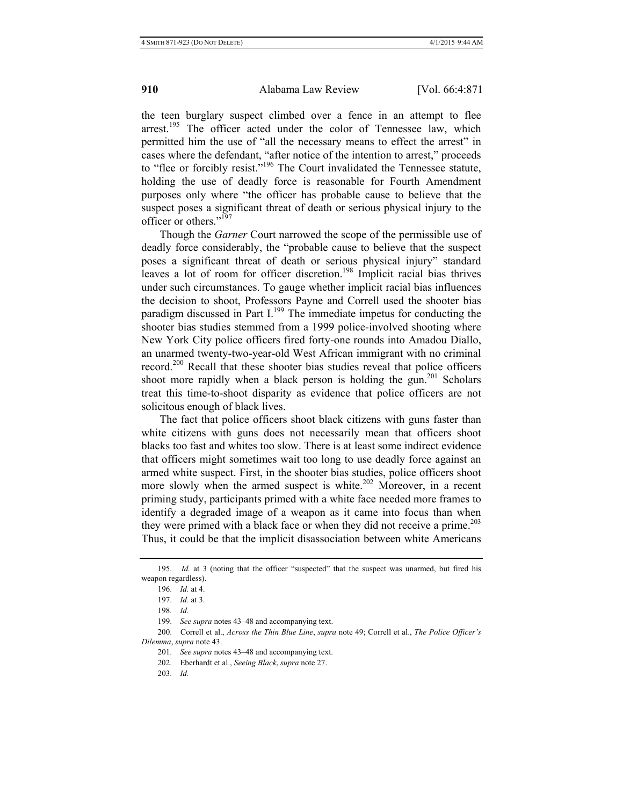the teen burglary suspect climbed over a fence in an attempt to flee arrest.<sup>195</sup> The officer acted under the color of Tennessee law, which permitted him the use of "all the necessary means to effect the arrest" in cases where the defendant, "after notice of the intention to arrest," proceeds to "flee or forcibly resist."196 The Court invalidated the Tennessee statute, holding the use of deadly force is reasonable for Fourth Amendment purposes only where "the officer has probable cause to believe that the suspect poses a significant threat of death or serious physical injury to the officer or others."<sup>197</sup>

Though the *Garner* Court narrowed the scope of the permissible use of deadly force considerably, the "probable cause to believe that the suspect poses a significant threat of death or serious physical injury" standard leaves a lot of room for officer discretion.<sup>198</sup> Implicit racial bias thrives under such circumstances. To gauge whether implicit racial bias influences the decision to shoot, Professors Payne and Correll used the shooter bias paradigm discussed in Part  $I<sub>199</sub>$ . The immediate impetus for conducting the shooter bias studies stemmed from a 1999 police-involved shooting where New York City police officers fired forty-one rounds into Amadou Diallo, an unarmed twenty-two-year-old West African immigrant with no criminal record.<sup>200</sup> Recall that these shooter bias studies reveal that police officers shoot more rapidly when a black person is holding the gun.<sup>201</sup> Scholars treat this time-to-shoot disparity as evidence that police officers are not solicitous enough of black lives.

The fact that police officers shoot black citizens with guns faster than white citizens with guns does not necessarily mean that officers shoot blacks too fast and whites too slow. There is at least some indirect evidence that officers might sometimes wait too long to use deadly force against an armed white suspect. First, in the shooter bias studies, police officers shoot more slowly when the armed suspect is white.<sup>202</sup> Moreover, in a recent priming study, participants primed with a white face needed more frames to identify a degraded image of a weapon as it came into focus than when they were primed with a black face or when they did not receive a prime.<sup>203</sup> Thus, it could be that the implicit disassociation between white Americans

<sup>195.</sup> *Id.* at 3 (noting that the officer "suspected" that the suspect was unarmed, but fired his weapon regardless).

<sup>196.</sup> *Id.* at 4.

<sup>197.</sup> *Id.* at 3.

<sup>198.</sup> *Id.*

<sup>199.</sup> *See supra* notes 43–48 and accompanying text.

<sup>200.</sup> Correll et al., *Across the Thin Blue Line*, *supra* note 49; Correll et al., *The Police Officer's Dilemma*, *supra* note 43.

<sup>201.</sup> *See supra* notes 43–48 and accompanying text.

<sup>202.</sup> Eberhardt et al., *Seeing Black*, *supra* note 27.

<sup>203.</sup> *Id.*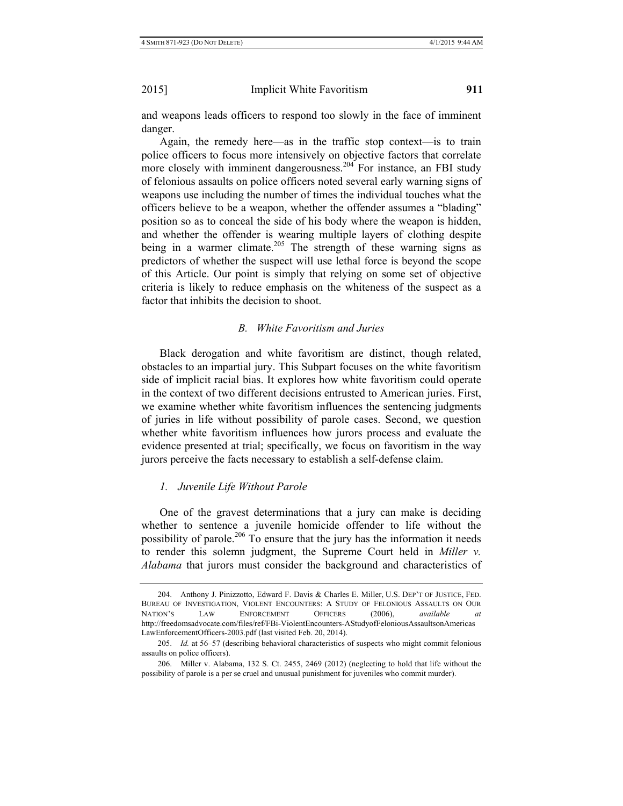and weapons leads officers to respond too slowly in the face of imminent danger.

Again, the remedy here—as in the traffic stop context—is to train police officers to focus more intensively on objective factors that correlate more closely with imminent dangerousness.<sup>204</sup> For instance, an FBI study of felonious assaults on police officers noted several early warning signs of weapons use including the number of times the individual touches what the officers believe to be a weapon, whether the offender assumes a "blading" position so as to conceal the side of his body where the weapon is hidden, and whether the offender is wearing multiple layers of clothing despite being in a warmer climate.<sup>205</sup> The strength of these warning signs as predictors of whether the suspect will use lethal force is beyond the scope of this Article. Our point is simply that relying on some set of objective criteria is likely to reduce emphasis on the whiteness of the suspect as a factor that inhibits the decision to shoot.

# *B. White Favoritism and Juries*

Black derogation and white favoritism are distinct, though related, obstacles to an impartial jury. This Subpart focuses on the white favoritism side of implicit racial bias. It explores how white favoritism could operate in the context of two different decisions entrusted to American juries. First, we examine whether white favoritism influences the sentencing judgments of juries in life without possibility of parole cases. Second, we question whether white favoritism influences how jurors process and evaluate the evidence presented at trial; specifically, we focus on favoritism in the way jurors perceive the facts necessary to establish a self-defense claim.

## *1. Juvenile Life Without Parole*

One of the gravest determinations that a jury can make is deciding whether to sentence a juvenile homicide offender to life without the possibility of parole.<sup>206</sup> To ensure that the jury has the information it needs to render this solemn judgment, the Supreme Court held in *Miller v. Alabama* that jurors must consider the background and characteristics of

<sup>204.</sup> Anthony J. Pinizzotto, Edward F. Davis & Charles E. Miller, U.S. DEP'T OF JUSTICE, FED. BUREAU OF INVESTIGATION, VIOLENT ENCOUNTERS: A STUDY OF FELONIOUS ASSAULTS ON OUR NATION'S LAW ENFORCEMENT OFFICERS (2006), *available at*  http://freedomsadvocate.com/files/ref/FBi-ViolentEncounters-AStudyofFeloniousAssaultsonAmericas LawEnforcementOfficers-2003.pdf (last visited Feb. 20, 2014).

<sup>205.</sup> *Id.* at 56–57 (describing behavioral characteristics of suspects who might commit felonious assaults on police officers).

<sup>206.</sup> Miller v. Alabama, 132 S. Ct. 2455, 2469 (2012) (neglecting to hold that life without the possibility of parole is a per se cruel and unusual punishment for juveniles who commit murder).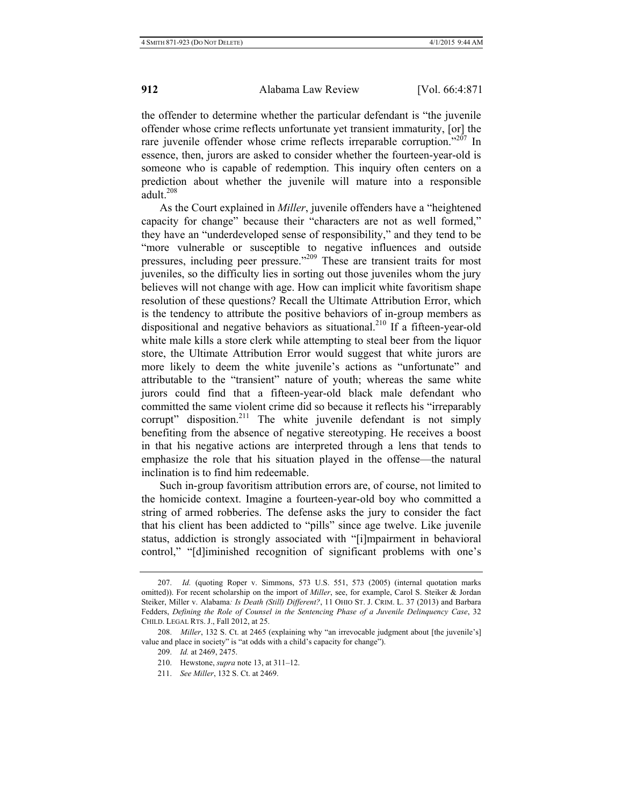the offender to determine whether the particular defendant is "the juvenile offender whose crime reflects unfortunate yet transient immaturity, [or] the rare juvenile offender whose crime reflects irreparable corruption."<sup>207</sup> In essence, then, jurors are asked to consider whether the fourteen-year-old is someone who is capable of redemption. This inquiry often centers on a prediction about whether the juvenile will mature into a responsible  $\overline{1}$ adult.<sup>208</sup>

As the Court explained in *Miller*, juvenile offenders have a "heightened capacity for change" because their "characters are not as well formed," they have an "underdeveloped sense of responsibility," and they tend to be "more vulnerable or susceptible to negative influences and outside pressures, including peer pressure."209 These are transient traits for most juveniles, so the difficulty lies in sorting out those juveniles whom the jury believes will not change with age. How can implicit white favoritism shape resolution of these questions? Recall the Ultimate Attribution Error, which is the tendency to attribute the positive behaviors of in-group members as dispositional and negative behaviors as situational.<sup>210</sup> If a fifteen-vear-old white male kills a store clerk while attempting to steal beer from the liquor store, the Ultimate Attribution Error would suggest that white jurors are more likely to deem the white juvenile's actions as "unfortunate" and attributable to the "transient" nature of youth; whereas the same white jurors could find that a fifteen-year-old black male defendant who committed the same violent crime did so because it reflects his "irreparably corrupt" disposition.<sup>211</sup> The white juvenile defendant is not simply benefiting from the absence of negative stereotyping. He receives a boost in that his negative actions are interpreted through a lens that tends to emphasize the role that his situation played in the offense—the natural inclination is to find him redeemable.

Such in-group favoritism attribution errors are, of course, not limited to the homicide context. Imagine a fourteen-year-old boy who committed a string of armed robberies. The defense asks the jury to consider the fact that his client has been addicted to "pills" since age twelve. Like juvenile status, addiction is strongly associated with "[i]mpairment in behavioral control," "[d]iminished recognition of significant problems with one's

<sup>207.</sup> *Id.* (quoting Roper v. Simmons, 573 U.S. 551, 573 (2005) (internal quotation marks omitted)). For recent scholarship on the import of *Miller*, see, for example, Carol S. Steiker & Jordan Steiker, Miller v. Alabama*: Is Death (Still) Different?*, 11 OHIO ST. J. CRIM. L. 37 (2013) and Barbara Fedders, *Defining the Role of Counsel in the Sentencing Phase of a Juvenile Delinquency Case*, 32 CHILD. LEGAL RTS. J., Fall 2012, at 25.

<sup>208.</sup> *Miller*, 132 S. Ct. at 2465 (explaining why "an irrevocable judgment about [the juvenile's] value and place in society" is "at odds with a child's capacity for change").

<sup>209.</sup> *Id.* at 2469, 2475.

<sup>210.</sup> Hewstone, *supra* note 13, at 311–12.

<sup>211.</sup> *See Miller*, 132 S. Ct. at 2469.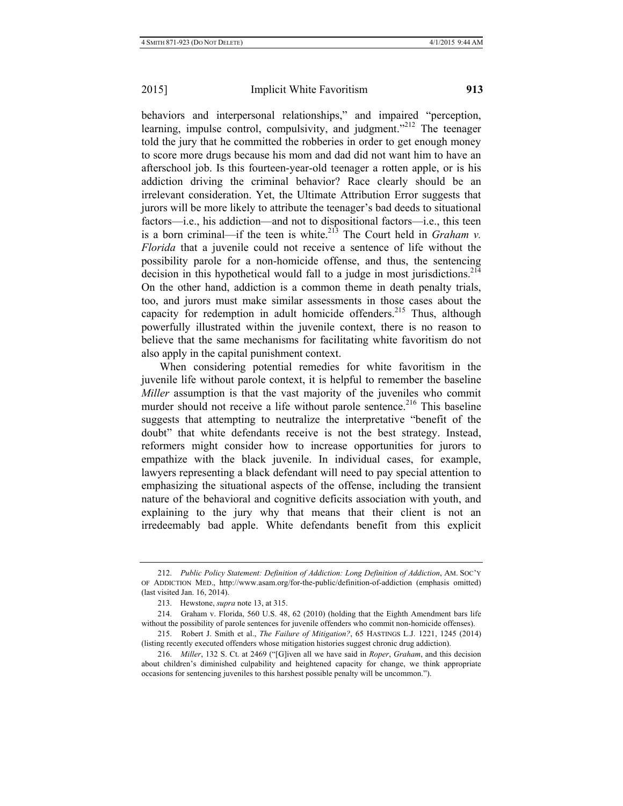behaviors and interpersonal relationships," and impaired "perception, learning, impulse control, compulsivity, and judgment. $2^{212}$  The teenager told the jury that he committed the robberies in order to get enough money to score more drugs because his mom and dad did not want him to have an afterschool job. Is this fourteen-year-old teenager a rotten apple, or is his addiction driving the criminal behavior? Race clearly should be an irrelevant consideration. Yet, the Ultimate Attribution Error suggests that jurors will be more likely to attribute the teenager's bad deeds to situational factors—i.e., his addiction—and not to dispositional factors—i.e., this teen is a born criminal—if the teen is white.<sup>213</sup> The Court held in *Graham v. Florida* that a juvenile could not receive a sentence of life without the possibility parole for a non-homicide offense, and thus, the sentencing decision in this hypothetical would fall to a judge in most jurisdictions.<sup>214</sup> On the other hand, addiction is a common theme in death penalty trials, too, and jurors must make similar assessments in those cases about the capacity for redemption in adult homicide offenders.<sup>215</sup> Thus, although powerfully illustrated within the juvenile context, there is no reason to believe that the same mechanisms for facilitating white favoritism do not also apply in the capital punishment context.

When considering potential remedies for white favoritism in the juvenile life without parole context, it is helpful to remember the baseline *Miller* assumption is that the vast majority of the juveniles who commit murder should not receive a life without parole sentence.<sup>216</sup> This baseline suggests that attempting to neutralize the interpretative "benefit of the doubt" that white defendants receive is not the best strategy. Instead, reformers might consider how to increase opportunities for jurors to empathize with the black juvenile. In individual cases, for example, lawyers representing a black defendant will need to pay special attention to emphasizing the situational aspects of the offense, including the transient nature of the behavioral and cognitive deficits association with youth, and explaining to the jury why that means that their client is not an irredeemably bad apple. White defendants benefit from this explicit

<sup>212.</sup> *Public Policy Statement: Definition of Addiction: Long Definition of Addiction*, AM. SOC'Y OF ADDICTION MED., http://www.asam.org/for-the-public/definition-of-addiction (emphasis omitted) (last visited Jan. 16, 2014).

<sup>213.</sup> Hewstone, *supra* note 13, at 315.

<sup>214.</sup> Graham v. Florida, 560 U.S. 48, 62 (2010) (holding that the Eighth Amendment bars life without the possibility of parole sentences for juvenile offenders who commit non-homicide offenses).

<sup>215.</sup> Robert J. Smith et al., *The Failure of Mitigation?*, 65 HASTINGS L.J. 1221, 1245 (2014) (listing recently executed offenders whose mitigation histories suggest chronic drug addiction).

<sup>216.</sup> *Miller*, 132 S. Ct. at 2469 ("[G]iven all we have said in *Roper*, *Graham*, and this decision about children's diminished culpability and heightened capacity for change, we think appropriate occasions for sentencing juveniles to this harshest possible penalty will be uncommon.").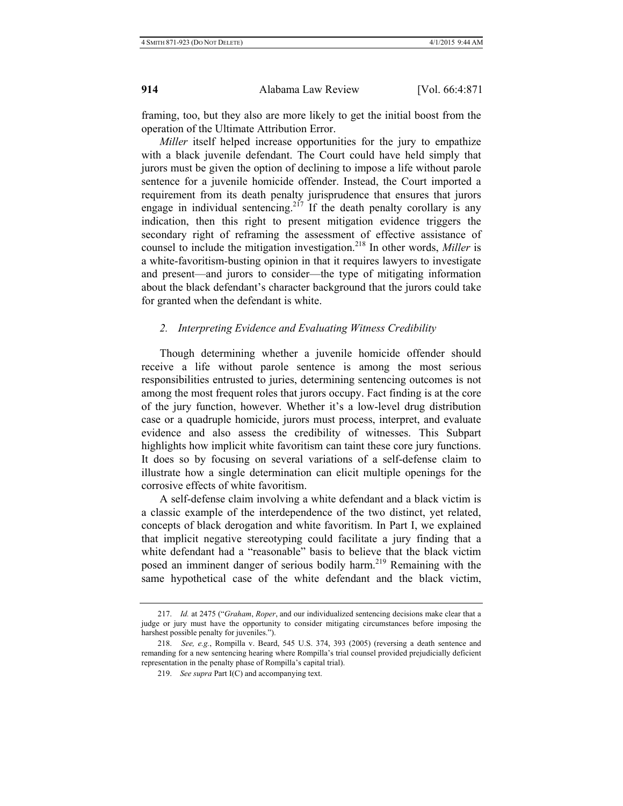framing, too, but they also are more likely to get the initial boost from the operation of the Ultimate Attribution Error.

*Miller* itself helped increase opportunities for the jury to empathize with a black juvenile defendant. The Court could have held simply that jurors must be given the option of declining to impose a life without parole sentence for a juvenile homicide offender. Instead, the Court imported a requirement from its death penalty jurisprudence that ensures that jurors engage in individual sentencing.<sup>217</sup> If the death penalty corollary is any indication, then this right to present mitigation evidence triggers the secondary right of reframing the assessment of effective assistance of counsel to include the mitigation investigation.218 In other words, *Miller* is a white-favoritism-busting opinion in that it requires lawyers to investigate and present—and jurors to consider—the type of mitigating information about the black defendant's character background that the jurors could take for granted when the defendant is white.

#### *2. Interpreting Evidence and Evaluating Witness Credibility*

Though determining whether a juvenile homicide offender should receive a life without parole sentence is among the most serious responsibilities entrusted to juries, determining sentencing outcomes is not among the most frequent roles that jurors occupy. Fact finding is at the core of the jury function, however. Whether it's a low-level drug distribution case or a quadruple homicide, jurors must process, interpret, and evaluate evidence and also assess the credibility of witnesses. This Subpart highlights how implicit white favoritism can taint these core jury functions. It does so by focusing on several variations of a self-defense claim to illustrate how a single determination can elicit multiple openings for the corrosive effects of white favoritism.

A self-defense claim involving a white defendant and a black victim is a classic example of the interdependence of the two distinct, yet related, concepts of black derogation and white favoritism. In Part I, we explained that implicit negative stereotyping could facilitate a jury finding that a white defendant had a "reasonable" basis to believe that the black victim posed an imminent danger of serious bodily harm.<sup>219</sup> Remaining with the same hypothetical case of the white defendant and the black victim,

<sup>217.</sup> *Id.* at 2475 ("*Graham*, *Roper*, and our individualized sentencing decisions make clear that a judge or jury must have the opportunity to consider mitigating circumstances before imposing the harshest possible penalty for juveniles.").

<sup>218.</sup> *See, e.g.*, Rompilla v. Beard, 545 U.S. 374, 393 (2005) (reversing a death sentence and remanding for a new sentencing hearing where Rompilla's trial counsel provided prejudicially deficient representation in the penalty phase of Rompilla's capital trial).

<sup>219.</sup> *See supra* Part I(C) and accompanying text.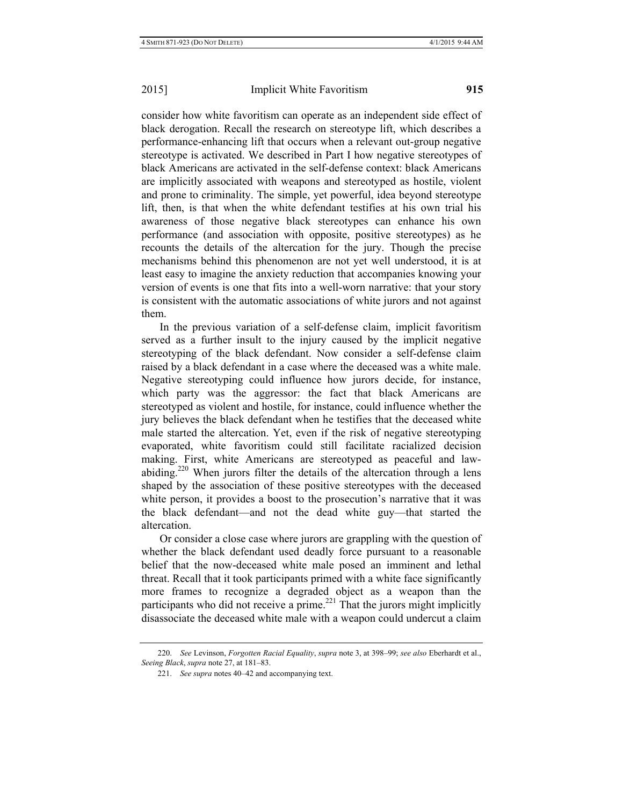consider how white favoritism can operate as an independent side effect of black derogation. Recall the research on stereotype lift, which describes a performance-enhancing lift that occurs when a relevant out-group negative stereotype is activated. We described in Part I how negative stereotypes of black Americans are activated in the self-defense context: black Americans are implicitly associated with weapons and stereotyped as hostile, violent and prone to criminality. The simple, yet powerful, idea beyond stereotype lift, then, is that when the white defendant testifies at his own trial his awareness of those negative black stereotypes can enhance his own performance (and association with opposite, positive stereotypes) as he recounts the details of the altercation for the jury. Though the precise mechanisms behind this phenomenon are not yet well understood, it is at least easy to imagine the anxiety reduction that accompanies knowing your version of events is one that fits into a well-worn narrative: that your story is consistent with the automatic associations of white jurors and not against them.

In the previous variation of a self-defense claim, implicit favoritism served as a further insult to the injury caused by the implicit negative stereotyping of the black defendant. Now consider a self-defense claim raised by a black defendant in a case where the deceased was a white male. Negative stereotyping could influence how jurors decide, for instance, which party was the aggressor: the fact that black Americans are stereotyped as violent and hostile, for instance, could influence whether the jury believes the black defendant when he testifies that the deceased white male started the altercation. Yet, even if the risk of negative stereotyping evaporated, white favoritism could still facilitate racialized decision making. First, white Americans are stereotyped as peaceful and lawabiding.<sup>220</sup> When jurors filter the details of the altercation through a lens shaped by the association of these positive stereotypes with the deceased white person, it provides a boost to the prosecution's narrative that it was the black defendant—and not the dead white guy—that started the altercation.

Or consider a close case where jurors are grappling with the question of whether the black defendant used deadly force pursuant to a reasonable belief that the now-deceased white male posed an imminent and lethal threat. Recall that it took participants primed with a white face significantly more frames to recognize a degraded object as a weapon than the participants who did not receive a prime.<sup>221</sup> That the jurors might implicitly disassociate the deceased white male with a weapon could undercut a claim

<sup>220.</sup> *See* Levinson, *Forgotten Racial Equality*, *supra* note 3, at 398–99; *see also* Eberhardt et al., *Seeing Black*, *supra* note 27, at 181–83.

<sup>221.</sup> *See supra* notes 40–42 and accompanying text.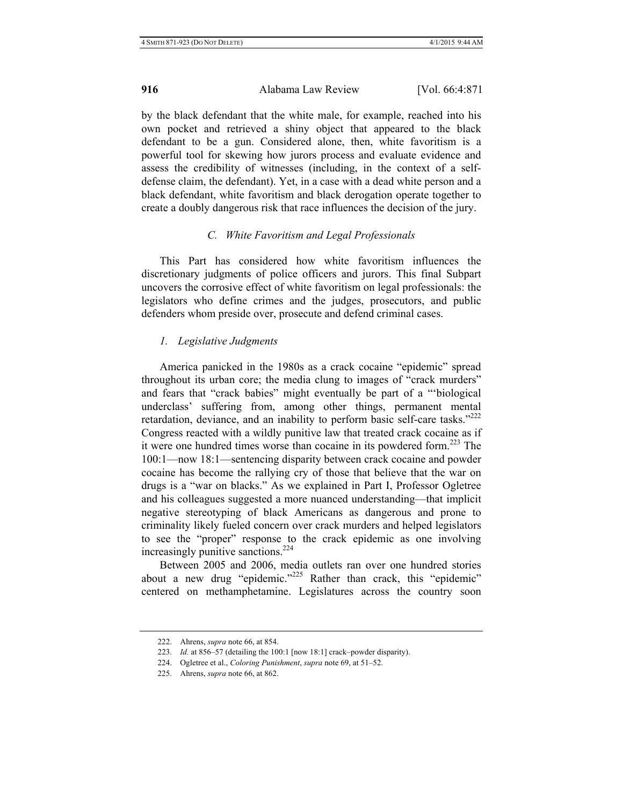by the black defendant that the white male, for example, reached into his own pocket and retrieved a shiny object that appeared to the black defendant to be a gun. Considered alone, then, white favoritism is a powerful tool for skewing how jurors process and evaluate evidence and assess the credibility of witnesses (including, in the context of a selfdefense claim, the defendant). Yet, in a case with a dead white person and a black defendant, white favoritism and black derogation operate together to create a doubly dangerous risk that race influences the decision of the jury.

## *C. White Favoritism and Legal Professionals*

This Part has considered how white favoritism influences the discretionary judgments of police officers and jurors. This final Subpart uncovers the corrosive effect of white favoritism on legal professionals: the legislators who define crimes and the judges, prosecutors, and public defenders whom preside over, prosecute and defend criminal cases.

#### *1. Legislative Judgments*

America panicked in the 1980s as a crack cocaine "epidemic" spread throughout its urban core; the media clung to images of "crack murders" and fears that "crack babies" might eventually be part of a "'biological underclass' suffering from, among other things, permanent mental retardation, deviance, and an inability to perform basic self-care tasks."<sup>222</sup> Congress reacted with a wildly punitive law that treated crack cocaine as if it were one hundred times worse than cocaine in its powdered form.<sup>223</sup> The 100:1—now 18:1—sentencing disparity between crack cocaine and powder cocaine has become the rallying cry of those that believe that the war on drugs is a "war on blacks." As we explained in Part I, Professor Ogletree and his colleagues suggested a more nuanced understanding—that implicit negative stereotyping of black Americans as dangerous and prone to criminality likely fueled concern over crack murders and helped legislators to see the "proper" response to the crack epidemic as one involving increasingly punitive sanctions.<sup>224</sup>

Between 2005 and 2006, media outlets ran over one hundred stories about a new drug "epidemic."<sup>225</sup> Rather than crack, this "epidemic" centered on methamphetamine. Legislatures across the country soon

<sup>222.</sup> Ahrens, *supra* note 66, at 854.

<sup>223.</sup> *Id.* at 856–57 (detailing the 100:1 [now 18:1] crack–powder disparity).

<sup>224.</sup> Ogletree et al., *Coloring Punishment*, *supra* note 69, at 51–52.

<sup>225.</sup> Ahrens, *supra* note 66, at 862.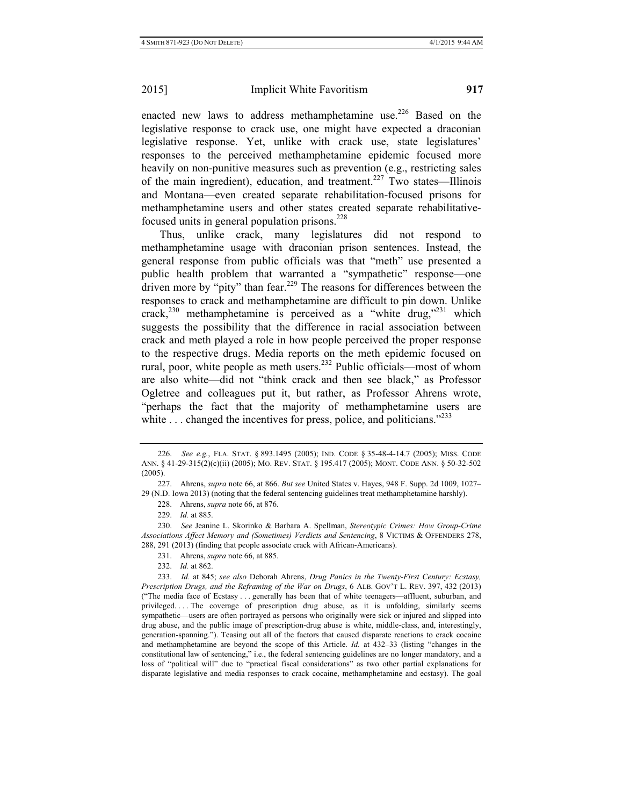enacted new laws to address methamphetamine use.<sup>226</sup> Based on the legislative response to crack use, one might have expected a draconian legislative response. Yet, unlike with crack use, state legislatures' responses to the perceived methamphetamine epidemic focused more heavily on non-punitive measures such as prevention (e.g., restricting sales of the main ingredient), education, and treatment.<sup>227</sup> Two states—Illinois and Montana—even created separate rehabilitation-focused prisons for methamphetamine users and other states created separate rehabilitativefocused units in general population prisons.  $228$ 

Thus, unlike crack, many legislatures did not respond to methamphetamine usage with draconian prison sentences. Instead, the general response from public officials was that "meth" use presented a public health problem that warranted a "sympathetic" response—one  $\frac{1}{2}$  driven more by "pity" than fear.<sup>229</sup> The reasons for differences between the responses to crack and methamphetamine are difficult to pin down. Unlike crack,<sup>230</sup> methamphetamine is perceived as a "white drug,"<sup>231</sup> which suggests the possibility that the difference in racial association between crack and meth played a role in how people perceived the proper response to the respective drugs. Media reports on the meth epidemic focused on rural, poor, white people as meth users.<sup>232</sup> Public officials—most of whom are also white—did not "think crack and then see black," as Professor Ogletree and colleagues put it, but rather, as Professor Ahrens wrote, "perhaps the fact that the majority of methamphetamine users are white  $\ldots$  changed the incentives for press, police, and politicians.<sup> $233$ </sup>

<sup>226.</sup> *See e.g.*, FLA. STAT. § 893.1495 (2005); IND. CODE § 35-48-4-14.7 (2005); MISS. CODE ANN. § 41-29-315(2)(c)(ii) (2005); MO. REV. STAT. § 195.417 (2005); MONT. CODE ANN. § 50-32-502 (2005).

<sup>227.</sup> Ahrens, *supra* note 66, at 866. *But see* United States v. Hayes, 948 F. Supp. 2d 1009, 1027– 29 (N.D. Iowa 2013) (noting that the federal sentencing guidelines treat methamphetamine harshly).

<sup>228.</sup> Ahrens, *supra* note 66, at 876.

<sup>229.</sup> *Id.* at 885.

<sup>230.</sup> *See* Jeanine L. Skorinko & Barbara A. Spellman, *Stereotypic Crimes: How Group-Crime Associations Affect Memory and (Sometimes) Verdicts and Sentencing*, 8 VICTIMS & OFFENDERS 278, 288, 291 (2013) (finding that people associate crack with African-Americans).

<sup>231.</sup> Ahrens, *supra* note 66, at 885.

<sup>232.</sup> *Id.* at 862.

<sup>233.</sup> *Id.* at 845; *see also* Deborah Ahrens, *Drug Panics in the Twenty-First Century: Ecstasy, Prescription Drugs, and the Reframing of the War on Drugs*, 6 ALB. GOV'T L. REV. 397, 432 (2013) ("The media face of Ecstasy . . . generally has been that of white teenagers—affluent, suburban, and privileged. . . . The coverage of prescription drug abuse, as it is unfolding, similarly seems sympathetic—users are often portrayed as persons who originally were sick or injured and slipped into drug abuse, and the public image of prescription-drug abuse is white, middle-class, and, interestingly, generation-spanning."). Teasing out all of the factors that caused disparate reactions to crack cocaine and methamphetamine are beyond the scope of this Article. *Id.* at 432–33 (listing "changes in the constitutional law of sentencing," i.e., the federal sentencing guidelines are no longer mandatory, and a loss of "political will" due to "practical fiscal considerations" as two other partial explanations for disparate legislative and media responses to crack cocaine, methamphetamine and ecstasy). The goal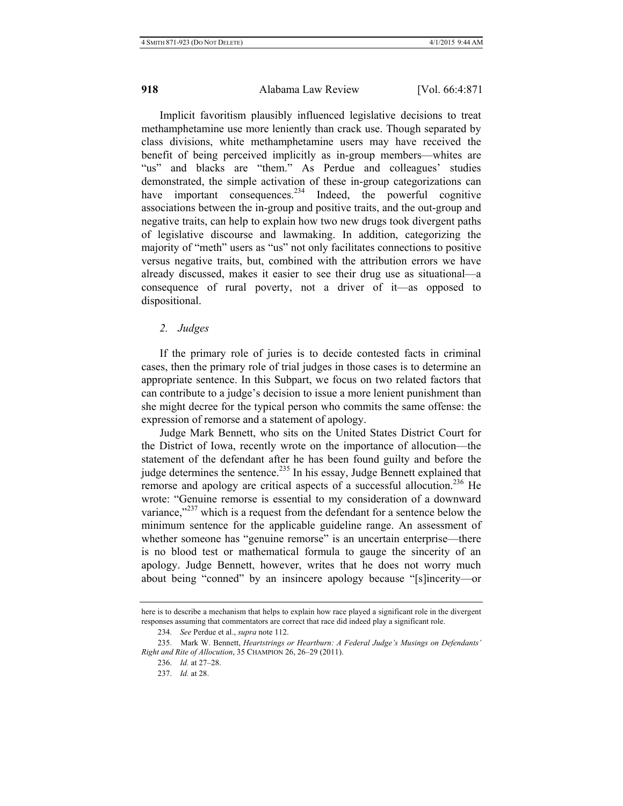Implicit favoritism plausibly influenced legislative decisions to treat methamphetamine use more leniently than crack use. Though separated by class divisions, white methamphetamine users may have received the benefit of being perceived implicitly as in-group members—whites are "us" and blacks are "them." As Perdue and colleagues' studies demonstrated, the simple activation of these in-group categorizations can have important consequences.<sup>234</sup> Indeed, the powerful cognitive associations between the in-group and positive traits, and the out-group and negative traits, can help to explain how two new drugs took divergent paths of legislative discourse and lawmaking. In addition, categorizing the majority of "meth" users as "us" not only facilitates connections to positive versus negative traits, but, combined with the attribution errors we have already discussed, makes it easier to see their drug use as situational—a consequence of rural poverty, not a driver of it—as opposed to dispositional.

#### *2. Judges*

If the primary role of juries is to decide contested facts in criminal cases, then the primary role of trial judges in those cases is to determine an appropriate sentence. In this Subpart, we focus on two related factors that can contribute to a judge's decision to issue a more lenient punishment than she might decree for the typical person who commits the same offense: the expression of remorse and a statement of apology.

Judge Mark Bennett, who sits on the United States District Court for the District of Iowa, recently wrote on the importance of allocution—the statement of the defendant after he has been found guilty and before the judge determines the sentence.<sup>235</sup> In his essay, Judge Bennett explained that remorse and apology are critical aspects of a successful allocution.<sup>236</sup> He wrote: "Genuine remorse is essential to my consideration of a downward variance, $1237$  which is a request from the defendant for a sentence below the minimum sentence for the applicable guideline range. An assessment of whether someone has "genuine remorse" is an uncertain enterprise—there is no blood test or mathematical formula to gauge the sincerity of an apology. Judge Bennett, however, writes that he does not worry much about being "conned" by an insincere apology because "[s]incerity—or

here is to describe a mechanism that helps to explain how race played a significant role in the divergent responses assuming that commentators are correct that race did indeed play a significant role.

<sup>234.</sup> *See* Perdue et al., *supra* note 112.

<sup>235.</sup> Mark W. Bennett, *Heartstrings or Heartburn: A Federal Judge's Musings on Defendants' Right and Rite of Allocution*, 35 CHAMPION 26, 26–29 (2011).

<sup>236.</sup> *Id.* at 27–28.

<sup>237.</sup> *Id.* at 28.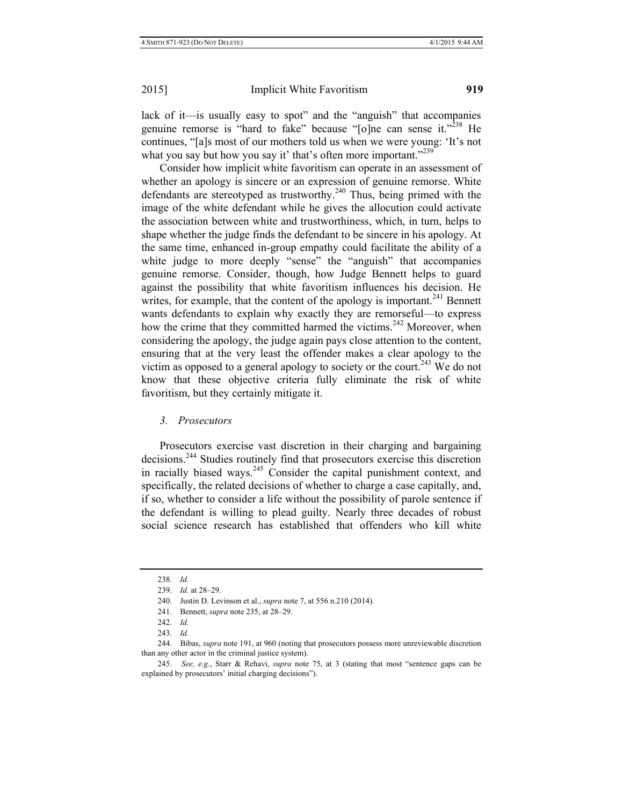lack of it—is usually easy to spot" and the "anguish" that accompanies genuine remorse is "hard to fake" because "[o]ne can sense it."<sup>238</sup> He continues, "[a]s most of our mothers told us when we were young: 'It's not what you say but how you say it' that's often more important."<sup>239</sup>

Consider how implicit white favoritism can operate in an assessment of whether an apology is sincere or an expression of genuine remorse. White defendants are stereotyped as trustworthy. $240$  Thus, being primed with the image of the white defendant while he gives the allocution could activate the association between white and trustworthiness, which, in turn, helps to shape whether the judge finds the defendant to be sincere in his apology. At the same time, enhanced in-group empathy could facilitate the ability of a white judge to more deeply "sense" the "anguish" that accompanies genuine remorse. Consider, though, how Judge Bennett helps to guard against the possibility that white favoritism influences his decision. He writes, for example, that the content of the apology is important.  $241$  Bennett wants defendants to explain why exactly they are remorseful—to express how the crime that they committed harmed the victims.<sup>242</sup> Moreover, when considering the apology, the judge again pays close attention to the content, ensuring that at the very least the offender makes a clear apology to the victim as opposed to a general apology to society or the court.<sup>243</sup> We do not know that these objective criteria fully eliminate the risk of white favoritism, but they certainly mitigate it.

*3. Prosecutors* 

Prosecutors exercise vast discretion in their charging and bargaining decisions.244 Studies routinely find that prosecutors exercise this discretion in racially biased ways.245 Consider the capital punishment context, and specifically, the related decisions of whether to charge a case capitally, and, if so, whether to consider a life without the possibility of parole sentence if the defendant is willing to plead guilty. Nearly three decades of robust social science research has established that offenders who kill white

<sup>238.</sup> *Id.*

<sup>239.</sup> *Id.* at 28–29.

<sup>240.</sup> Justin D. Levinson et al., *supra* note 7, at 556 n.210 (2014).

<sup>241.</sup> Bennett, *supra* note 235, at 28–29.

<sup>242.</sup> *Id.*

<sup>243.</sup> *Id.*

<sup>244.</sup> Bibas, *supra* note 191, at 960 (noting that prosecutors possess more unreviewable discretion than any other actor in the criminal justice system).

<sup>245.</sup> *See, e.g*., Starr & Rehavi, *supra* note 75, at 3 (stating that most "sentence gaps can be explained by prosecutors' initial charging decisions").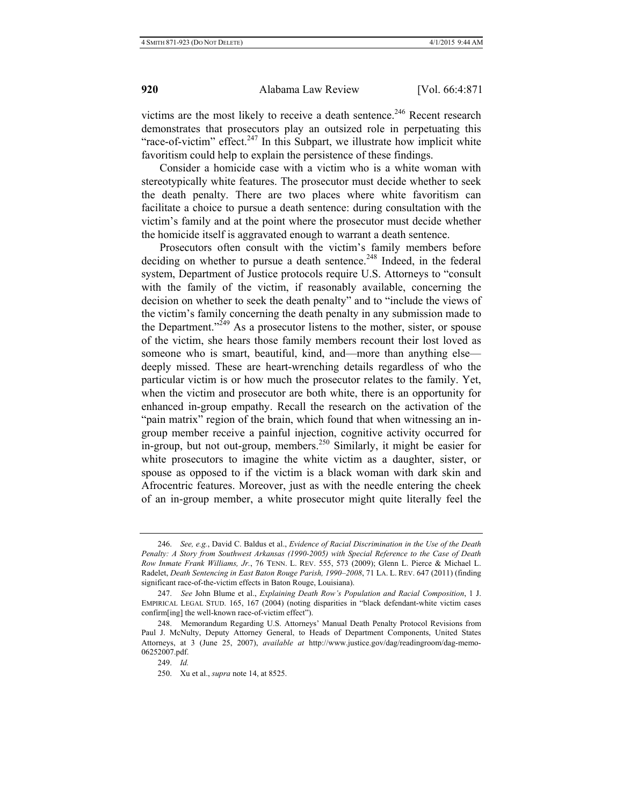victims are the most likely to receive a death sentence.<sup>246</sup> Recent research demonstrates that prosecutors play an outsized role in perpetuating this "race-of-victim" effect.<sup>247</sup> In this Subpart, we illustrate how implicit white favoritism could help to explain the persistence of these findings.

Consider a homicide case with a victim who is a white woman with stereotypically white features. The prosecutor must decide whether to seek the death penalty. There are two places where white favoritism can facilitate a choice to pursue a death sentence: during consultation with the victim's family and at the point where the prosecutor must decide whether the homicide itself is aggravated enough to warrant a death sentence.

Prosecutors often consult with the victim's family members before deciding on whether to pursue a death sentence.<sup>248</sup> Indeed, in the federal system, Department of Justice protocols require U.S. Attorneys to "consult with the family of the victim, if reasonably available, concerning the decision on whether to seek the death penalty" and to "include the views of the victim's family concerning the death penalty in any submission made to the Department."<sup> $249$ </sup> As a prosecutor listens to the mother, sister, or spouse of the victim, she hears those family members recount their lost loved as someone who is smart, beautiful, kind, and—more than anything else deeply missed. These are heart-wrenching details regardless of who the particular victim is or how much the prosecutor relates to the family. Yet, when the victim and prosecutor are both white, there is an opportunity for enhanced in-group empathy. Recall the research on the activation of the "pain matrix" region of the brain, which found that when witnessing an ingroup member receive a painful injection, cognitive activity occurred for in-group, but not out-group, members.<sup>250</sup> Similarly, it might be easier for white prosecutors to imagine the white victim as a daughter, sister, or spouse as opposed to if the victim is a black woman with dark skin and Afrocentric features. Moreover, just as with the needle entering the cheek of an in-group member, a white prosecutor might quite literally feel the

<sup>246.</sup> *See, e.g.*, David C. Baldus et al., *Evidence of Racial Discrimination in the Use of the Death Penalty: A Story from Southwest Arkansas (1990-2005) with Special Reference to the Case of Death Row Inmate Frank Williams, Jr.*, 76 TENN. L. REV. 555, 573 (2009); Glenn L. Pierce & Michael L. Radelet, *Death Sentencing in East Baton Rouge Parish, 1990–2008*, 71 LA. L. REV. 647 (2011) (finding significant race-of-the-victim effects in Baton Rouge, Louisiana).

<sup>247.</sup> *See* John Blume et al., *Explaining Death Row's Population and Racial Composition*, 1 J. EMPIRICAL LEGAL STUD. 165, 167 (2004) (noting disparities in "black defendant-white victim cases confirm[ing] the well-known race-of-victim effect").

<sup>248.</sup> Memorandum Regarding U.S. Attorneys' Manual Death Penalty Protocol Revisions from Paul J. McNulty, Deputy Attorney General, to Heads of Department Components, United States Attorneys, at 3 (June 25, 2007), *available at* http://www.justice.gov/dag/readingroom/dag-memo-06252007.pdf.

<sup>249.</sup> *Id.*

<sup>250.</sup> Xu et al., *supra* note 14, at 8525.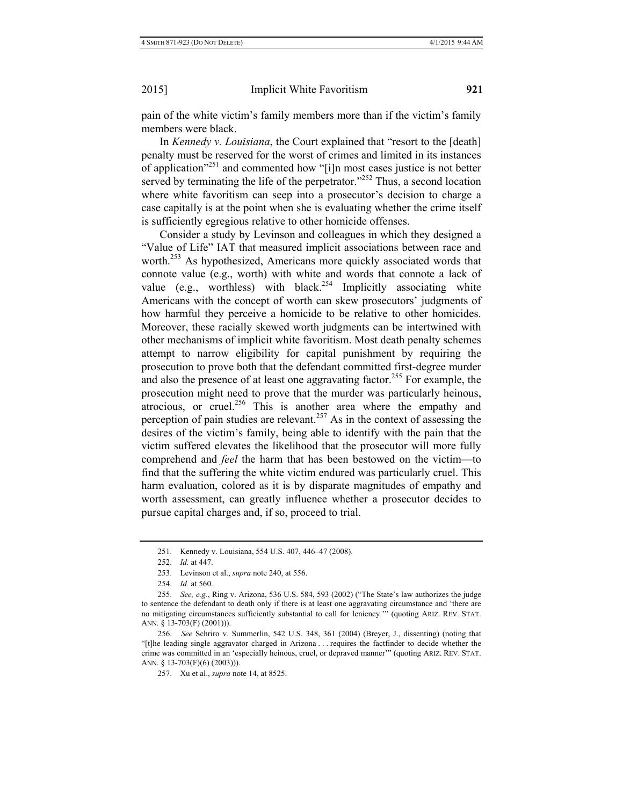pain of the white victim's family members more than if the victim's family members were black.

In *Kennedy v. Louisiana*, the Court explained that "resort to the [death] penalty must be reserved for the worst of crimes and limited in its instances of application"251 and commented how "[i]n most cases justice is not better served by terminating the life of the perpetrator."<sup>252</sup> Thus, a second location where white favoritism can seep into a prosecutor's decision to charge a case capitally is at the point when she is evaluating whether the crime itself is sufficiently egregious relative to other homicide offenses.

Consider a study by Levinson and colleagues in which they designed a "Value of Life" IAT that measured implicit associations between race and worth.<sup>253</sup> As hypothesized, Americans more quickly associated words that connote value (e.g., worth) with white and words that connote a lack of value (e.g., worthless) with black.<sup>254</sup> Implicitly associating white Americans with the concept of worth can skew prosecutors' judgments of how harmful they perceive a homicide to be relative to other homicides. Moreover, these racially skewed worth judgments can be intertwined with other mechanisms of implicit white favoritism. Most death penalty schemes attempt to narrow eligibility for capital punishment by requiring the prosecution to prove both that the defendant committed first-degree murder and also the presence of at least one aggravating factor.<sup>255</sup> For example, the prosecution might need to prove that the murder was particularly heinous, atrocious, or cruel.<sup>256</sup> This is another area where the empathy and perception of pain studies are relevant.<sup>257</sup> As in the context of assessing the desires of the victim's family, being able to identify with the pain that the victim suffered elevates the likelihood that the prosecutor will more fully comprehend and *feel* the harm that has been bestowed on the victim—to find that the suffering the white victim endured was particularly cruel. This harm evaluation, colored as it is by disparate magnitudes of empathy and worth assessment, can greatly influence whether a prosecutor decides to pursue capital charges and, if so, proceed to trial.

<sup>251.</sup> Kennedy v. Louisiana, 554 U.S. 407, 446–47 (2008).

<sup>252.</sup> *Id.* at 447.

<sup>253.</sup> Levinson et al., *supra* note 240, at 556.

<sup>254.</sup> *Id.* at 560.

<sup>255.</sup> *See, e.g.*, Ring v. Arizona, 536 U.S. 584, 593 (2002) ("The State's law authorizes the judge to sentence the defendant to death only if there is at least one aggravating circumstance and 'there are no mitigating circumstances sufficiently substantial to call for leniency.'" (quoting ARIZ. REV. STAT. ANN. § 13-703(F) (2001))).

<sup>256.</sup> *See* Schriro v. Summerlin, 542 U.S. 348, 361 (2004) (Breyer, J., dissenting) (noting that "[t]he leading single aggravator charged in Arizona . . . requires the factfinder to decide whether the crime was committed in an 'especially heinous, cruel, or depraved manner'" (quoting ARIZ. REV. STAT. ANN. § 13-703(F)(6) (2003))).

<sup>257.</sup> Xu et al., *supra* note 14, at 8525.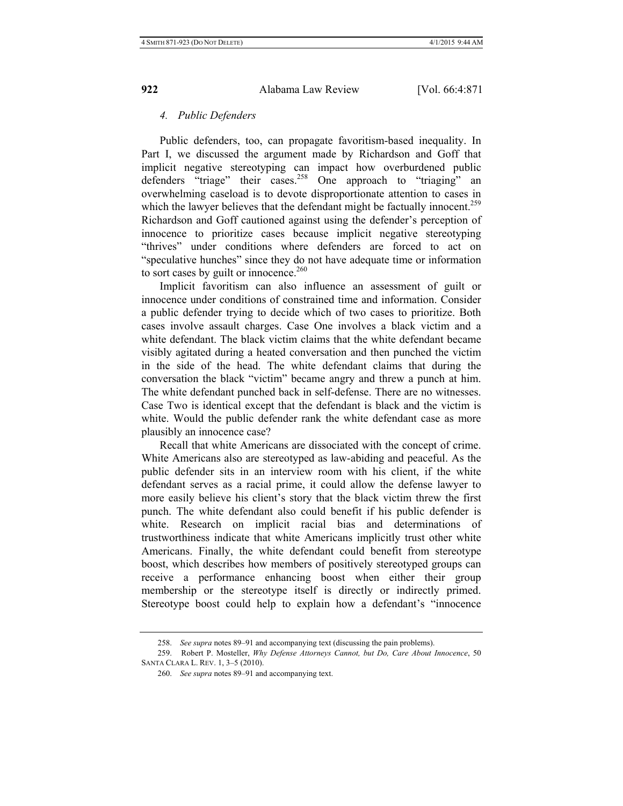# *4. Public Defenders*

Public defenders, too, can propagate favoritism-based inequality. In Part I, we discussed the argument made by Richardson and Goff that implicit negative stereotyping can impact how overburdened public defenders "triage" their cases.<sup>258</sup> One approach to "triaging" an overwhelming caseload is to devote disproportionate attention to cases in which the lawyer believes that the defendant might be factually innocent.<sup>259</sup> Richardson and Goff cautioned against using the defender's perception of innocence to prioritize cases because implicit negative stereotyping "thrives" under conditions where defenders are forced to act on "speculative hunches" since they do not have adequate time or information to sort cases by guilt or innocence. $260$ 

Implicit favoritism can also influence an assessment of guilt or innocence under conditions of constrained time and information. Consider a public defender trying to decide which of two cases to prioritize. Both cases involve assault charges. Case One involves a black victim and a white defendant. The black victim claims that the white defendant became visibly agitated during a heated conversation and then punched the victim in the side of the head. The white defendant claims that during the conversation the black "victim" became angry and threw a punch at him. The white defendant punched back in self-defense. There are no witnesses. Case Two is identical except that the defendant is black and the victim is white. Would the public defender rank the white defendant case as more plausibly an innocence case?

Recall that white Americans are dissociated with the concept of crime. White Americans also are stereotyped as law-abiding and peaceful. As the public defender sits in an interview room with his client, if the white defendant serves as a racial prime, it could allow the defense lawyer to more easily believe his client's story that the black victim threw the first punch. The white defendant also could benefit if his public defender is white. Research on implicit racial bias and determinations of trustworthiness indicate that white Americans implicitly trust other white Americans. Finally, the white defendant could benefit from stereotype boost, which describes how members of positively stereotyped groups can receive a performance enhancing boost when either their group membership or the stereotype itself is directly or indirectly primed. Stereotype boost could help to explain how a defendant's "innocence

<sup>258.</sup> *See supra* notes 89–91 and accompanying text (discussing the pain problems).

<sup>259.</sup> Robert P. Mosteller, *Why Defense Attorneys Cannot, but Do, Care About Innocence*, 50 SANTA CLARA L. REV. 1, 3–5 (2010).

<sup>260.</sup> *See supra* notes 89–91 and accompanying text.